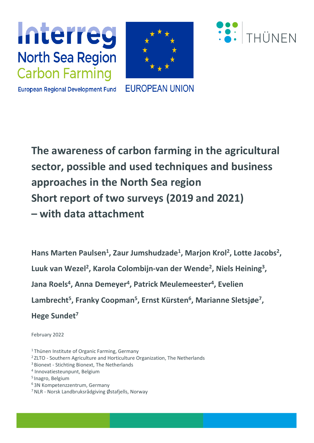





**European Regional Development Fund** 

**EUROPEAN UNION** 

**The awareness of carbon farming in the agricultural sector, possible and used techniques and business approaches in the North Sea region Short report of two surveys (2019 and 2021) –with data attachment**

Hans Marten Paulsen<sup>1</sup>, Zaur Jumshudzade<sup>1</sup>, Marjon Krol<sup>2</sup>, Lotte Jacobs<sup>2</sup>, **Luuk van Wezel<sup>2</sup> , Karola Colombijn-van der Wende<sup>2</sup> , Niels Heining<sup>3</sup> , Jana Roels<sup>4</sup> , Anna Demeyer<sup>4</sup> , Patrick Meulemeester<sup>4</sup> , Evelien Lambrecht<sup>5</sup> , Franky Coopman<sup>5</sup> , Ernst Kürsten<sup>6</sup> , Marianne Sletsjøe<sup>7</sup> , Hege Sundet<sup>7</sup>** 

March 2022

- <sup>1</sup>Thünen Institute of Organic Farming, Germany
- <sup>2</sup> ZLTO Southern Agriculture and Horticulture Organization, The Netherlands
- <sup>3</sup> Bionext Stichting Bionext, The Netherlands
- 4 Innovatiesteunpunt, Belgium
- <sup>5</sup> Inagro, Belgium
- <sup>6</sup>3N Kompetenzzentrum, Germany
- $7$  NLR Norsk Landbruksrådgiving Østafjells, Norway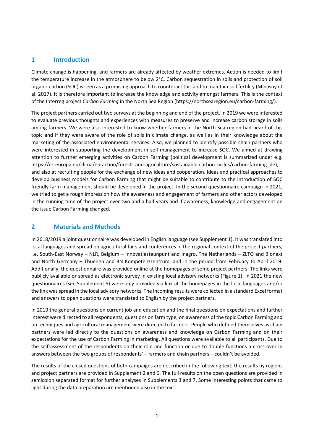## **1 Introduction**

Climate change is happening, and farmers are already affected by weather extremes. Action is needed to limit the temperature increase in the atmosphere to below 2°C. Carbon sequestration in soils and protection of soil organic carbon (SOC) is seen as a promising approach to counteract this and to maintain soil fertility (Minasny et al. 2017). It is therefore important to increase the knowledge and activity amongst farmers. This is the context of the Interreg project *Carbon Farming* in the North Sea Region [\(https://northsearegion.eu/carbon-farming/\)](https://northsearegion.eu/carbon-farming/).

The project partners carried out two surveys at the beginning and end of the project. In 2019 we were interested to evaluate previous thoughts and experiences with measures to preserve and increase carbon storage in soils among farmers. We were also interested to know whether farmers in the North Sea region had heard of this topic and if they were aware of the role of soils in climate change, as well as in their knowledge about the marketing of the associated environmental services. Also, we planned to identify possible chain partners who were interested in supporting the development in soil management to increase SOC. We aimed at drawing attention to further emerging activities on Carbon Farming (political development is summarized under e.g. [https://ec.europa.eu/clima/eu-action/forests-and-agriculture/sustainable-carbon-cycles/carbon-farming\\_de\)](https://ec.europa.eu/clima/eu-action/forests-and-agriculture/sustainable-carbon-cycles/carbon-farming_de), and also at recruiting people for the exchange of new ideas and cooperation. Ideas and practical approaches to develop business models for Carbon Farming that might be suitable to contribute to the introduction of SOC friendly farm management should be developed in the project. In the second questionnaire campaign in 2021, we tried to get a rough impression how the awareness and engagement of farmers and other actors developed in the running time of the project over two and a half years and if awareness, knowledge and engagement on the issue Carbon Farming changed.

## **2 Materials and Methods**

In 2018/2019 a joint questionnaire was developed in English language (see Supplement 1). It was translated into local languages and spread on agricultural fairs and conferences in the regional context of the project partners, i.e. South-East Norway – NLR, Belgium – Innovatiesteunpunt and Inagro, The Netherlands – ZLTO and Bionext and North Germany – Thuenen and 3N Kompetenzzentrum, and in the period from February to April 2019. Additionally, the questionnaire was provided online at the homepages of some project partners. The links were publicly available or spread as electronic survey in existing local advisory networks (Figure 1). In 2021 the new questionnaires (see Supplement 5) were only provided via link at the homepages in the local languages and/or the link was spread in the local advisory networks. The incoming results were collected in a standard Excel format and answers to open questions were translated to English by the project partners.

In 2019 the general questions on current job and education and the final questions on expectations and further interest were directed to all respondents, questions on farm type, on awareness of the topic Carbon Farming and on techniques and agricultural management were directed to farmers. People who defined themselves as chain partners were led directly to the questions on awareness and knowledge on Carbon Farming and on their expectations for the use of Carbon Farming in marketing. All questions were available to all participants. Due to the self-assessment of the respondents on their role and function or due to double functions a cross over in answers between the two groups of respondents' – farmers and chain partners – couldn't be avoided.

The results of the closed questions of both campaigns are described in the following text, the results by regions and project partners are provided in Supplement 2 and 6. The full results on the open questions are provided in semicolon separated format for further analyses in Supplements 3 and 7. Some interesting points that came to light during the data preparation are mentioned also in the text.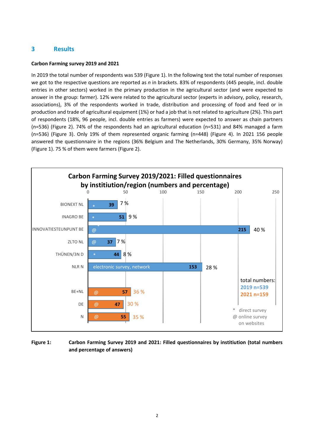## **3 Results**

#### **Carbon Farming survey 2019 and 2021**

In 2019 the total number of respondents was 539 (Figure 1). In the following text the total number of responses we got to the respective questions are reported as *n* in brackets. 83% of respondents (445 people, incl. double entries in other sectors) worked in the primary production in the agricultural sector (and were expected to answer in the group: farmer). 12% were related to the agricultural sector (experts in advisory, policy, research, associations), 3% of the respondents worked in trade, distribution and processing of food and feed or in production and trade of agricultural equipment (1%) or had a job that is not related to agriculture (2%). This part of respondents (18%, 96 people, incl. double entries as farmers) were expected to answer as chain partners (n=536) (Figure 2). 74% of the respondents had an agricultural education (n=531) and 84% managed a farm (n=536) (Figure 3). Only 19% of them represented organic farming (n=448) (Figure 4). In 2021 156 people answered the questionnaire in the regions (36% Belgium and The Netherlands, 30% Germany, 35% Norway) (Figure 1). 75 % of them were farmers (Figure 2).



#### **Figure 1: Carbon Farming Survey 2019 and 2021: Filled questionnaires by institiution (total numbers and percentage of answers)**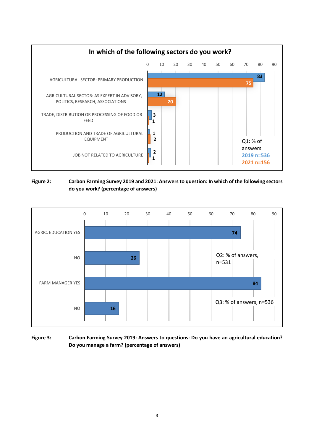

#### **Figure 2: Carbon Farming Survey 2019 and 2021: Answers to question: In which of the following sectors do you work? (percentage of answers)**



#### **Figure 3: Carbon Farming Survey 2019: Answers to questions: Do you have an agricultural education? Do you manage a farm? (percentage of answers)**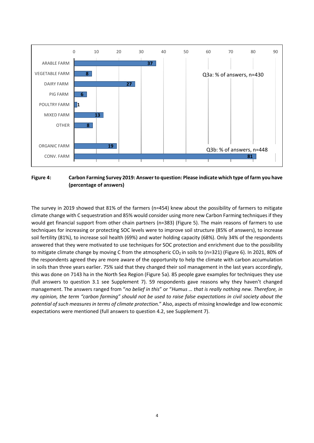

**Figure 4: Carbon Farming Survey 2019: Answer to question: Please indicate which type of farm you have (percentage of answers)**

The survey in 2019 showed that 81% of the farmers (n=454) knew about the possibility of farmers to mitigate climate change with C sequestration and 85% would consider using more new Carbon Farming techniques if they would get financial support from other chain partners (n=383) (Figure 5). The main reasons of farmers to use techniques for increasing or protecting SOC levels were to improve soil structure (85% of answers), to increase soil fertility (81%), to increase soil health (69%) and water holding capacity (68%). Only 34% of the respondents answered that they were motivated to use techniques for SOC protection and enrichment due to the possibility to mitigate climate change by moving C from the atmospheric  $CO<sub>2</sub>$  in soils to (n=321) (Figure 6). In 2021, 80% of the respondents agreed they are more aware of the opportunity to help the climate with carbon accumulation in soils than three years earlier. 75% said that they changed their soil management in the last years accordingly, this was done on 7143 ha in the North Sea Region (Figure 5a). 85 people gave examples for techniques they use (full answers to question 3.1 see Supplement 7). 59 respondents gave reasons why they haven't changed management. The answers ranged from "*no belief in this*" or "*Humus … that is really nothing new. Therefore, in my opinion, the term "carbon farming" should not be used to raise false expectations in civil society about the potential of such measures in terms of climate protection.*" Also, aspects of missing knowledge and low economic expectations were mentioned (full answers to question 4.2, see Supplement 7).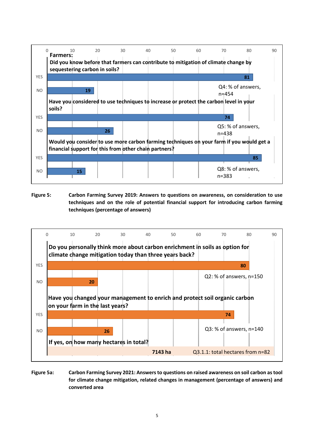

**Figure 5: Carbon Farming Survey 2019: Answers to questions on awareness, on consideration to use techniques and on the role of potential financial support for introducing carbon farming techniques (percentage of answers)**



**Figure 5a: Carbon Farming Survey 2021: Answers to questions on raised awareness on soil carbon as tool for climate change mitigation, related changes in management (percentage of answers) and converted area**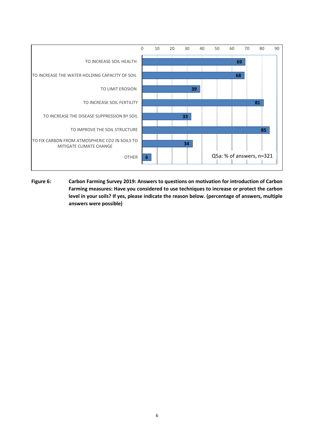

**Figure 6: Carbon Farming Survey 2019: Answers to questions on motivation for introduction of Carbon Farming measures: Have you considered to use techniques to increase or protect the carbon level in your soils? If yes, please indicate the reason below. (percentage of answers, multiple answers were possible)**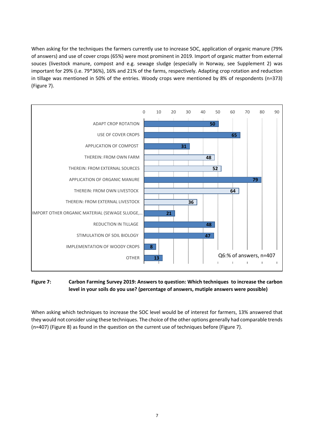When asking for the techniques the farmers currently use to increase SOC, application of organic manure (79% of answers) and use of cover crops (65%) were most prominent in 2019. Import of organic matter from external souces (livestock manure, compost and e.g. sewage sludge (especially in Norway, see Supplement 2) was important for 29% (i.e. 79\*36%), 16% and 21% of the farms, respectively. Adapting crop rotation and reduction in tillage was mentioned in 50% of the entries. Woody crops were mentioned by 8% of respondents (n=373) (Figure 7).



**Figure 7: Carbon Farming Survey 2019: Answers to question: Which techniques to increase the carbon level in your soils do you use? (percentage of answers, mutiple answers were possible)**

When asking which techniques to increase the SOC level would be of interest for farmers, 13% answered that they would not consider using these techniques. The choice of the other options generally had comparable trends (n=407) (Figure 8) as found in the question on the current use of techniques before (Figure 7).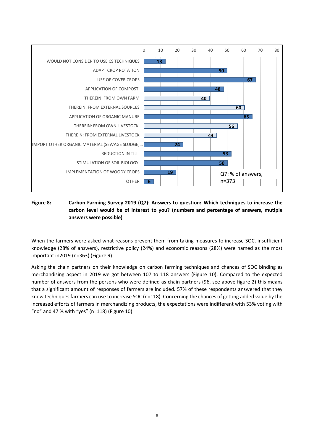

#### **Figure 8: Carbon Farming Survey 2019 (Q7): Answers to question: Which techniques to increase the carbon level would be of interest to you? (numbers and percentage of answers, mutiple answers were possible)**

When the farmers were asked what reasons prevent them from taking measures to increase SOC, insufficient knowledge (28% of answers), restrictive policy (24%) and economic reasons (28%) were named as the most important in2019 (n=363) (Figure 9).

Asking the chain partners on their knowledge on carbon farming techniques and chances of SOC binding as merchandising aspect in 2019 we got between 107 to 118 answers (Figure 10). Compared to the expected number of answers from the persons who were defined as chain partners (96, see above figure 2) this means that a significant amount of responses of farmers are included. 57% of these respondents answered that they knew techniques farmers can use to increase SOC (n=118). Concerning the chances of getting added value by the increased efforts of farmers in merchandizing products, the expectations were indifferent with 53% voting with "no" and 47 % with "yes" (n=118) (Figure 10).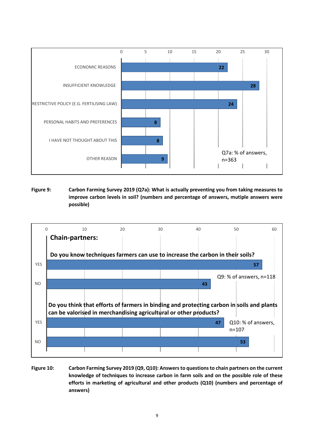

**Figure 9: Carbon Farming Survey 2019 (Q7a): What is actually preventing you from taking measures to improve carbon levels in soil? (numbers and percentage of answers, mutiple answers were possible)**



**Figure 10: Carbon Farming Survey 2019 (Q9, Q10): Answers to questions to chain partners on the current knowledge of techniques to increase carbon in farm soils and on the possible role of these efforts in marketing of agricultural and other products (Q10) (numbers and percentage of answers)**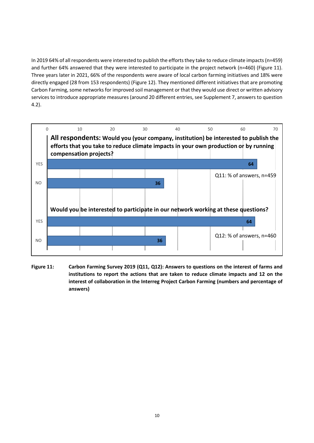In 2019 64% of all respondents were interested to publish the efforts they take to reduce climate impacts(n=459) and further 64% answered that they were interested to participate in the project network (n=460) (Figure 11). Three years later in 2021, 66% of the respondents were aware of local carbon farming initiatives and 18% were directly engaged (28 from 153 respondents) (Figure 12). They mentioned different initiatives that are promoting Carbon Farming, some networks for improved soil management or that they would use direct or written advisory services to introduce appropriate measures (around 20 different entries, see Supplement 7, answers to question 4.2).



**Figure 11: Carbon Farming Survey 2019 (Q11, Q12): Answers to questions on the interest of farms and institutions to report the actions that are taken to reduce climate impacts and 12 on the interest of collaboration in the Interreg Project Carbon Farming (numbers and percentage of answers)**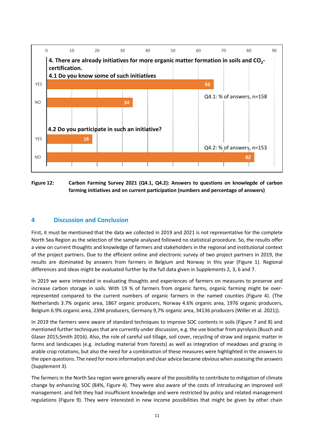

**Figure 12: Carbon Farming Survey 2021 (Q4.1, Q4.2): Answers to questions on knowlegde of carbon farming initiatives and on current participation (numbers and percentage of answers)**

## **4 Discussion and Conclusion**

First, it must be mentioned that the data we collected in 2019 and 2021 is not representative for the complete North Sea Region as the selection of the sample analysed followed no statistical procedure. So, the results offer a view on current thoughts and knowledge of farmers and stakeholders in the regional and institutional context of the project partners. Due to the efficient online and electronic survey of two project partners in 2019, the results are dominated by answers from farmers in Belgium and Norway in this year (Figure 1). Regional differences and ideas might be evaluated further by the full data given in Supplements 2, 3, 6 and 7.

In 2019 we were interested in evaluating thoughts and experiences of farmers on measures to preserve and increase carbon storage in soils. With 19 % of farmers from organic farms, organic farming might be overrepresented compared to the current numbers of organic farmers in the named counties (Figure 4). (The Netherlands 3.7% organic area, 1867 organic producers, Norway 4.6% organic area, 1976 organic producers, Belgium 6.9% organic area, 2394 producers, Germany 9,7% organic area, 34136 producers (Willer et al. 2021)).

In 2019 the farmers were aware of standard techniques to improve SOC contents in soils (Figure 7 and 8) and mentioned further techniques that are currently under discussion, e.g. the use biochar from pyrolysis (Busch and Glaser 2015;Smith 2016). Also, the role of careful soil tillage, soil cover, recycling of straw and organic matter in farms and landscapes (e.g. including material from forests) as well as integration of meadows and grazing in arable crop rotations, but also the need for a combination of these measures were highlighted in the answers to the open questions. The need for more information and clear advice became obvious when assessing the answers (Supplement 3).

The farmers in the North Sea region were generally aware of the possibility to contribute to mitigation of climate change by enhancing SOC (84%, Figure 4). They were also aware of the costs of introducing an improved soil management. and felt they had insufficient knowledge and were restricted by policy and related management regulations (Figure 9). They were interested in new income possibilities that might be given by other chain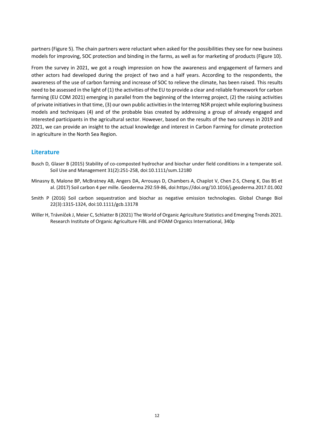partners (Figure 5). The chain partners were reluctant when asked for the possibilities they see for new business models for improving, SOC protection and binding in the farms, as well as for marketing of products (Figure 10).

From the survey in 2021, we got a rough impression on how the awareness and engagement of farmers and other actors had developed during the project of two and a half years. According to the respondents, the awareness of the use of carbon farming and increase of SOC to relieve the climate, has been raised. This results need to be assessed in the light of (1) the activities of the EU to provide a clear and reliable framework for carbon farming (EU COM 2021) emerging in parallel from the beginning of the Interreg project, (2) the raising activities of private initiativesin that time, (3) our own public activities in the Interreg NSR project while exploring business models and techniques (4) and of the probable bias created by addressing a group of already engaged and interested participants in the agricultural sector. However, based on the results of the two surveys in 2019 and 2021, we can provide an insight to the actual knowledge and interest in Carbon Farming for climate protection in agriculture in the North Sea Region.

#### **Literature**

- Busch D, Glaser B (2015) Stability of co-composted hydrochar and biochar under field conditions in a temperate soil. Soil Use and Management 31(2):251-258, doi:10.1111/sum.12180
- Minasny B, Malone BP, McBratney AB, Angers DA, Arrouays D, Chambers A, Chaplot V, Chen Z-S, Cheng K, Das BS et al. (2017) Soil carbon 4 per mille. Geoderma 292:59-86, doi:https://doi.org/10.1016/j.geoderma.2017.01.002
- Smith P (2016) Soil carbon sequestration and biochar as negative emission technologies. Global Change Biol 22(3):1315-1324, doi:10.1111/gcb.13178
- Willer H, Trávníček J, Meier C, Schlatter B (2021) The World of Organic Agriculture Statistics and Emerging Trends 2021. Research Institute of Organic Agriculture FiBL and IFOAM Organics International, 340p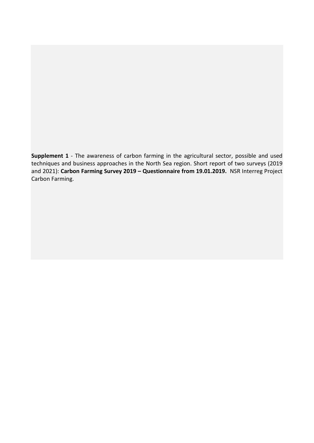**Supplement 1** - The awareness of carbon farming in the agricultural sector, possible and used techniques and business approaches in the North Sea region. Short report of two surveys (2019 and 2021): **Carbon Farming Survey 2019 – Questionnaire from 19.01.2019.** NSR Interreg Project Carbon Farming.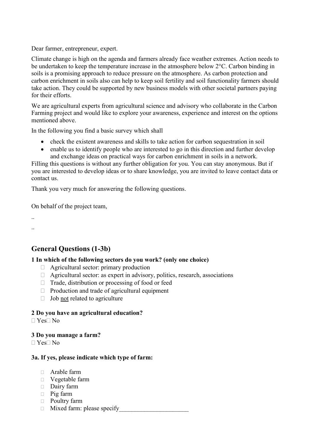Dear farmer, entrepreneur, expert.

Climate change is high on the agenda and farmers already face weather extremes. Action needs to be undertaken to keep the temperature increase in the atmosphere below 2°C. Carbon binding in soils is a promising approach to reduce pressure on the atmosphere. As carbon protection and carbon enrichment in soils also can help to keep soil fertility and soil functionality farmers should take action. They could be supported by new business models with other societal partners paying for their efforts.

We are agricultural experts from agricultural science and advisory who collaborate in the Carbon Farming project and would like to explore your awareness, experience and interest on the options mentioned above.

In the following you find a basic survey which shall

- check the existent awareness and skills to take action for carbon sequestration in soil
- enable us to identify people who are interested to go in this direction and further develop and exchange ideas on practical ways for carbon enrichment in soils in a network.

Filling this questions is without any further obligation for you. You can stay anonymous. But if you are interested to develop ideas or to share knowledge, you are invited to leave contact data or contact us.

Thank you very much for answering the following questions.

On behalf of the project team,

.. ..

# **General Questions (1-3b)**

## **1 In which of the following sectors do you work? (only one choice)**

- Agricultural sector: primary production
- $\Box$  Agricultural sector: as expert in advisory, politics, research, associations
- $\Box$  Trade, distribution or processing of food or feed
- $\Box$  Production and trade of agricultural equipment
- $\Box$  Job not related to agriculture

## **2 Do you have an agricultural education?**

 $\Box$  Yes $\Box$  No

#### **3 Do you manage a farm?**

 $\Box$  Yes $\Box$  No

#### **3a. If yes, please indicate which type of farm:**

- Arable farm
- Vegetable farm
- Dairy farm
- Pig farm
- Poultry farm
- $\Box$  Mixed farm: please specify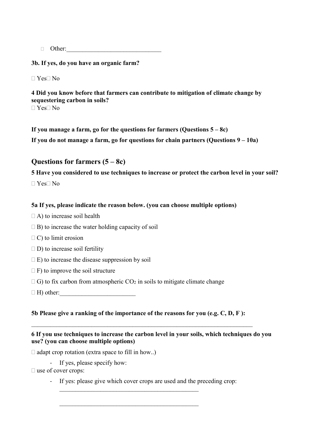$\Box$  Other:

**3b. If yes, do you have an organic farm?**

 $\Box$  Yes $\Box$  No

**4 Did you know before that farmers can contribute to mitigation of climate change by sequestering carbon in soils?**  $\Box$  Yes $\Box$  No

**If you manage a farm, go for the questions for farmers (Questions 5 – 8c)**

**If you do not manage a farm, go for questions for chain partners (Questions 9 – 10a)**

## **Questions for farmers (5 – 8c)**

**5 Have you considered to use techniques to increase or protect the carbon level in your soil?** 

 $\Box$  Yes $\Box$  No

### **5a If yes, please indicate the reason below. (you can choose multiple options)**

- $\Box$  A) to increase soil health
- $\Box$  B) to increase the water holding capacity of soil
- $\Box$  C) to limit erosion
- $\square$  D) to increase soil fertility
- $\Box$  E) to increase the disease suppression by soil
- $\Box$  F) to improve the soil structure
- $\Box$  G) to fix carbon from atmospheric  $CO_2$  in soils to mitigate climate change
- $\Box$  H) other:

## **5b Please give a ranking of the importance of the reasons for you (e.g. C, D, F ):**

## **6 If you use techniques to increase the carbon level in your soils, which techniques do you use? (you can choose multiple options)**

 $\Box$  adapt crop rotation (extra space to fill in how..)

- If yes, please specify how:

 $\square$  use of cover crops:

- If yes: please give which cover crops are used and the preceding crop:

 $\mathcal{L}_\mathcal{L}$  , which is a set of the set of the set of the set of the set of the set of the set of the set of the set of the set of the set of the set of the set of the set of the set of the set of the set of the set of

 $\mathcal{L}_\mathcal{L}$  , which is a set of the set of the set of the set of the set of the set of the set of the set of the set of the set of the set of the set of the set of the set of the set of the set of the set of the set of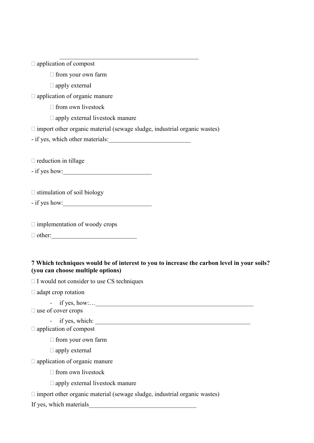| $\Box$ application of compost                                                                                                   |
|---------------------------------------------------------------------------------------------------------------------------------|
| $\Box$ from your own farm                                                                                                       |
| $\Box$ apply external                                                                                                           |
| application of organic manure                                                                                                   |
| $\Box$ from own livestock                                                                                                       |
| $\Box$ apply external livestock manure                                                                                          |
| $\square$ import other organic material (sewage sludge, industrial organic wastes)                                              |
|                                                                                                                                 |
|                                                                                                                                 |
| $\Box$ reduction in tillage                                                                                                     |
| $-$ if yes how:                                                                                                                 |
|                                                                                                                                 |
| $\Box$ stimulation of soil biology                                                                                              |
|                                                                                                                                 |
|                                                                                                                                 |
| $\Box$ implementation of woody crops                                                                                            |
|                                                                                                                                 |
|                                                                                                                                 |
|                                                                                                                                 |
| 7 Which techniques would be of interest to you to increase the carbon level in your soils?<br>(you can choose multiple options) |
| $\Box$ I would not consider to use CS techniques                                                                                |
| $\Box$ adapt crop rotation                                                                                                      |
| if yes, how: $\qquad$                                                                                                           |
| $\Box$ use of cover crops                                                                                                       |

- if yes, which: application of compost

 $\Box$  from your own farm

 $\Box$  apply external

application of organic manure

 $\Box$  from own livestock

apply external livestock manure

 $\Box$  import other organic material (sewage sludge, industrial organic wastes)

If yes, which materials\_\_\_\_\_\_\_\_\_\_\_\_\_\_\_\_\_\_\_\_\_\_\_\_\_\_\_\_\_\_\_\_\_\_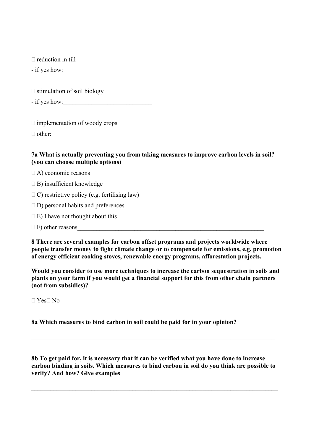$\Box$  reduction in till

- if yes how:

 $\Box$  stimulation of soil biology

 $-$  if yes how:

 $\Box$  implementation of woody crops

 $\Box$  other:

## **7a What is actually preventing you from taking measures to improve carbon levels in soil? (you can choose multiple options)**

 $\Box$  A) economic reasons

- $\Box$  B) insufficient knowledge
- $\Box$  C) restrictive policy (e.g. fertilising law)
- $\Box$  D) personal habits and preferences
- $\Box$  E) I have not thought about this
- $\Box$  F) other reasons

**8 There are several examples for carbon offset programs and projects worldwide where people transfer money to fight climate change or to compensate for emissions, e.g. promotion of energy efficient cooking stoves, renewable energy programs, afforestation projects.**

**Would you consider to use more techniques to increase the carbon sequestration in soils and plants on your farm if you would get a financial support for this from other chain partners (not from subsidies)?**

 $\Box$  Yes $\Box$  No

**8a Which measures to bind carbon in soil could be paid for in your opinion?**

**8b To get paid for, it is necessary that it can be verified what you have done to increase carbon binding in soils. Which measures to bind carbon in soil do you think are possible to verify? And how? Give examples** 

\_\_\_\_\_\_\_\_\_\_\_\_\_\_\_\_\_\_\_\_\_\_\_\_\_\_\_\_\_\_\_\_\_\_\_\_\_\_\_\_\_\_\_\_\_\_\_\_\_\_\_\_\_\_\_\_\_\_\_\_\_\_\_\_\_\_\_\_\_\_\_\_\_\_\_\_\_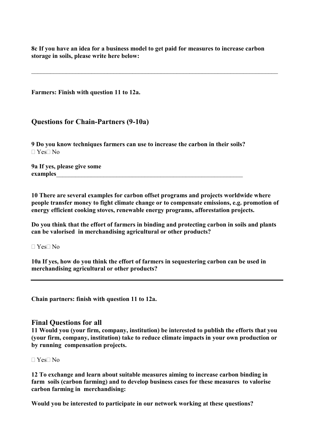**8c If you have an idea for a business model to get paid for measures to increase carbon storage in soils, please write here below:**

\_\_\_\_\_\_\_\_\_\_\_\_\_\_\_\_\_\_\_\_\_\_\_\_\_\_\_\_\_\_\_\_\_\_\_\_\_\_\_\_\_\_\_\_\_\_\_\_\_\_\_\_\_\_\_\_\_\_\_\_\_\_\_\_\_\_\_\_\_\_\_\_\_\_\_\_\_\_

**Farmers: Finish with question 11 to 12a.**

## **Questions for Chain-Partners (9-10a)**

**9 Do you know techniques farmers can use to increase the carbon in their soils?**  $\Box$  Yes $\Box$  No

**9a If yes, please give some**  examples

**10 There are several examples for carbon offset programs and projects worldwide where people transfer money to fight climate change or to compensate emissions, e.g. promotion of energy efficient cooking stoves, renewable energy programs, afforestation projects.** 

**Do you think that the effort of farmers in binding and protecting carbon in soils and plants can be valorised in merchandising agricultural or other products?**

 $\Box$  Yes $\Box$  No

**10a If yes, how do you think the effort of farmers in sequestering carbon can be used in merchandising agricultural or other products?** 

**Chain partners: finish with question 11 to 12a.**

#### **Final Questions for all**

**11 Would you (your firm, company, institution) be interested to publish the efforts that you (your firm, company, institution) take to reduce climate impacts in your own production or by running compensation projects.**

#### $\Box$  Yes $\Box$  No

**12 To exchange and learn about suitable measures aiming to increase carbon binding in farm soils (carbon farming) and to develop business cases for these measures to valorise carbon farming in merchandising:**

**Would you be interested to participate in our network working at these questions?**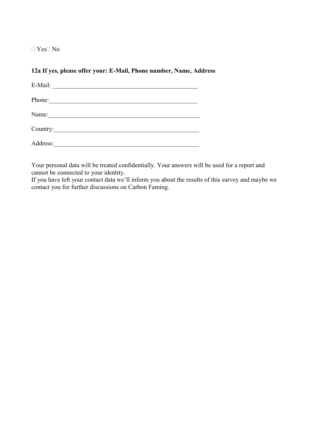$\Box$  Yes $\Box$  No

## **12a If yes, please offer your: E-Mail, Phone number, Name, Address**

| E-Mail:  |                                                      |  |  |
|----------|------------------------------------------------------|--|--|
| Phone:   | <u> 1989 - Jan James Barnett, fransk politiker (</u> |  |  |
| Name:    |                                                      |  |  |
|          |                                                      |  |  |
| Address: |                                                      |  |  |

Your personal data will be treated confidentially. Your answers will be used for a report and cannot be connected to your identity.

If you have left your contact data we'll inform you about the results of this survey and maybe we contact you for further discussions on Carbon Faming.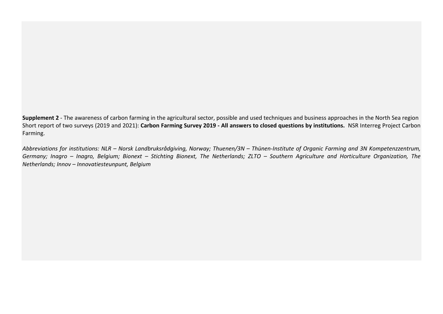**Supplement 2** - The awareness of carbon farming in the agricultural sector, possible and used techniques and business approaches in the North Sea region Short report of two surveys (2019 and 2021): **Carbon Farming Survey 2019 - All answers to closed questions by institutions.** NSR Interreg Project Carbon Farming.

*Abbreviations for institutions: NLR – Norsk Landbruksrådgiving, Norway; Thuenen/3N – Thünen-Institute of Organic Farming and 3N Kompetenzzentrum, Germany; Inagro – Inagro, Belgium; Bionext – Stichting Bionext, The Netherlands; ZLTO – Southern Agriculture and Horticulture Organization, The Netherlands; Innov – Innovatiesteunpunt, Belgium*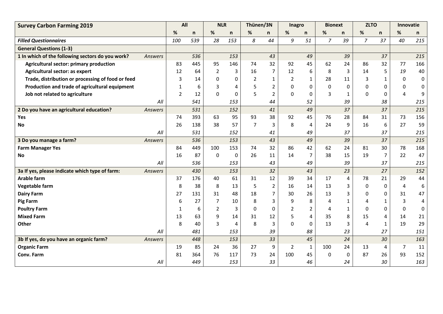| <b>Survey Carbon Farming 2019</b>                 |         | All            |              | <b>NLR</b>     |              | Thünen/3N      |                | <b>Inagro</b>  |                | <b>Bionext</b> |                  | <b>ZLTO</b>    |                | Innovatie      |           |
|---------------------------------------------------|---------|----------------|--------------|----------------|--------------|----------------|----------------|----------------|----------------|----------------|------------------|----------------|----------------|----------------|-----------|
|                                                   |         | %              | $\mathsf{n}$ | %              | $\mathsf{n}$ | %              | n              | $\%$           | n              | %              | n                | %              | $\mathsf{n}$   | %              | n         |
| <b>Filled Questionnaires</b>                      |         | 100            | 539          | 28             | 153          | 8              | 44             | 9              | 51             | $\overline{7}$ | 39               | $\overline{7}$ | 37             | 40             | 215       |
| <b>General Questions (1-3)</b>                    |         |                |              |                |              |                |                |                |                |                |                  |                |                |                |           |
| 1 In which of the following sectors do you work?  | Answers |                | 536          |                | 153          |                | 43             |                | 49             |                | 39               |                | 37             |                | 215       |
| Agricultural sector: primary production           |         | 83             | 445          | 95             | 146          | 74             | 32             | 92             | 45             | 62             | 24               | 86             | 32             | 77             | 166       |
| Agricultural sector: as expert                    |         | 12             | 64           | 2              | 3            | 16             | 7              | 12             | 6              | 8              | 3                | 14             | 5              | 19             | 40        |
| Trade, distribution or processing of food or feed |         | 3              | 14           | 0              | 0            | $\overline{2}$ | $\mathbf{1}$   | $\overline{2}$ | $\mathbf{1}$   | 28             | 11               | 3              | 1              | 0              | $\pmb{0}$ |
| Production and trade of agricultural equipment    |         | $\mathbf{1}$   | 6            | 3              | 4            | 5              | $\overline{2}$ | 0              | 0              | $\Omega$       | $\pmb{0}$        | 0              | $\Omega$       | $\Omega$       | 0         |
| Job not related to agriculture                    |         | $\overline{2}$ | 12           | $\mathbf{0}$   | $\Omega$     | 5              | $\overline{2}$ | $\mathbf{0}$   | $\Omega$       | 3              | $\mathbf{1}$     | 0              | 0              | 4              | 9         |
|                                                   | All     |                | 541          |                | 153          |                | 44             |                | 52             |                | 39               |                | 38             |                | 215       |
| 2 Do you have an agricultural education?          | Answers |                | 531          |                | 152          |                | 41             |                | 49             |                | 37               |                | 37             |                | 215       |
| Yes                                               |         | 74             | 393          | 63             | 95           | 93             | 38             | 92             | 45             | 76             | 28               | 84             | 31             | 73             | 156       |
| <b>No</b>                                         |         | 26             | 138          | 38             | 57           | $\overline{7}$ | 3              | 8              | 4              | 24             | 9                | 16             | 6              | 27             | 59        |
|                                                   | All     |                | 531          |                | 152          |                | 41             |                | 49             |                | 37               |                | 37             |                | 215       |
| 3 Do you manage a farm?                           | Answers |                | 536          |                | 153          |                | 43             |                | 49             |                | 39               |                | 37             |                | 215       |
| <b>Farm Manager Yes</b>                           |         | 84             | 449          | 100            | 153          | 74             | 32             | 86             | 42             | 62             | 24               | 81             | 30             | 78             | 168       |
| <b>No</b>                                         |         | 16             | 87           | $\mathbf{0}$   | $\Omega$     | 26             | 11             | 14             | $\overline{7}$ | 38             | 15               | 19             | $\overline{7}$ | 22             | 47        |
|                                                   | All     |                | 536          |                | 153          |                | 43             |                | 49             |                | 39               |                | 37             |                | 215       |
| 3a If yes, please indicate which type of farm:    | Answers |                | 430          |                | 153          |                | 32             |                | 43             |                | 23               |                | 27             |                | 152       |
| <b>Arable farm</b>                                |         | 37             | 176          | 40             | 61           | 31             | 12             | 39             | 34             | 17             | 4                | 78             | 21             | 29             | 44        |
| Vegetable farm                                    |         | 8              | 38           | 8              | 13           | 5              | $\overline{2}$ | 16             | 14             | 13             | 3                | $\mathbf{0}$   | 0              | $\overline{4}$ | 6         |
| <b>Dairy Farm</b>                                 |         | 27             | 131          | 31             | 48           | 18             | 7              | 30             | 26             | 13             | 3                | 0              | $\Omega$       | 31             | 47        |
| <b>Pig Farm</b>                                   |         | 6              | 27           | 7              | 10           | 8              | 3              | 9              | 8              | 4              | $\mathbf{1}$     | 4              | 1              | 3              | 4         |
| <b>Poultry Farm</b>                               |         | 1              | 6            | $\overline{2}$ | 3            | $\Omega$       | 0              | $\overline{2}$ | $\overline{2}$ | 4              | $\mathbf{1}$     | 0              | $\Omega$       | $\mathbf{0}$   | 0         |
| <b>Mixed Farm</b>                                 |         | 13             | 63           | 9              | 14           | 31             | 12             | 5              | 4              | 35             | 8                | 15             | 4              | 14             | 21        |
| Other                                             |         | 8              | 40           | 3              | 4            | 8              | 3              | $\mathbf 0$    | 0              | 13             | 3                | 4              | 1              | 19             | 29        |
|                                                   | All     |                | 481          |                | 153          |                | 39             |                | 88             |                | 23               |                | 27             |                | 151       |
| 3b If yes, do you have an organic farm?           | Answers |                | 448          |                | 153          |                | 33             |                | 45             |                | 24               |                | 30             |                | 163       |
| <b>Organic Farm</b>                               |         | 19             | 85           | 24             | 36           | 27             | 9              | 2              | 1              | 100            | 24               | 13             | 4              | 7              | 11        |
| Conv. Farm                                        |         | 81             | 364          | 76             | 117          | 73             | 24             | 100            | 45             | $\Omega$       | $\boldsymbol{0}$ | 87             | 26             | 93             | 152       |
|                                                   | All     |                | 449          |                | 153          |                | 33             |                | 46             |                | 24               |                | 30             |                | 163       |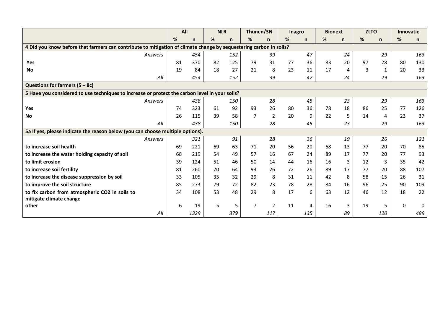|                                                                                                                    | All |              | <b>NLR</b> |     | Thünen/3N      |                | Inagro |              | <b>Bionext</b> |              | <b>ZLTO</b> |              | <b>Innovatie</b> |          |
|--------------------------------------------------------------------------------------------------------------------|-----|--------------|------------|-----|----------------|----------------|--------|--------------|----------------|--------------|-------------|--------------|------------------|----------|
|                                                                                                                    | %   | $\mathsf{n}$ | %          | n   | %              | n              | %      | $\mathsf{n}$ | %              | $\mathsf{n}$ | %           | $\mathsf{n}$ | %                | n.       |
| 4 Did you know before that farmers can contribute to mitigation of climate change by sequestering carbon in soils? |     |              |            |     |                |                |        |              |                |              |             |              |                  |          |
| Answers                                                                                                            |     | 454          |            | 152 |                | 39             |        | 47           |                | 24           |             | 29           |                  | 163      |
| Yes                                                                                                                | 81  | 370          | 82         | 125 | 79             | 31             | 77     | 36           | 83             | 20           | 97          | 28           | 80               | 130      |
| <b>No</b>                                                                                                          | 19  | 84           | 18         | 27  | 21             | 8              | 23     | 11           | 17             | 4            | 3           | 1            | 20               | 33       |
| All                                                                                                                |     | 454          |            | 152 |                | 39             |        | 47           |                | 24           |             | 29           |                  | 163      |
| Questions for farmers $(5 - 8c)$                                                                                   |     |              |            |     |                |                |        |              |                |              |             |              |                  |          |
| 5 Have you considered to use techniques to increase or protect the carbon level in your soils?                     |     |              |            |     |                |                |        |              |                |              |             |              |                  |          |
| Answers                                                                                                            |     | 438          |            | 150 |                | 28             |        | 45           |                | 23           |             | 29           |                  | 163      |
| Yes                                                                                                                | 74  | 323          | 61         | 92  | 93             | 26             | 80     | 36           | 78             | 18           | 86          | 25           | 77               | 126      |
| <b>No</b>                                                                                                          | 26  | 115          | 39         | 58  | $\overline{7}$ | $\overline{2}$ | 20     | 9            | 22             | 5            | 14          | 4            | 23               | 37       |
| All                                                                                                                |     | 438          |            | 150 |                | 28             |        | 45           |                | 23           |             | 29           |                  | 163      |
| 5a If yes, please indicate the reason below (you can choose multiple options).                                     |     |              |            |     |                |                |        |              |                |              |             |              |                  |          |
| Answers                                                                                                            |     | 321          |            | 91  |                | 28             |        | 36           |                | 19           |             | 26           |                  | 121      |
| to increase soil health                                                                                            | 69  | 221          | 69         | 63  | 71             | 20             | 56     | 20           | 68             | 13           | 77          | 20           | 70               | 85       |
| to increase the water holding capacity of soil                                                                     | 68  | 219          | 54         | 49  | 57             | 16             | 67     | 24           | 89             | 17           | 77          | 20           | 77               | 93       |
| to limit erosion                                                                                                   | 39  | 124          | 51         | 46  | 50             | 14             | 44     | 16           | 16             | 3            | 12          | 3            | 35               | 42       |
| to increase soil fertility                                                                                         | 81  | 260          | 70         | 64  | 93             | 26             | 72     | 26           | 89             | 17           | 77          | 20           | 88               | 107      |
| to increase the disease suppression by soil                                                                        | 33  | 105          | 35         | 32  | 29             | 8              | 31     | 11           | 42             | 8            | 58          | 15           | 26               | 31       |
| to improve the soil structure                                                                                      | 85  | 273          | 79         | 72  | 82             | 23             | 78     | 28           | 84             | 16           | 96          | 25           | 90               | 109      |
| to fix carbon from atmospheric CO2 in soils to                                                                     | 34  | 108          | 53         | 48  | 29             | 8              | 17     | 6            | 63             | 12           | 46          | 12           | 18               | 22       |
| mitigate climate change                                                                                            |     |              |            |     |                |                |        |              |                |              |             |              |                  |          |
| other                                                                                                              | 6   | 19           | 5          | 5   | $\overline{7}$ | $\overline{2}$ | 11     | 4            | 16             | 3            | 19          | 5            | $\mathbf{0}$     | $\Omega$ |
| All                                                                                                                |     | 1329         |            | 379 |                | 117            |        | 135          |                | 89           |             | 120          |                  | 489      |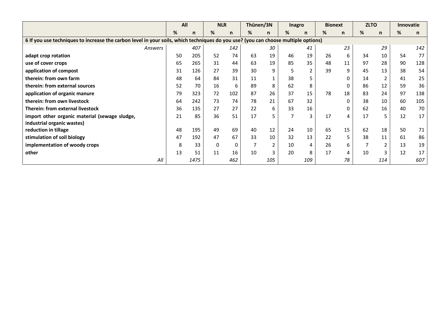|                                                                                                                                    | All |      | <b>NLR</b> |     | Thünen/3N |                | <b>Inagro</b> |                | <b>Bionext</b> |              | <b>ZLTO</b> |                | <b>Innovatie</b> |     |
|------------------------------------------------------------------------------------------------------------------------------------|-----|------|------------|-----|-----------|----------------|---------------|----------------|----------------|--------------|-------------|----------------|------------------|-----|
|                                                                                                                                    | %   | n    | %          | n   | %         | $\mathsf{n}$   | ℅             | n              | %              | $\mathsf{n}$ | %           | n              | %                | n   |
| 6 If you use techniques to increase the carbon level in your soils, which techniques do you use? (you can choose multiple options) |     |      |            |     |           |                |               |                |                |              |             |                |                  |     |
| Answers                                                                                                                            |     | 407  |            | 142 |           | 30             |               | 41             |                | 23           |             | 29             |                  | 142 |
| adapt crop rotation                                                                                                                | 50  | 205  | 52         | 74  | 63        | 19             | 46            | 19             | 26             | 6            | 34          | 10             | 54               | 77  |
| use of cover crops                                                                                                                 | 65  | 265  | 31         | 44  | 63        | 19             | 85            | 35             | 48             | 11           | 97          | 28             | 90               | 128 |
| application of compost                                                                                                             | 31  | 126  | 27         | 39  | 30        | 9              |               | $\overline{2}$ | 39             | 9            | 45          | 13             | 38               | 54  |
| therein: from own farm                                                                                                             | 48  | 64   | 84         | 31  | 11        | $\mathbf{1}$   | 38            |                |                | 0            | 14          | $\overline{2}$ | 41               | 25  |
| therein: from external sources                                                                                                     | 52  | 70   | 16         | 6   | 89        | 8              | 62            | 8              |                | 0            | 86          | 12             | 59               | 36  |
| application of organic manure                                                                                                      | 79  | 323  | 72         | 102 | 87        | 26             | 37            | 15             | 78             | 18           | 83          | 24             | 97               | 138 |
| therein: from own livestock                                                                                                        | 64  | 242  | 73         | 74  | 78        | 21             | 67            | 32             |                | $\mathbf 0$  | 38          | 10             | 60               | 105 |
| Therein: from external livestock                                                                                                   | 36  | 135  | 27         | 27  | 22        | 6              | 33            | 16             |                | 0            | 62          | 16             | 40               | 70  |
| import other organic material (sewage sludge,                                                                                      | 21  | 85   | 36         | 51  | 17        | 5              | 7             | 3              | 17             | 4            | 17          | 5              | 12               | 17  |
| industrial organic wastes)                                                                                                         |     |      |            |     |           |                |               |                |                |              |             |                |                  |     |
| reduction in tillage                                                                                                               | 48  | 195  | 49         | 69  | 40        | 12             | 24            | 10             | 65             | 15           | 62          | 18             | 50               | 71  |
| stimulation of soil biology                                                                                                        | 47  | 192  | 47         | 67  | 33        | 10             | 32            | 13             | 22             | 5            | 38          | 11             | 61               | 86  |
| implementation of woody crops                                                                                                      | 8   | 33   | 0          | 0   |           | $\overline{2}$ | 10            | 4              | 26             | 6            |             | $\overline{2}$ | 13               | 19  |
| other                                                                                                                              | 13  | 51   | 11         | 16  | 10        | 3              | 20            | 8              | 17             | 4            | 10          | 3              | 12               | 17  |
| All                                                                                                                                |     | 1475 |            | 462 |           | 105            |               | 109            |                | 78           |             | 114            |                  | 607 |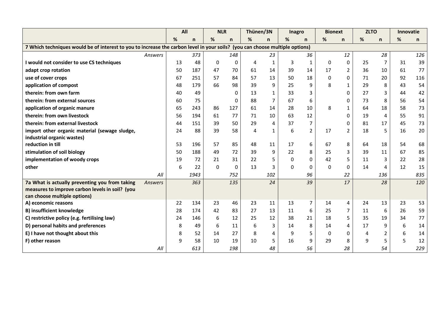|                                                                                                                              |         | All |      | <b>NLR</b>   |              | Thünen/3N |                | <b>Inagro</b> |                | <b>Bionext</b> |                | <b>ZLTO</b> |                | <b>Innovatie</b> |     |
|------------------------------------------------------------------------------------------------------------------------------|---------|-----|------|--------------|--------------|-----------|----------------|---------------|----------------|----------------|----------------|-------------|----------------|------------------|-----|
|                                                                                                                              |         | %   | n    | %            | $\mathsf{n}$ | %         | n              | %             | $\mathsf{n}$   | %              | n              | %           | n              | $\%$             | n   |
| 7 Which techniques would be of interest to you to increase the carbon level in your soils? (you can choose multiple options) |         |     |      |              |              |           |                |               |                |                |                |             |                |                  |     |
|                                                                                                                              | Answers |     | 373  |              | 148          |           | 23             |               | 36             |                | 12             |             | 28             |                  | 126 |
| I would not consider to use CS techniques                                                                                    |         | 13  | 48   | 0            | 0            | 4         | 1              | 3             | 1              | 0              | 0              | 25          | 7              | 31               | 39  |
| adapt crop rotation                                                                                                          |         | 50  | 187  | 47           | 70           | 61        | 14             | 39            | 14             | 17             | $\overline{2}$ | 36          | 10             | 61               | 77  |
| use of cover crops                                                                                                           |         | 67  | 251  | 57           | 84           | 57        | 13             | 50            | 18             | 0              | 0              | 71          | 20             | 92               | 116 |
| application of compost                                                                                                       |         | 48  | 179  | 66           | 98           | 39        | 9              | 25            | 9              | 8              | $\mathbf{1}$   | 29          | 8              | 43               | 54  |
| therein: from own farm                                                                                                       |         | 40  | 49   |              | 0            | 13        | $\mathbf{1}$   | 33            | 3              |                | 0              | 27          | 3              | 44               | 42  |
| therein: from external sources                                                                                               |         | 60  | 75   |              | 0            | 88        | $\overline{7}$ | 67            | 6              |                | 0              | 73          | 8              | 56               | 54  |
| application of organic manure                                                                                                |         | 65  | 243  | 86           | 127          | 61        | 14             | 28            | 10             | 8              | 1              | 64          | 18             | 58               | 73  |
| therein: from own livestock                                                                                                  |         | 56  | 194  | 61           | 77           | 71        | 10             | 63            | 12             |                | $\Omega$       | 19          | 4              | 55               | 91  |
| therein: from external livestock                                                                                             |         | 44  | 151  | 39           | 50           | 29        | $\overline{4}$ | 37            | $\overline{7}$ |                | 0              | 81          | 17             | 45               | 73  |
| import other organic material (sewage sludge,                                                                                |         | 24  | 88   | 39           | 58           | 4         | $\mathbf{1}$   | 6             | $\overline{2}$ | 17             | $\overline{2}$ | 18          | 5              | 16               | 20  |
| industrial organic wastes)                                                                                                   |         |     |      |              |              |           |                |               |                |                |                |             |                |                  |     |
| reduction in till                                                                                                            |         | 53  | 196  | 57           | 85           | 48        | 11             | 17            | 6              | 67             | 8              | 64          | 18             | 54               | 68  |
| stimulation of soil biology                                                                                                  |         | 50  | 188  | 49           | 72           | 39        | 9              | 22            | 8              | 25             | 3              | 39          | 11             | 67               | 85  |
| implementation of woody crops                                                                                                |         | 19  | 72   | 21           | 31           | 22        | 5              | 0             | $\mathbf{0}$   | 42             | 5              | 11          | 3              | 22               | 28  |
| other                                                                                                                        |         | 6   | 22   | $\mathbf{0}$ | 0            | 13        | 3              | $\Omega$      | $\mathbf{0}$   | $\Omega$       | 0              | 14          | 4              | 12               | 15  |
|                                                                                                                              | All     |     | 1943 |              | 752          |           | 102            |               | 96             |                | 22             |             | 136            |                  | 835 |
| 7a What is actually preventing you from taking                                                                               | Answers |     | 363  |              | 135          |           | 24             |               | 39             |                | 17             |             | 28             |                  | 120 |
| measures to improve carbon levels in soil? (you                                                                              |         |     |      |              |              |           |                |               |                |                |                |             |                |                  |     |
| can choose multiple options)<br>A) economic reasons                                                                          |         | 22  | 134  | 23           | 46           | 23        | 11             | 13            | $\overline{7}$ | 14             | 4              | 24          | 13             | 23               | 53  |
| <b>B) insufficient knowledge</b>                                                                                             |         | 28  | 174  | 42           | 83           | 27        | 13             | 11            | 6              | 25             | 7              | 11          | 6              | 26               | 59  |
| C) restrictive policy (e.g. fertilising law)                                                                                 |         | 24  | 146  | 6            | 12           | 25        | 12             | 38            | 21             | 18             | 5              | 35          | 19             | 34               | 77  |
| D) personal habits and preferences                                                                                           |         | 8   | 49   | 6            | 11           | 6         | 3              | 14            | 8              | 14             | $\overline{4}$ | 17          | 9              | 6                | 14  |
| E) I have not thought about this                                                                                             |         | 8   | 52   | 14           | 27           | 8         | 4              | 9             | 5              | $\mathbf{0}$   | 0              | 4           | $\overline{2}$ | 6                | 14  |
| F) other reason                                                                                                              |         | 9   | 58   | 10           | 19           | 10        | 5              | 16            | 9              | 29             | 8              | 9           | 5              | 5                | 12  |
|                                                                                                                              | All     |     | 613  |              | 198          |           | 48             |               | 56             |                | 28             |             | 54             |                  | 229 |
|                                                                                                                              |         |     |      |              |              |           |                |               |                |                |                |             |                |                  |     |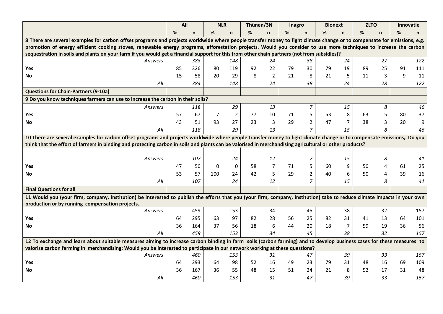|                                                                                                                                                                           | All |     | <b>NLR</b> |                | Thünen/3N |                  | Inagro |                | <b>Bionext</b> |                | <b>ZLTO</b> |    | <b>Innovatie</b> |     |
|---------------------------------------------------------------------------------------------------------------------------------------------------------------------------|-----|-----|------------|----------------|-----------|------------------|--------|----------------|----------------|----------------|-------------|----|------------------|-----|
|                                                                                                                                                                           | %   | n   | %          | $\mathsf{n}$   | %         | n.               | %      | n              | %              | n              | %           | n. | %                | n.  |
| 8 There are several examples for carbon offset programs and projects worldwide where people transfer money to fight climate change or to compensate for emissions, e.g.   |     |     |            |                |           |                  |        |                |                |                |             |    |                  |     |
| promotion of energy efficient cooking stoves, renewable energy programs, afforestation projects. Would you consider to use more techniques to increase the carbon         |     |     |            |                |           |                  |        |                |                |                |             |    |                  |     |
| sequestration in soils and plants on your farm if you would get a financial support for this from other chain partners (not from subsidies)?                              |     |     |            |                |           |                  |        |                |                |                |             |    |                  |     |
| Answers                                                                                                                                                                   |     | 383 |            | 148            |           | 24               |        | 38             |                | 24             |             | 27 |                  | 122 |
| Yes                                                                                                                                                                       | 85  | 326 | 80         | 119            | 92        | 22               | 79     | 30             | 79             | 19             | 89          | 25 | 91               | 111 |
| <b>No</b>                                                                                                                                                                 | 15  | 58  | 20         | 29             | 8         | $\mathbf 2$      | 21     | 8              | 21             | 5              | 11          | 3  | 9                | 11  |
| All                                                                                                                                                                       |     | 384 |            | 148            |           | 24               |        | 38             |                | 24             |             | 28 |                  | 122 |
| <b>Questions for Chain-Partners (9-10a)</b>                                                                                                                               |     |     |            |                |           |                  |        |                |                |                |             |    |                  |     |
| 9 Do you know techniques farmers can use to increase the carbon in their soils?                                                                                           |     |     |            |                |           |                  |        |                |                |                |             |    |                  |     |
| Answers                                                                                                                                                                   |     | 118 |            | 29             |           | 13               |        | $\overline{7}$ |                | 15             |             | 8  |                  | 46  |
| Yes                                                                                                                                                                       | 57  | 67  | 7          | $\overline{2}$ | 77        | 10               | 71     | 5              | 53             | 8              | 63          | 5  | 80               | 37  |
| No                                                                                                                                                                        | 43  | 51  | 93         | 27             | 23        | 3                | 29     | $\overline{2}$ | 47             | $\overline{7}$ | 38          | 3  | 20               | 9   |
| All                                                                                                                                                                       |     | 118 |            | 29             |           | 13               |        | $\overline{7}$ |                | 15             |             | 8  |                  | 46  |
| 10 There are several examples for carbon offset programs and projects worldwide where people transfer money to fight climate change or to compensate emissions,. Do you   |     |     |            |                |           |                  |        |                |                |                |             |    |                  |     |
| think that the effort of farmers in binding and protecting carbon in soils and plants can be valorised in merchandising agricultural or other products?                   |     |     |            |                |           |                  |        |                |                |                |             |    |                  |     |
|                                                                                                                                                                           |     |     |            |                |           |                  |        |                |                |                |             |    |                  |     |
| Answers                                                                                                                                                                   |     | 107 |            | 24             |           | 12               |        | 7              |                | 15             |             | 8  |                  | 41  |
| Yes                                                                                                                                                                       | 47  | 50  | 0          | $\pmb{0}$      | 58        | $\overline{7}$   | 71     | 5              | 60             | 9              | 50          | 4  | 61               | 25  |
| <b>No</b>                                                                                                                                                                 | 53  | 57  | 100        | 24             | 42        | 5                | 29     | $\overline{2}$ | 40             | 6              | 50          | 4  | 39               | 16  |
| All                                                                                                                                                                       |     | 107 |            | 24             |           | 12               |        | $\overline{7}$ |                | 15             |             | 8  |                  | 41  |
| <b>Final Questions for all</b>                                                                                                                                            |     |     |            |                |           |                  |        |                |                |                |             |    |                  |     |
| 11 Would you (your firm, company, institution) be interested to publish the efforts that you (your firm, company, institution) take to reduce climate impacts in your own |     |     |            |                |           |                  |        |                |                |                |             |    |                  |     |
| production or by running compensation projects.                                                                                                                           |     |     |            |                |           |                  |        |                |                |                |             |    |                  |     |
| Answers                                                                                                                                                                   |     | 459 |            | 153            |           | 34               |        | 45             |                | 38             |             | 32 |                  | 157 |
| Yes                                                                                                                                                                       | 64  | 295 | 63         | 97             | 82        | 28               | 56     | 25             | 82             | 31             | 41          | 13 | 64               | 101 |
| <b>No</b>                                                                                                                                                                 | 36  | 164 | 37         | 56             | 18        | $\boldsymbol{6}$ | 44     | 20             | 18             | $\overline{7}$ | 59          | 19 | 36               | 56  |
| All                                                                                                                                                                       |     | 459 |            | 153            |           | 34               |        | 45             |                | 38             |             | 32 |                  | 157 |
| 12 To exchange and learn about suitable measures aiming to increase carbon binding in farm soils (carbon farming) and to develop business cases for these measures to     |     |     |            |                |           |                  |        |                |                |                |             |    |                  |     |
| valorise carbon farming in merchandising: Would you be interested to participate in our network working at these questions?                                               |     |     |            |                |           |                  |        |                |                |                |             |    |                  |     |
| Answers                                                                                                                                                                   |     | 460 |            | 153            |           | 31               |        | 47             |                | 39             |             | 33 |                  | 157 |
| Yes                                                                                                                                                                       | 64  | 293 | 64         | 98             | 52        | 16               | 49     | 23             | 79             | 31             | 48          | 16 | 69               | 109 |
| No                                                                                                                                                                        | 36  | 167 | 36         | 55             | 48        | 15               | 51     | 24             | 21             | 8              | 52          | 17 | 31               | 48  |
| All                                                                                                                                                                       |     | 460 |            | 153            |           | 31               |        | 47             |                | 39             |             | 33 |                  | 157 |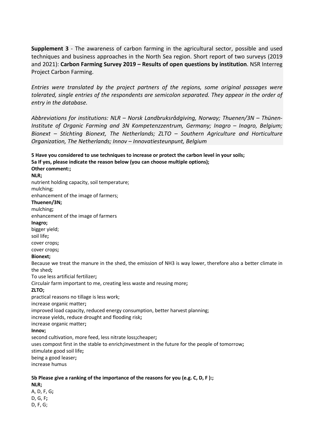**Supplement 3** - The awareness of carbon farming in the agricultural sector, possible and used techniques and business approaches in the North Sea region. Short report of two surveys (2019 and 2021): **Carbon Farming Survey 2019 – Results of open questions by institution**. NSR Interreg Project Carbon Farming.

*Entries were translated by the project partners of the regions, some original passages were tolerated, single entries of the respondents are semicolon separated. They appear in the order of entry in the database.* 

*Abbreviations for institutions: NLR – Norsk Landbruksrådgiving, Norway; Thuenen/3N – Thünen-Institute of Organic Farming and 3N Kompetenzzentrum, Germany; Inagro – Inagro, Belgium; Bionext – Stichting Bionext, The Netherlands; ZLTO – Southern Agriculture and Horticulture Organization, The Netherlands; Innov – Innovatiesteunpunt, Belgium*

**5 Have you considered to use techniques to increase or protect the carbon level in your soils; 5a If yes, please indicate the reason below (you can choose multiple options); Other comment:; NLR;** nutrient holding capacity, soil temperature; mulching; enhancement of the image of farmers; **Thuenen/3N;** mulching**;** enhancement of the image of farmers **Inagro;** bigger yield; soil life**;** cover crops**;** cover crops**; Bionext;** Because we treat the manure in the shed, the emission of NH3 is way lower, therefore also a better climate in the shed**;** To use less artificial fertilizer**;** Circulair farm important to me, creating less waste and reusing more**; ZLTO;** practical reasons no tillage is less work; increase organic matter**;** improved load capacity, reduced energy consumption, better harvest planning; increase yields, reduce drought and flooding risk**;** increase organic matter**; Innov;** second cultivation, more feed, less nitrate loss**;**cheaper**;** uses compost first in the stable to enrich**;**investment in the future for the people of tomorrow**;** stimulate good soil life**;** being a good leaser**;** increase humus **5b Please give a ranking of the importance of the reasons for you (e.g. C, D, F ):;**

**NLR;** A, D, F, G**;** D, G, F**;** D, F, G;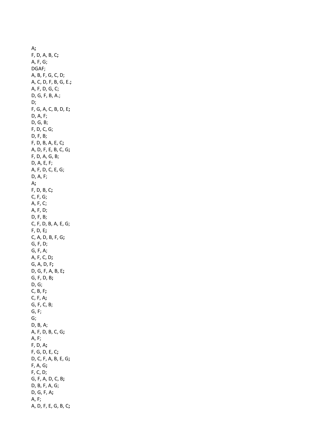A**;** F, D, A, B, C**;** A, F, G; DGAF; A, B, F, G, C, D; A, C, D, F, B, G, E.**;** A, F, D, G, C; D, G, F, B, A.; D; F, G, A, C, B, D, E**;** D, A, F; D, G, B; F, D, C, G; D, F, B; F, D, B, A, E, C**;** A, D, F, E, B, C, G**;** F, D, A, G, B; D, A, E, F; A, F, D, C, E, G; D, A, F; A**;** F, D, B, C**;** C, F, G; A, F, C; A, F, D; D, F, B; C, F, D, B, A, E, G; F, D, E**;** C, A, D, B, F, G**;** G, F, D; G, F, A; A, F, C, D**;** G, A, D, F**;** D, G, F, A, B, E**;** G, F, D, B**;** D, G; C, B, F**;** C, F, A**;** G, F, C, B; G, F; G; D, B, A; A, F, D, B, C, G**;** A, F; F, D, A**;** F, G, D, E, C**;** D, C, F, A, B, E, G**;** F, A, G**;** F, C, D; G, F, A, D, C, B**;** D, B, F, A, G; D, G, F, A**;** A, F; A, D, F, E, G, B, C**;**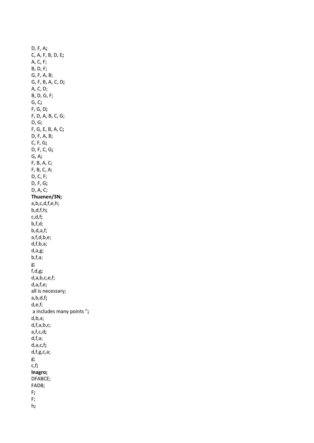D, F, A**;** C, A, F, B, D, E**;** A, C, F; B, D, F; G, F, A, B; G, F, B, A, C, D**;** A, C, D; B, D, G, F; G, C**;** F, G, D**;** F, D, A, B, C, G; D, G; F, G, E, B, A, C**;** D, F, A, B; C, F, G**;** D, F, C, G**;** G, A**;** F, B, A, C; F, B, C, A; D, C, F; D, F, G**;** D, A, C; **Thuenen/3N;** a,b,c,d,f,e,h; b,d,f,h**;** c,d,f**;** b,f,d; b,d,a,f; a,f,d,b,e; d,f,b,a; d,a,g; b,f,a; g; f,d,g**;** d,a,b,c,e,f; d,a,f,e; all is necessary; a,b,d,f**;** d,e,f; a includes many points "**;** d,b,a; d,f,a,b,c; a,f,c,d**;** d,f,a; d,a,c,f**;** d,f,g,c,a; g; c,f**; Inagro;** DFABCE; FADB; F**;** F; h**;**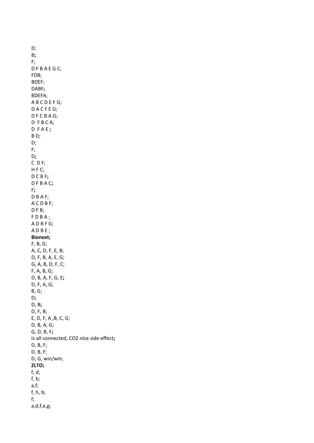D; B**;** F; D F B A E G C; FDB; BDEF; DABF**;** BDEFA; A B C D E F G; D A C F E G; D F C B A G; D F B C A; D F A E **;** B D; D; F; D**;** C D F; H F C; D C B F**;** D F B A C**;** F**;** D B A F; A C D B F; DFB; F D B A ; A D B F G; A D B E ; **Bionext;** F, B, G; A, C, D, F, E, B; D, F, B, A, E, G; G, A, B, D, F, C; F, A, B, G; D, B, A, F, G, E**;** D, F, A, G; B, G; D**;** D, B**;** D, F, B; E, D, F, A ,B, C, G; D, B, A, G; G, D, B, F**;** Is all connected, CO2 nice side effect**;** D, B, F; D, B, F; D, G, win/win; **ZLTO;** f, d; f, b; a,f; f, h, b; f; a,d,f,e,g;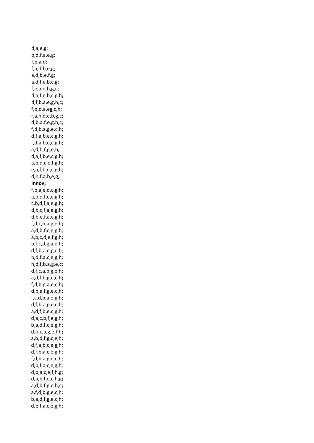d,a,e,g; b,d,f,a,e,g; f,b,a,d; f,a,d,b,e,g; a,d,b,e,f,g; a,d,f,e,b,c,g; f,e,a,d,b,g,c; d,a,f,e,b,c,g,h**;** d,f,b,a,e,g,h,c; f,b,d,a,eg,c,h; f,a,h,d,e,b,g,c; d,b,a,f,e,g,h,c; f,d,b,a,g,e,c,h**;** d,f,a,b,e,c,g,h**;** f,d,a,b,e,c,g,h; a,d,b,f,g,e,h**;** d,a,f,b,e,c,g,h; a,b,d,c,e,f,g,h; e,a,f,b,d,c,g,h; d,h,f,a,b,e,g**; Innov;** f,b,a,e,d,c,g,h**;** a,b,d,f,e,c,g,h; c,b,d,f,a,e,g,h**;** d,b,c,f,a,e,g,h; d,b,e,f,a,c,g,h; f,d,c,b,a,g,e,h**;** a,d,b,f,c,e,g,h; a,b,c,d,e,f,g,h; b,f,c,d,g,a,e,h; d,f,b,a,e,g,c,h; b,d,f,a,c,e,g,h; h,d,f,b,a,g,e,c; d,f,c,a,b,g,e,h; a,d,f,b,g,e,c,h**;** f,d,b,g,a,e,c,h**;** d,b,a,f,g,e,c,h**;** f,c,d,b,a,e,g,h; d,f,b,a,g,e,c,h; a,d,f,b,e,c,g,h; d,a,c,b,f,e,g,h**;** b,a,d,f,c,e,g,h; d,b,c,a,g,e,f,h**;** a,b,d,f,g,c,e,h; d,f,a,b,c,e,g,h; d,f,b,a,c,e,g,h; f,d,b,a,g,e,c,h; d,b,f,a,c,e,g,h; d,b,a,c,e,f,h,g; d,a,b,f,e,c,h,g**;** a,d,b,f,g,e,h,c**;** a,f,d,b,g,e,c,h; b,a,d,f,g,e,c,h; d,b,f,a,c,e,g,h;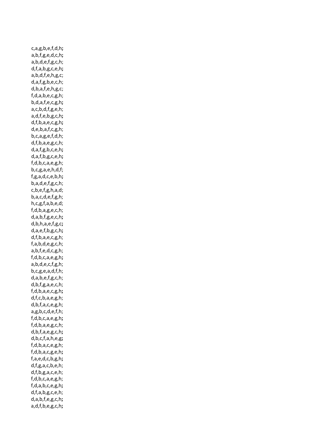c,a,g,b,e,f,d,h**;** a,b,f,g,e,d,c,h**;** a,b,d,e,f,g,c,h; d,f,a,b,g,c,e,h**;** a,b,d,f,e,h,g,c; d,a,f,g,b,e,c,h; d,b,a,f,e,h,g,c; f,d,a,b,e,c,g,h; b,d,a,f,e,c,g,h**;** a,c,b,d,f,g,e,h; a,d,f,e,b,g,c,h**;** d,f,b,a,e,c,g,h**;** d,e,b,a,f,c,g,h; b,c,a,g,e,f,d,h; d,f,b,a,e,g,c,h; d,a,f,g,b,c,e,h**;** d,a,f,b,g,c,e,h**;** f,d,b,c,a,e,g,h; b,c,g,a,e,h,d,f; f,g,a,d,c,e,b,h**;** b,a,d,e,f,g,c,h; c,b,e,f,g,h,a,d; b,a,c,d,e,f,g,h; h,c,g,f,a,b,e,d; f,d,b,a,g,e,c,h; d,a,b,f,g,e,c,h**;** d,b,h,a,e,f,g,c**;** d,a,e,f,b,g,c,h**;** d,f,b,a,e,c,g,h; f,a,b,d,e,g,c,h; a,b,f,e,d,c,g,h; f,d,b,c,a,e,g,h**;** a,b,d,e,c,f,g,h; b,c,g,e,a,d,f,h; d,a,b,e,f,g,c,h; d,b,f,g,a,e,c,h; f,d,b,a,e,c,g,h**;** d,f,c,b,a,e,g,h; d,b,f,a,c,e,g,h; a,g,b,c,d,e,f,h; f,d,b,c,a,e,g,h**;** f,d,b,a,e,g,c,h; d,b,f,a,e,g,c,h**;** d,b,c,f,a,h,e,g**;** f,d,b,a,c,e,g,h; f,d,b,a,c,g,e,h**;** f,a,e,d,c,b,g,h**;** d,f,g,a,c,b,e,h; d,f,b,g,a,c,e,h; f,d,b,c,a,e,g,h; f,d,a,b,c,e,g,h**;** d,f,a,b,g,c,e,h; d,a,b,f,e,g,c,h**;** a,d,f,b,e,g,c,h**;**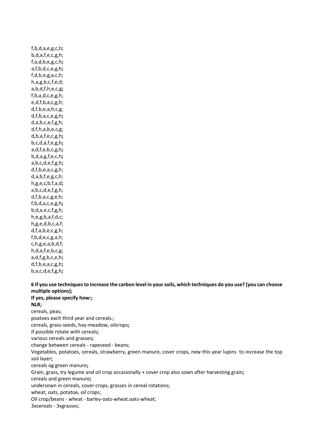f,b,d,a,e,g,c,h**;** b,d,a,f,e,c,g,h; f,a,d,b,e,g,c,h**;** a,f,b,d,c,e,g,h**;** f,d,b,e,g,a,c,h; h,a,g,b,c,f,e,d; a,b,d,f,h,e,c,g**;** f,b,a,d,c,e,g,h; e,d,f,b,a,c,g,h; d,f,b,e,a,h,c,g; d,f,b,a,c,e,g,h**;** d,a,b,c,e,f,g,h; d,f,h,a,b,e,c,g; d,b,a,f,e,c,g,h**;** b,c,d,a,f,e,g,h**;** a,d,f,e,b,c,g,h**;** b,d,a,g,f,e,c,h**;** a,b,c,d,e,f,g,h**;** d,f,b,e,a,c,g,h; d,a,b,f,e,g,c,h; h,g,e,c,b,f,a,d**;** a,b,c,d,e,f,g,h; d,f,b,a,c,g,e,h; f,b,d,a,c,e,g,h**;** b,d,a,e,c,f,g,h; h,e,g,b,a,f,d,c; h,g,e,d,b,c,a,f; d,f,a,b,e,c,g,h; f,b,d,e,c,g,a,h; c,h,g,e,a,b,d,f; h,d,a,f,e,b,c,g; a,d,f,g,b,c,e,h**;** d,f,b,e,a,c,g,h**;** b,a,c,d,e,f,g,h**;**

**6 If you use techniques to increase the carbon level in your soils, which techniques do you use? (you can choose multiple options); If yes, please specify how:; NLR;** cereals, peas; poatoes each third year and cereals.; cereals, grass-seeds, hay-meadow, oilcrops**;** if possible rotate with cereals**;** various cereals and grasses**;** change between cereals - rapeseed - beans; Vegetables, potatoes, cereals, strawberry, green manure, cover crops, new this year lupins to increase the top soil layer**;** cereals og green manure**;** Grain, grass, try legume and oil crop occasionally + cover crop also sown after harvesting grain**;** cereals and green manure**;** undersown in cereals, cover crops, grasses in cereal rotations; wheat, oats, potatoe, oil crops; Oil crop/beans - wheat - barley-oats-wheat.oats-wheat; 3xcereals - 3xgrasses;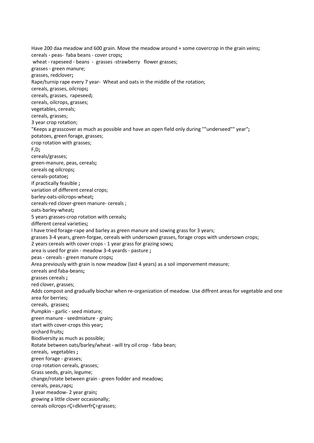Have 200 daa meadow and 600 grain. Move the meadow around + some covercrop in the grain veins**;** cereals - peas- faba beans - cover crops**;** wheat - rapeseed - beans - grasses -strawberry flower grasses; grasses - green manure; grasses, redclover**;** Rape/turnip rape every 7 year- Wheat and oats in the middle of the rotation; cereals, grasses, oilcrops**;** cereals, grasses, rapeseed**;** cereals, oilcrops, grasses; vegetables, cereals; cereals, grasses; 3 year crop rotation; "Keeps a grasscover as much as possible and have an open field only during ""underseed"" year"**;** potatoes, green forage, grasses; crop rotation with grasses; F,D**;** cereals/grasses; green-manure, peas, cereals**;** cereals og oilcrops**;** cereals-potatoe**;** if practically feasible **;** variation of different cereal crops; barley-oats-oilcrops-wheat**;** cereals-red clover-green manure- cereals ; oats-barley-wheat**;** 5 years grasses-crop rotation with cereals**;** different cereal varieties**;** I have tried forage-rape and barley as green manure and sowing grass for 3 years; grasses 3-4 years, green-forgae, cereals with undersown grasses, forage crops with undersown crops; 2 years cereals with cover crops - 1 year grass for grazing sows**;** area is used for grain - meadow 3-4 yeards - pasture **;** peas - cereals - green manure crops**;** Area previously with grain is now meadow (last 4 years) as a soil imporvement measure; cereals and faba-beans**;** grasses cereals **;** red clover, grasses; Adds compost and gradually biochar when re-organization of meadow. Use diffrent areas for vegetable and one area for berries**;** cereals, grasses**;** Pumpkin - garlic - seed mixture; green manure - seedmixture - grain**;** start with cover-crops this year**;** orchard fruits**;** Biodiversity as much as possible; Rotate between oats/barley/wheat - will try oil crop - faba bean; cereals, vegetables **;** green forage - grasses; crop rotation cereals, grasses; Grass seeds, grain, legume; change/rotate between grain - green fodder and meadow**;** cereals, peas,raps**;** 3 year meadow- 2 year grain**;** growing a little clover occasionally; cereals oilcrops rÇ÷dklverfrÇ÷grasses;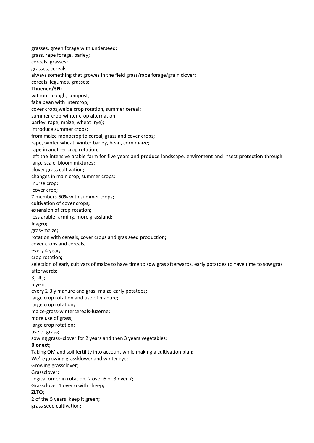grasses, green forage with underseed**;** grass, rape forage, barley**;** cereals, grasses**;** grasses, cereals; always something that growes in the field grass/rape forage/grain clover**;** cereals, legumes, grasses; **Thuenen/3N;** without plough, compost; faba bean with intercrop**;** cover crops,weide crop rotation, summer cereal**;** summer crop-winter crop alternation; barley, rape, maize, wheat (rye)**;** introduce summer crops; from maize monocrop to cereal, grass and cover crops; rape, winter wheat, winter barley, bean, corn maize; rape in another crop rotation; left the intensive arable farm for five years and produce landscape, enviroment and insect protection through large-scale bloom mixtures**;** clover grass cultivation; changes in main crop, summer crops; nurse crop; cover crop; 7 members-50% with summer crops**;** cultivation of cover crops**;** extension of crop rotation**;** less arable farming, more grassland**; Inagro;** gras+maize**;** rotation with cereals, cover crops and gras seed production**;** cover crops and cereals**;** every 4 year**;** crop rotation**;** selection of early cultivars of maize to have time to sow gras afterwards, early potatoes to have time to sow gras afterwards**;** 3j -4 j; 5 year; every 2-3 y manure and gras -maize-early potatoes**;** large crop rotation and use of manure**;** large crop rotation**;** maize-grass-wintercereals-luzerne**;** more use of grass**;** large crop rotation; use of grass**;** sowing grass+clover for 2 years and then 3 years vegetables; **Bionext**; Taking OM and soil fertility into account while making a cultivation plan; We're growing grassklower and winter rye; Growing grassclover; Grassclover**;** Logical order in rotation, 2 over 6 or 3 over 7**;** Grassclover 1 over 6 with sheep**; ZLTO**; 2 of the 5 years: keep it green**;** grass seed cultivation**;**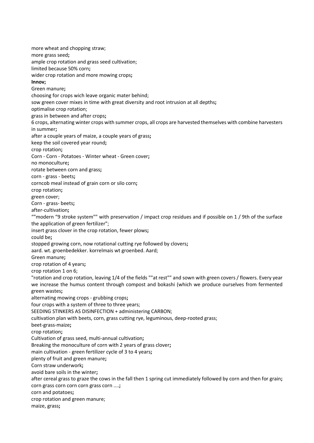more wheat and chopping straw; more grass seed**;** ample crop rotation and grass seed cultivation; limited because 50% corn**;** wider crop rotation and more mowing crops**; Innov;** Green manure**;** choosing for crops wich leave organic mater behind; sow green cover mixes in time with great diversity and root intrusion at all depths**;** optimalise crop rotation; grass in between and after crops**;** 6 crops, alternating winter crops with summer crops, all crops are harvested themselves with combine harvesters in summer**;** after a couple years of maize, a couple years of grass**;** keep the soil covered year round**;** crop rotation**;** Corn - Corn - Potatoes - Winter wheat - Green cover**;** no monoculture**;** rotate between corn and grass**;** corn - grass - beets**;** corncob meal instead of grain corn or silo corn**;** crop rotation**;** green cover; Corn - grass- beets**;** after-cultivation**;** ""modern "9 stroke system"" with preservation / impact crop residues and if possible on 1 / 9th of the surface the application of green fertilizer"; insert grass clover in the crop rotation, fewer plows**;** could be**;** stopped growing corn, now rotational cutting rye followed by clovers**;** aard. wt. groenbedekker. korrelmais wt groenbed. Aard; Green manure**;** crop rotation of 4 years**;** crop rotation 1 on 6; "rotation and crop rotation, leaving 1/4 of the fields ""at rest"" and sown with green covers / flowers. Every year we increase the humus content through compost and bokashi (which we produce ourselves from fermented green wastes**;** alternating mowing crops - grubbing crops**;** four crops with a system of three to three years; SEEDING STINKERS AS DISINFECTION + administering CARBON; cultivation plan with beets, corn, grass cutting rye, leguminous, deep-rooted grass; beet-grass-maize**;** crop rotation**;** Cultivation of grass seed, multi-annual cultivation**;** Breaking the monoculture of corn with 2 years of grass clover**;** main cultivation - green fertilizer cycle of 3 to 4 years**;** plenty of fruit and green manure**;** Corn straw underwork**;** avoid bare soils in the winter**;** after cereal grass to graze the cows in the fall then 1 spring cut immediately followed by corn and then for grain**;** corn grass corn corn corn grass corn ....**;** corn and potatoes**;** crop rotation and green manure; maize, grass**;**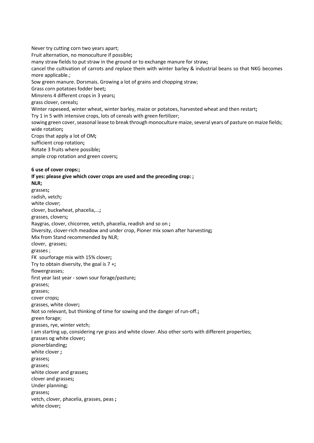Never try cutting corn two years apart; Fruit alternation, no monoculture if possible**;** many straw fields to put straw in the ground or to exchange manure for straw**;** cancel the cultivation of carrots and replace them with winter barley & industrial beans so that NKG becomes more applicable.; Sow green manure. Dorsmais. Growing a lot of grains and chopping straw; Grass corn potatoes fodder beet**;** Minsrens 4 different crops in 3 years**;** grass clover, cereals**;** Winter rapeseed, winter wheat, winter barley, maize or potatoes, harvested wheat and then restart**;** Try 1 in 5 with intensive crops, lots of cereals with green fertilizer; sowing green cover, seasonal lease to break through monoculture maize, several years of pasture on maize fields; wide rotation**;** Crops that apply a lot of OM**;** sufficient crop rotation**;** Rotate 3 fruits where possible**;** ample crop rotation and green covers**; 6 use of cover crops:; If yes: please give which cover crops are used and the preceding crop: ; NLR;** grasses**;** radish, vetch**;** white clover; clover, buckwheat, phacelia,...**;** grasses, clovers**;** Raygras, clover, chicorree, vetch, phacelia, readish and so on **;** Diversity, clover-rich meadow and under crop, Pioner mix sown after harvesting**;** Mix from Stand recommended by NLR; clover, grasses; grasses ; FK sourforage mix with 15% clover**;** Try to obtain diversity, the goal is 7 +**;** flowergrasses; first year last year - sown sour forage/pasture**;** grasses; grasses; cover crops**;** grasses, white clover**;** Not so relevant, but thinking of time for sowing and the danger of run-off.**;** green forage; grasses, rye, winter vetch; I am starting up, considering rye grass and white clover. Also other sorts with different properties; grasses og white clover**;** pionerblanding**;** white clover **;** grasses**;** grasses; white clover and grasses**;** clover and grasses**;** Under planning**;** grasses**;**

vetch, clover, phacelia, grasses, peas **;**

white clover**;**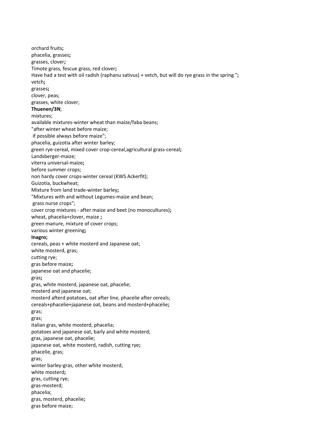orchard fruits**;** phacelia, grasses**;** grasses, clover**;** Timote grass, fescue grass, red clover**;** Have had a test with oil radish (raphanu sativus) + vetch, but will do rye grass in the spring "**;** vetch**;** grasses**;** clover, peas; grasses, white clover; **Thuenen/3N**; mixtures; available mixtures-winter wheat than maize/faba beans; "after winter wheat before maize; if possible always before maize"; phacelia, guizotia after winter barley; green rye-cereal, mixed cover crop-cereal,agricultural grass-cereal**;** Landsberger-maize; viterra universal-maize**;** before summer crops; non hardy cover crops-winter cereal (KWS Ackerfit); Guizotia, buckwheat; Mixture from land trade-winter barley**;** "Mixtures with and without Legumes-maize and bean; grass nurse crops"; cover crop mixtures - after maize and beet (no monocultures)**;** wheat, phacelia+clover, maize **;** green manure, mixture of cover crops; various winter greening**; Inagro;** cereals, peas + white mosterd and Japanese oat; white mosterd, gras; cutting rye; gras before maize**;** japanese oat and phacelie; gras**;** gras, white mosterd, japanese oat, phacelie; mosterd and japanese oat; mosterd afterd potatoes, oat after line, phacelie after cereals; cereals+phacelie+japanese oat, beans and mosterd+phacelie**;** gras; gras; italian gras, white mosterd, phacelia; potatoes and japanese oat, barly and white mosterd; gras, japanese oat, phacelie; japanese oat, white mosterd, radish, cutting rye**;** phacelie, gras; gras; winter barley-gras, other white mosterd; white mosterd**;** gras, cutting rye; gras-mosterd; phacelia; gras, mosterd, phacelie**;** gras before maize;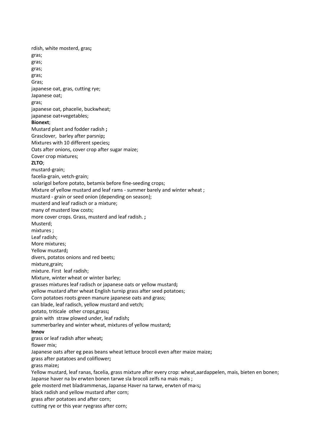rdish, white mosterd, gras**;** gras; gras; gras; gras; Gras; japanese oat, gras, cutting rye; Japanese oat; gras; japanese oat, phacelie, buckwheat; japanese oat+vegetables; **Bionext**; Mustard plant and fodder radish **;** Grasclover, barley after parsnip**;** Mixtures with 10 different species**;** Oats after onions, cover crop after sugar maize; Cover crop mixtures; **ZLTO**; mustard-grain; facelia-grain, vetch-grain; solarigol before potato, betamix before fine-seeding crops; Mixture of yellow mustard and leaf rams - summer barely and winter wheat ; mustard - grain or seed onion (depending on season); musterd and leaf radisch or a mixture; many of musterd low costs; more cover crops. Grass, musterd and leaf radish. **;** Musterd; mixtures ; Leaf radish; More mixtures; Yellow mustard**;** divers, potatos onions and red beets; mixture,grain; mixture. First leaf radish; Mixture, winter wheat or winter barley; grasses mixtures leaf radisch or japanese oats or yellow mustard**;** yellow mustard after wheat English turnip grass after seed potatoes; Corn potatoes roots green manure japanese oats and grass; can blade, leaf radisch, yellow mustard and vetch; potato, triticale other crops,grass**;** grain with straw plowed under, leaf radish**;** summerbarley and winter wheat, mixtures of yellow mustard**; Innov** grass or leaf radish after wheat**;** flower mix; Japanese oats after eg peas beans wheat lettuce brocoli even after maize maize**;** grass after patatoes and coliflower**;** grass maize**;** Yellow mustard, leaf ranas, facelia, grass mixture after every crop: wheat,aardappelen, mais, bieten en bonen; Japanse haver na bv erwten bonen tarwe sla brocoli zelfs na mais mais ; gele mosterd met bladrammenas, Japanse Haver na tarwe, erwten of ma‹s**;** black radish and yellow mustard after corn; grass after potatoes and after corn; cutting rye or this year ryegrass after corn;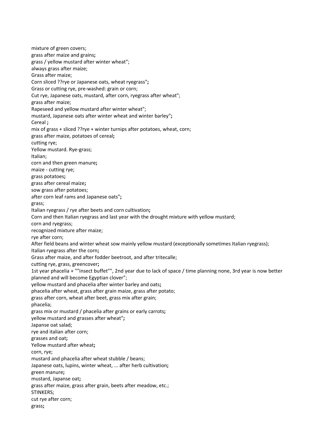mixture of green covers; grass after maize and grains**;** grass / yellow mustard after winter wheat"; always grass after maize; Grass after maize; Corn sliced ??rye or Japanese oats, wheat ryegrass"**;** Grass or cutting rye, pre-washed: grain or corn; Cut rye, Japanese oats, mustard, after corn, ryegrass after wheat"; grass after maize; Rapeseed and yellow mustard after winter wheat"; mustard, Japanese oats after winter wheat and winter barley"**;** Cereal **;** mix of grass + sliced ??rye + winter turnips after potatoes, wheat, corn; grass after maize, potatoes of cereal**;** cutting rye; Yellow mustard. Rye-grass; Italian; corn and then green manure**;** maize - cutting rye; grass potatoes**;** grass after cereal maize**;** sow grass after potatoes; after corn leaf rams and Japanese oats"**;** grass; Italian ryegrass / rye after beets and corn cultivation**;** Corn and then Italian ryegrass and last year with the drought mixture with yellow mustard; corn and ryegrass; recognized mixture after maize; rye after corn; After field beans and winter wheat sow mainly yellow mustard (exceptionally sometimes Italian ryegrass); Italian ryegrass after the corn**;** Grass after maize, and after fodder beetroot, and after tritecalle; cutting rye, grass, greencover**;** 1st year phacelia + ""insect buffet"", 2nd year due to lack of space / time planning none, 3rd year is now better planned and will become Egyptian clover"; yellow mustard and phacelia after winter barley and oats**;** phacelia after wheat, grass after grain maize, grass after potato; grass after corn, wheat after beet, grass mix after grain; phacelia; grass mix or mustard / phacelia after grains or early carrots**;** yellow mustard and grasses after wheat"**;** Japanse oat salad; rye and italian after corn; grasses and oat**;** Yellow mustard after wheat**;** corn, rye; mustard and phacelia after wheat stubble / beans; Japanese oats, lupins, winter wheat, ... after herb cultivation**;** green manure**;** mustard, Japanse oat**;** grass after maize, grass after grain, beets after meadow, etc.; STINKERS; cut rye after corn; grass**;**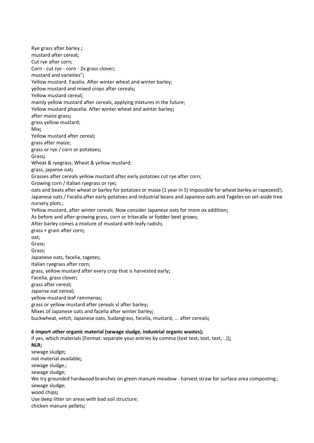Rye grass after barley **;** mustard after cereal**;** Cut rye after corn; Corn - cut rye - corn - 2x grass clover**;** mustard and varieties"**;** Yellow mustard. Facelia. After winter wheat and winter barley; yellow mustard and mixed crops after cereals**;** Yellow mustard cereal**;** mainly yellow mustard after cereals, applying mixtures in the future; Yellow mustard phacelia. After winter wheat and winter barley**;** after maize grass**;** grass yellow mustard; Mix**;** Yellow mustard after cereal**;** grass after maize; grass or rye / corn or potatoes**;** Grass**;** Wheat & ryegrass. Wheat & yellow mustard; grass, japanse oat**;** Grasses after cereals yellow mustard after early potatoes cut rye after corn; Growing corn / Italian ryegrass or rye**;** oats and beats after wheat or barley for potatoes or maize (1 year in 5) impossible for wheat barley or rapeseed!**;** Japanese oats / Facelia after early potatoes and industrial beans and Japanese oats and Tagetes on set-aside tree nursery plots.; Yellow mustard, after winter cereals. Now consider Japanese oats for more ox addition**;** As before and after-growing grass, corn or tritecalle or fodder beet grows**;** After barley comes a mixture of mustard with leafy radish**;** grass + grain after corn**;** oat; Grass; Grass; Japanese oats, facelia, tagetes; Italian ryegrass after corn; grass, yellow mustard after every crop that is harvested early**;** Facelia, grass clover**;** grass after cereal**;** Japanse oat cereal**;** yellow mustard leaf rammanas; grass or yellow mustard after cereals vl after barley**;** Mixes of Japanese oats and facelia after winter barley**;** buckwheat, vetch, Japanese oats, Sudangrass, facelia, mustard, ... after cereals**; 6 import other organic material (sewage sludge, industrial organic wastes);** if yes, which materials [Format: separate your entries by comma (text text, text, text, ..)]**; NLR;** sewage sludge**;** not material available**;** sewage sludge.; sewage sludge; We try grounded hardwood branches on green manure meadow - harvest straw for surface area composting.; sewage sludge; wood chips**;** Use deep litter on areas with bad soil structure; chicken manure pellets**;**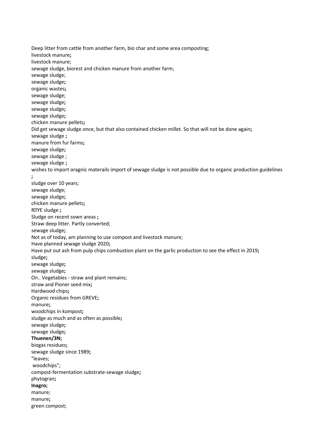Deep litter from cattle from another farm, bio char and some area composting; livestock manure**;** livestock manure; sewage sludge, biorest and chicken manure from another farm; sewage sludge; sewage sludge**;** organic wastes**;** sewage sludge; sewage sludge**;** sewage sludge**;** sewage sludge**;** chicken manure pellets**;** Did get sewage sludge once, but that also contained chicken millet. So that will not be done again**;** sewage sludge **;** manure from fur farms**;** sewage sludge**;** sewage sludge ; sewage sludge **;** wishes to import oragnic materails import of sewage sludge is not possible due to organic production guidelines **;** sludge over 10 years; sewage sludge; sewage sludge**;** chicken manure pellets**;** RYE sludge **;** Sludge on recent sown areas **;** Straw deep litter. Partly converted; sewage sludge**;** Not as of today, am planning to use compost and livestock manure; Have planned sewage sludge 2020**;** Have put out ash from pulp chips combustion plant on the garlic production to see the effect in 2019**;** sludge**;** sewage sludge**;** sewage sludge**;** On.. Vegetables - straw and plant remains; straw and Pioner seed mix**;** Hardwood chips**;** Organic residues from GREVE**;** manure**;** woodchips in kompost**;** sludge as much and as often as possible**;** sewage sludge**;** sewage sludge**; Thuenen/3N;** biogas residues**;** sewage sludge since 1989**;** "leaves; woodchips"; compost-fermentation substrate-sewage sludge**;** phytogran**; Inagro;** manure; manure**;** green compost;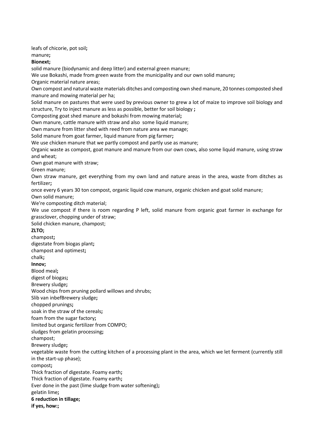leafs of chicorie, pot soil**;**

manure**;**

# **Bionext;**

solid manure (biodynamic and deep litter) and external green manure;

We use Bokashi, made from green waste from the municipality and our own solid manure**;**

Organic material nature areas;

Own compost and natural waste materials ditches and composting own shed manure, 20 tonnes composted shed manure and mowing material per ha;

Solid manure on pastures that were used by previous owner to grew a lot of maize to improve soil biology and structure, Try to inject manure as less as possible, better for soil biology **;**

Composting goat shed manure and bokashi from mowing material**;**

Own manure, cattle manure with straw and also some liquid manure;

Own manure from litter shed with reed from nature area we manage;

Solid manure from goat farmer, liquid manure from pig farmer**;**

We use chicken manure that we partly compost and partly use as manure;

Organic waste as compost, goat manure and manure from our own cows, also some liquid manure, using straw and wheat;

Own goat manure with straw;

Green manure;

Own straw manure, get everything from my own land and nature areas in the area, waste from ditches as fertilizer**;**

once every 6 years 30 ton compost, organic liquid cow manure, organic chicken and goat solid manure;

Own solid manure;

We're composting ditch material;

We use compost if there is room regarding P left, solid manure from organic goat farmer in exchange for grassclover, chopping under of straw;

Solid chicken manure, champost;

### **ZLTO;**

champost**;**

digestate from biogas plant**;**

champost and optimest**;**

# chalk**;**

**Innov;**

Blood meal**;**

digest of biogas**;**

Brewery sludge**;**

Wood chips from pruning pollard willows and shrubs;

Slib van inbefBrewery sludge**;**

chopped prunings**;**

soak in the straw of the cereals**;**

foam from the sugar factory**;**

limited but organic fertilizer from COMPO;

sludges from gelatin processing**;**

champost;

Brewery sludge**;**

vegetable waste from the cutting kitchen of a processing plant in the area, which we let ferment (currently still in the start-up phase);

compost**;**

Thick fraction of digestate. Foamy earth**;**

Thick fraction of digestate. Foamy earth**;**

Ever done in the past (lime sludge from water softening)**;**

gelatin lime**;**

### **6 reduction in tillage;**

**if yes, how:;**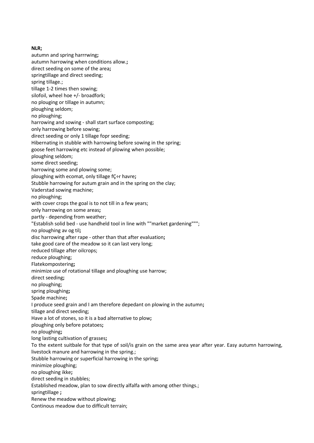#### **NLR;**

autumn and spring harrrwing**;** autumn harrowing when conditions allow.**;** direct seeding on some of the area**;** springtillage and direct seeding; spring tillage.; tillage 1-2 times then sowing; silofoil, wheel hoe +/- broadfork; no plouging or tillage in autumn; ploughing seldom; no ploughing; harrowing and sowing - shall start surface composting; only harrowing before sowing; direct seeding or only 1 tillage fopr seeding; Hibernating in stubble with harrowing before sowing in the spring; goose feet harrowing etc instead of plowing when possible; ploughing seldom; some direct seeding; harrowing some and plowing some; ploughing with ecomat, only tillage fÇ÷r havre**;** Stubble harrowing for autum grain and in the spring on the clay; Vaderstad sowing machine; no ploughing; with cover crops the goal is to not till in a few years; only harrowing on some areas**;** partly - depending from weather; "Establish solid bed - use handheld tool in line with ""market gardening"""; no ploughing av og til**;** disc harrowing after rape - other than that after evaluation**;** take good care of the meadow so it can last very long; reduced tillage after oilcrops; reduce ploughing; Flatekompostering**;** minimize use of rotational tillage and ploughing use harrow; direct seeding**;** no ploughing; spring ploughing**;** Spade machine**;** I produce seed grain and I am therefore depedant on plowing in the autumn**;** tillage and direct seeding; Have a lot of stones, so it is a bad alternative to plow**;** ploughing only before potatoes**;** no ploughing**;** long lasting cultivation of grasses**;** To the extent suitbale for that type of soil/is grain on the same area year after year. Easy autumn harrowing, livestock manure and harrowing in the spring.; Stubble harrowing or superficial harrowing in the spring**;** minimize ploughing; no ploughing ikke**;** direct seeding in stubbles; Established meadow, plan to sow directly alfalfa with among other things.; springtillage **;** Renew the meadow without plowing**;** Continous meadow due to difficult terrain;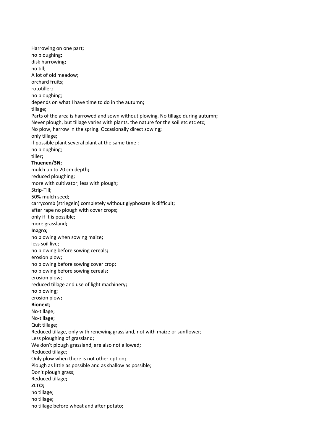Harrowing on one part; no ploughing**;** disk harrowing**;** no till; A lot of old meadow; orchard fruits; rototiller**;** no ploughing; depends on what I have time to do in the autumn**;** tillage**;** Parts of the area is harrowed and sown without plowing. No tillage during autumn**;** Never plough, but tillage varies with plants, the nature for the soil etc etc etc; No plow, harrow in the spring. Occasionally direct sowing**;** only tillage**;** if possible plant several plant at the same time ; no ploughing; tiller**; Thuenen/3N;** mulch up to 20 cm depth**;** reduced ploughing**;** more with cultivator, less with plough**;** Strip-Till; 50% mulch seed; carrycomb (striegeln) completely without glyphosate is difficult; after rape no plough with cover crops**;** only if it is possible; more grassland**; Inagro;** no plowing when sowing maize**;** less soil live; no plowing before sowing cereals**;** erosion plow**;** no plowing before sowing cover crop**;** no plowing before sowing cereals**;** erosion plow; reduced tillage and use of light machinery**;** no plowing**;** erosion plow**; Bionext;** No-tillage; No-tillage; Quit tillage**;** Reduced tillage, only with renewing grassland, not with maize or sunflower; Less ploughing of grassland; We don't plough grassland, are also not allowed**;** Reduced tillage; Only plow when there is not other option**;** Plough as little as possible and as shallow as possible; Don't plough grass; Reduced tillage**; ZLTO;** no tillage; no tillage**;** no tillage before wheat and after potato**;**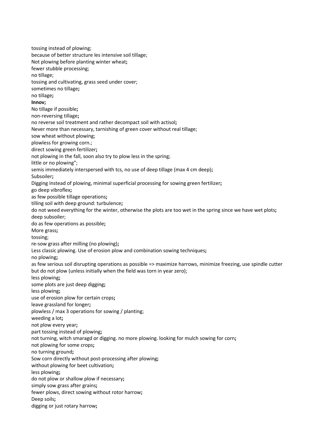tossing instead of plowing; because of better structure les intensive soil tillage; Not plowing before planting winter wheat**;** fewer stubble processing; no tillage; tossing and cultivating, grass seed under cover; sometimes no tillage**;** no tillage**; Innov;** No tillage if possible**;** non-reversing tillage**;** no reverse soil treatment and rather decompact soil with actisol**;** Never more than necessary, tarnishing of green cover without real tillage; sow wheat without plowing; plowless for growing corn.; direct sowing green fertilizer**;** not plowing in the fall, soon also try to plow less in the spring; little or no plowing"; semis immediately interspersed with tcs, no use of deep tillage (max 4 cm deep)**;** Subsoiler**;** Digging instead of plowing, minimal superficial processing for sowing green fertilizer**;** go deep vibroflex**;** as few possible tillage operations**;** tilling soil with deep ground: turbulence**;** do not weed everything for the winter, otherwise the plots are too wet in the spring since we have wet plots**;** deep subsoiler; do as few operations as possible**;** More grass**;** tossing; re-sow grass after milling (no plowing)**;** Less classic plowing. Use of erosion plow and combination sowing techniques**;** no plowing**;** as few serious soil disrupting operations as possible => maximize harrows, minimize freezing, use spindle cutter but do not plow (unless initially when the field was torn in year zero); less plowing**;** some plots are just deep digging**;** less plowing**;** use of erosion plow for certain crops**;** leave grassland for longer**;** plowless / max 3 operations for sowing / planting; weeding a lot**;** not plow every year**;** part tossing instead of plowing**;** not turning, witch smaragd or digging. no more plowing. looking for mulch sowing for corn**;** not plowing for some crops**;** no turning ground**;** Sow corn directly without post-processing after plowing**;** without plowing for beet cultivation**;** less plowing**;** do not plow or shallow plow if necessary**;** simply sow grass after grains**;** fewer plows, direct sowing without rotor harrow**;** Deep soils**;** digging or just rotary harrow**;**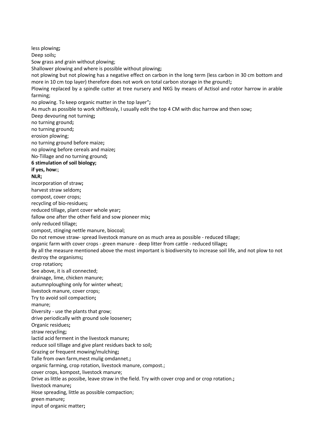less plowing**;** Deep soils**;** Sow grass and grain without plowing; Shallower plowing and where is possible without plowing**;** not plowing but not plowing has a negative effect on carbon in the long term (less carbon in 30 cm bottom and more in 10 cm top layer) therefore does not work on total carbon storage in the ground!**;** Plowing replaced by a spindle cutter at tree nursery and NKG by means of Actisol and rotor harrow in arable farming; no plowing. To keep organic matter in the top layer"**;** As much as possible to work shiftlessly, I usually edit the top 4 CM with disc harrow and then sow**;** Deep devouring not turning**;** no turning ground**;** no turning ground**;** erosion plowing; no turning ground before maize**;** no plowing before cereals and maize**;** No-Tillage and no turning ground**; 6 stimulation of soil biology; if yes, how:**; **NLR;** incorporation of straw**;** harvest straw seldom**;** compost, cover crops; recycling of bio-residues**;** reduced tillage, plant cover whole year**;** fallow one after the other field and sow pioneer mix**;** only reduced tillage; compost, stinging nettle manure, biocoal; Do not remove straw- spread livestock manure on as much area as possible - reduced tillage; organic farm with cover crops - green manure - deep litter from cattle - reduced tillage**;** By all the measure mentioned above the most important is biodiversity to increase soil life, and not plow to not destroy the organisms**;** crop rotation**;** See above, it is all connected; drainage, lime, chicken manure; autumnploughing only for winter wheat; livestock manure, cover crops; Try to avoid soil compaction**;** manure; Diversity - use the plants that grow; drive periodically with ground sole loosener**;** Organic residues**;** straw recycling**;** lactid acid ferment in the livestock manure**;** reduce soil tillage and give plant residues back to soil**;** Grazing or frequent mowing/mulching**;** Talle from own farm,mest mulig omdannet.**;** organic farming, crop rotation, livestock manure, compost.; cover crops, kompost, livestock manure; Drive as little as possibe, leave straw in the field. Try with cover crop and or crop rotation.**;** livestock manure**;** Hose spreading, little as possible compaction; green manure**;** input of organic matter**;**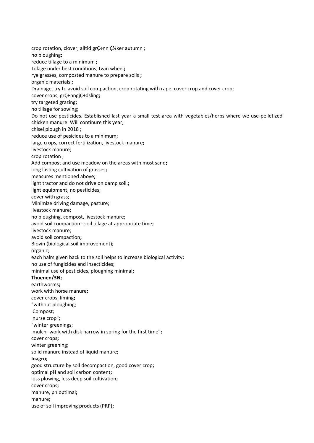crop rotation, clover, alltid grC÷nn C34ker autumn ; no ploughing**;** reduce tillage to a minimum **;** Tillage under best conditions, twin wheel**;** rye grasses, composted manure to prepare soils **;** organic materials **;** Drainage, try to avoid soil compaction, crop rotating with rape, cover crop and cover crop; cover crops, grÇ÷nngjÇ÷dsling**;** try targeted grazing**;** no tillage for sowing; Do not use pesticides. Established last year a small test area with vegetables/herbs where we use pelletized chicken manure. Will continure this year; chisel plough in 2018 ; reduce use of pesicides to a minimum; large crops, correct fertilization, livestock manure**;** livestock manure; crop rotation ; Add compost and use meadow on the areas with most sand**;** long lasting cultivation of grasses**;** measures mentioned above**;** light tractor and do not drive on damp soil.**;** light equipment, no pesticides; cover with grass; Minimize driving damage, pasture; livestock manure; no ploughing, compost, livestock manure**;** avoid soil compaction - soil tillage at appropriate time**;** livestock manure; avoid soil compaction**;** Biovin (biological soil improvement)**;** organic; each halm given back to the soil helps to increase biological activity**;** no use of fungicides and insecticides; minimal use of pesticides, ploughing minimal**; Thuenen/3N;** earthworms**;** work with horse manure**;** cover crops, liming**;** "without ploughing; Compost; nurse crop"; "winter greenings; mulch- work with disk harrow in spring for the first time"**;** cover crops**;** winter greening; solid manure instead of liquid manure**; Inagro;** good structure by soil decompaction, good cover crop**;** optimal pH and soil carbon content**;** loss plowing, less deep soil cultivation**;** cover crops**;** manure, ph optimal**;** manure**;** use of soil improving products (PRP)**;**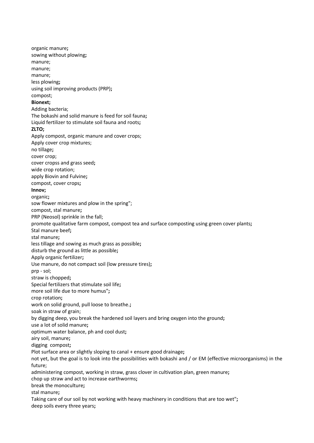organic manure**;** sowing without plowing**;** manure; manure; manure; less plowing**;** using soil improving products (PRP)**;** compost; **Bionext;** Adding bacteria; The bokashi and solid manure is feed for soil fauna**;** Liquid fertilizer to stimulate soil fauna and roots**; ZLTO;** Apply compost, organic manure and cover crops; Apply cover crop mixtures; no tillage**;** cover crop; cover cropss and grass seed**;** wide crop rotation; apply Biovin and Fulvine**;** compost, cover crops**; Innov;** organic**;** sow flower mixtures and plow in the spring"; compost, stal manure**;** PRP (Neosol) sprinkle in the fall; promote qualitative farm compost, compost tea and surface composting using green cover plants**;** Stal manure beef**;** stal manure**;** less tillage and sowing as much grass as possible**;** disturb the ground as little as possible**;** Apply organic fertilizer**;** Use manure, do not compact soil (low pressure tires)**;** prp - sol; straw is chopped**;** Special fertilizers that stimulate soil life**;** more soil life due to more humus"**;** crop rotation**;** work on solid ground, pull loose to breathe.**;** soak in straw of grain; by digging deep, you break the hardened soil layers and bring oxygen into the ground**;** use a lot of solid manure**;** optimum water balance, ph and cool dust**;** airy soil, manure**;** digging compost**;** Plot surface area or slightly sloping to canal + ensure good drainage**;** not yet, but the goal is to look into the possibilities with bokashi and / or EM (effective microorganisms) in the future; administering compost, working in straw, grass clover in cultivation plan, green manure**;** chop up straw and act to increase earthworms**;** break the monoculture**;** stal manure**;** Taking care of our soil by not working with heavy machinery in conditions that are too wet"**;** deep soils every three years**;**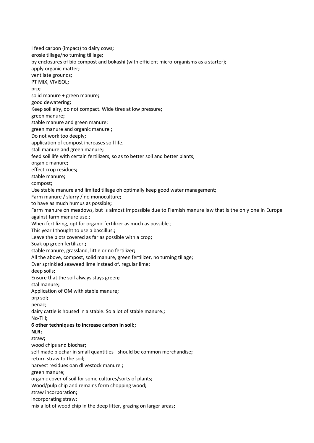I feed carbon (impact) to dairy cows**;** erosie tillage/no turning tilllage; by enclosures of bio compost and bokashi (with efficient micro-organisms as a starter)**;** apply organic matter**;** ventilate grounds; PT MIX, VIVISOL**;** prp**;** solid manure + green manure**;** good dewatering**;** Keep soil airy, do not compact. Wide tires at low pressure**;** green manure**;** stable manure and green manure; green manure and organic manure **;** Do not work too deeply**;** application of compost increases soil life; stall manure and green manure**;** feed soil life with certain fertilizers, so as to better soil and better plants; organic manure**;** effect crop residues**;** stable manure**;** compost**;** Use stable manure and limited tillage oh optimally keep good water management; Farm manure / slurry / no monoculture**;** to have as much humus as possible**;** Farm manure on meadows, but is almost impossible due to Flemish manure law that is the only one in Europe against farm manure use.; When fertilizing, opt for organic fertilizer as much as possible.; This year I thought to use a bascillus.**;** Leave the plots covered as far as possible with a crop**;** Soak up green fertilizer.**;** stable manure, grassland, little or no fertilizer**;** All the above, compost, solid manure, green fertilizer, no turning tillage; Ever sprinkled seaweed lime instead of. regular lime; deep soils**;** Ensure that the soil always stays green**;** stal manure**;** Application of OM with stable manure**;** prp sol**;** penac; dairy cattle is housed in a stable. So a lot of stable manure.**;** No-Till**; 6 other techniques to increase carbon in soil:; NLR;** straw**;** wood chips and biochar**;** self made biochar in small quantities - should be common merchandise**;** return straw to the soil**;** harvest residues oan dlivestock manure **;** green manure; organic cover of soil for some cultures/sorts of plants**;** Wood/pulp chip and remains form chopping wood**;** straw incorporation**;** incorporating straw**;** mix a lot of wood chip in the deep litter, grazing on larger areas**;**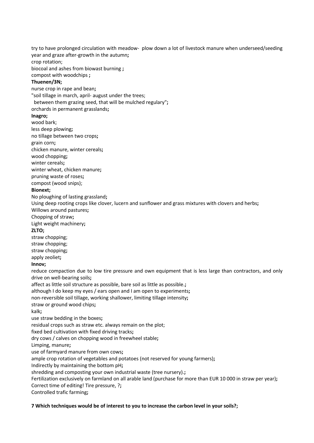try to have prolonged circulation with meadow- plow down a lot of livestock manure when underseed/seeding year and graze after-growth in the autumn**;** crop rotation;

biocoal and ashes from biowast burning **;**

compost with woodchips **;**

### **Thuenen/3N;**

nurse crop in rape and bean**;**

"soil tillage in march, april- august under the trees;

between them grazing seed, that will be mulched regulary"**;**

orchards in permanent grasslands**;**

### **Inagro;**

wood bark;

less deep plowing**;**

no tillage between two crops**;**

grain corn**;**

chicken manure, winter cereals**;**

wood chopping**;**

winter cereals**;**

winter wheat, chicken manure**;**

pruning waste of roses**;**

compost (wood snips);

### **Bionext;**

No ploughing of lasting grassland**;**

Using deep rooting crops like clover, lucern and sunflower and grass mixtures with clovers and herbs**;** Willows around pastures**;**

Chopping of straw**;**

Light weight machinery**;**

### **ZLTO;**

straw chopping; straw chopping; straw chopping**;**

# apply zeoliet**;**

**Innov;**

reduce compaction due to low tire pressure and own equipment that is less large than contractors, and only drive on well-bearing soils**;**

affect as little soil structure as possible, bare soil as little as possible.**;**

although I do keep my eyes / ears open and I am open to experiments**;**

non-reversible soil tillage, working shallower, limiting tillage intensity**;**

straw or ground wood chips**;**

kalk**;**

use straw bedding in the boxes**;**

residual crops such as straw etc. always remain on the plot;

fixed bed cultivation with fixed driving tracks**;**

dry cows / calves on chopping wood in freewheel stable**;**

Limping, manure**;**

use of farmyard manure from own cows**;**

ample crop rotation of vegetables and potatoes (not reserved for young farmers)**;**

Indirectly by maintaining the bottom pH**;**

shredding and composting your own industrial waste (tree nursery).**;**

Fertilization exclusively on farmland on all arable land (purchase for more than EUR 10 000 in straw per year)**;** Correct time of editing! Tire pressure, ?**;**

Controlled trafic farming**;**

**7 Which techniques would be of interest to you to increase the carbon level in your soils?;**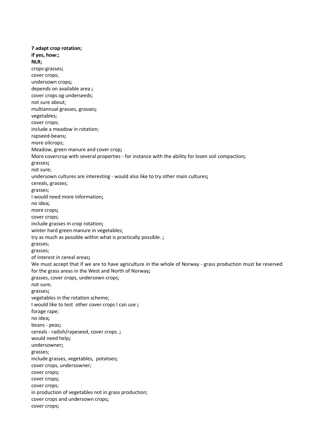**7 adapt crop rotation; if yes, how:; NLR;** crops-grasses**;** cover crops; undersown crops**;** depends on available area **;** cover crops og underseeds; not sure about; multiannual grasses, grasses**;** vegetables; cover crops; include a meadow in rotation; rapseed-beans**;** more oilcrops; Meadow, green manure and cover crop**;** More covercrop with several properties - for instance with the ability for losen soil compaction**;** grasses**;** not sure; undersown cultures are interesting - would also like to try other main cultures**;** cereals, grasses; grasses; I would need more information**;** no idea**;** more crops**;** cover crops; include grasses in crop rotation**;** winter hard green manure in vegetables; try as much as possible within what is practically possible. **;** grasses; grasses; of interest in cereal areas**;** We must accept that if we are to have agriculture in the whole of Norway - grass production must be reserved for the grass areas in the West and North of Norway**;** grasses, cover crops, undersown crops; not sure; grasses**;** vegetables in the rotation scheme; I would like to test other cover crops I can use **;** forage rape; no idea**;** beans - peas**;** cereals - radish/rapeseed, cover crops. **;** would need help**;** undersowner**;** grasses; include grasses, vegetables, potatoes**;** cover crops, undersowner; cover crops**;** cover crops**;** cover crops; in production of vegetables not in grass production; cover crops and undersown crops**;** cover crops**;**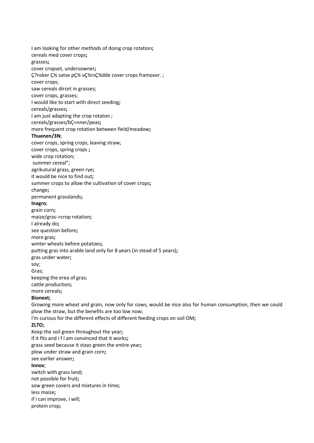I am looking for other methods of doing crop rotation**;** cereals med cover crops**;** grasses**;** cover cropset, undersowner**;** Ç?nsker Ǿ satse pǾ vǾrsǾdde cover crops framover. ; cover crops; saw cereals dircet in grasses; cover crops, grasses; I would like to start with direct seeding**;** cereals/grasses**;** I am just adapting the crop rotaton ; cereals/grasses/bÇ÷nner/peas**;** more frequent crop rotation between field/meadow**; Thuenen/3N**; cover crops, spring crops, leaving straw; cover crops, spring crops **;** wide crop rotation; summer cereal"; agrikutural grass, green rye**;** it would be nice to find out**;** summer crops to allow the cultivation of cover crops**;** change**;** permanent grasslands**; Inagro**; grain corn**;** maize/gras->crop rotation**;** I already do**;** see question before**;** more gras**;** winter wheats before potatoes**;** putting gras into arable land only for 8 years (in stead of 5 years)**;** gras under water**;** soy; Gras; keeping the erea of gras; cattle production**;** more cereals**; Bionext;** Growing more wheat and grain, now only for cows, would be nice also for human consumption, then we could plow the straw, but the benefits are too low now; I'm curious for the different effects of different feeding crops on soil OM**; ZLTO;** Keep the soil green throughout the year**;** if it fits and i f I am convinced that it works**;** grass seed because it stays green the entire year**;** plow under straw and grain corn**;** see earlier answer**; Innov**; switch with grass land**;** not possible for fruit**;** sow green covers and mixtures in time**;** less maize**;** if i can improve, i will; protein crop**;**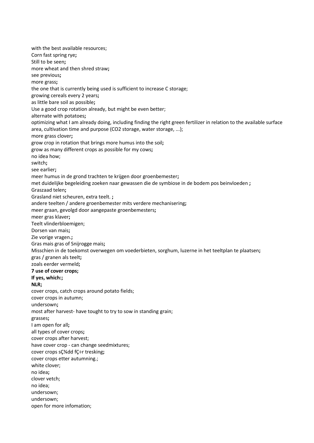with the best available resources; Corn fast spring rye**;** Still to be seen**;** more wheat and then shred straw**;** see previous**;** more grass**;** the one that is currently being used is sufficient to increase C storage; growing cereals every 2 years**;** as little bare soil as possible**;** Use a good crop rotation already, but might be even better; alternate with potatoes**;** optimizing what I am already doing, including finding the right green fertilizer in relation to the available surface area, cultivation time and purpose (CO2 storage, water storage, ...); more grass clover**;** grow crop in rotation that brings more humus into the soil**;** grow as many different crops as possible for my cows**;** no idea how; switch**;** see earlier**;** meer humus in de grond trachten te krijgen door groenbemester**;** met duidelijke begeleiding zoeken naar gewassen die de symbiose in de bodem pos beinvloeden **;** Graszaad telen**;** Grasland niet scheuren, extra teelt. **;** andere teelten / andere groenbemester mits verdere mechanisering**;** meer graan, gevolgd door aangepaste groenbemesters**;** meer gras klaver**;** Teelt vlinderbloemigen; Dorsen van mais**;** Zie vorige vragen.**;** Gras mais gras of Snijrogge mais**;** Misschien in de toekomst overwegen om voederbieten, sorghum, luzerne in het teeltplan te plaatsen**;** gras / granen als teelt**;** zoals eerder vermeld**; 7 use of cover crops; If yes, which:; NLR;** cover crops, catch crops around potato fields; cover crops in autumn; undersown**;** most after harvest- have tought to try to sow in standing grain; grasses**;** I am open for all**;** all types of cover crops**;** cover crops after harvest; have cover crop - can change seedmixtures; cover crops sǾdd fÇ÷r tresking**;** cover crops etter autumning.; white clover; no idea**;** clover vetch; no idea; undersown; undersown; open for more infomation;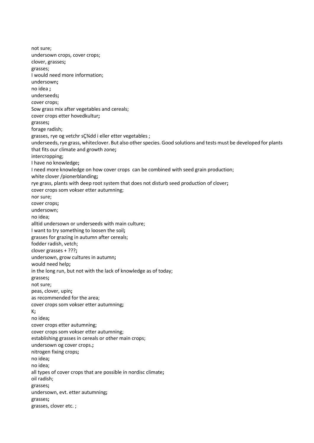not sure; undersown crops, cover crops; clover, grasses**;** grasses; I would need more information; undersown**;** no idea **;** underseeds**;** cover crops; Sow grass mix after vegetables and cereals; cover crops etter hovedkultur**;** grasses**;** forage radish; grasses, rye og vetchr sC34dd i eller etter vegetables ; underseeds, rye grass, whiteclover. But also other species. Good solutions and tests must be developed for plants that fits our climate and growth zone**;** intercropping; I have no knowledge**;** I need more knowledge on how cover crops can be combined with seed grain production; white clover /pionerblanding**;** rye grass, plants with deep root system that does not disturb seed production of clover**;** cover crops som vokser etter autumning; nor sure; cover crops**;** undersown; no idea; alltid undersown or underseeds with main culture; I want to try something to loosen the soil**;** grasses for grazing in autumn after cereals; fodder radish, vetch; clover grasses + ???**;** undersown, grow cultures in autumn**;** would need help**;** in the long run, but not with the lack of knowledge as of today; grasses**;** not sure; peas, clover, upin**;** as recommended for the area; cover crops som vokser etter autumning**;** K**;** no idea**;** cover crops etter autumning; cover crops som vokser etter autumning; establishing grasses in cereals or other main crops; undersown og cover crops.**;** nitrogen fixing crops**;** no idea**;** no idea; all types of cover crops that are possible in nordisc climate**;** oil radish; grasses**;** undersown, evt. etter autumning**;** grasses**;** grasses, clover etc. ;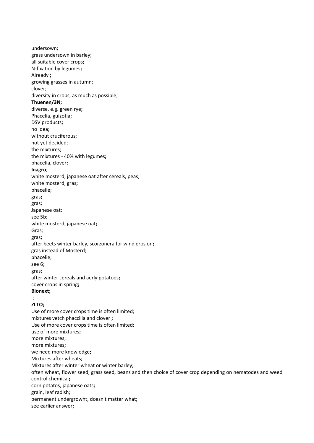undersown; grass undersown in barley; all suitable cover crops**;** N-fixation by legumes**;** Already **;** growing grasses in autumn; clover; diversity in crops, as much as possible; **Thuenen/3N;** diverse, e.g. green rye**;** Phacelia, guizotia**;** DSV products**;** no idea**;** without cruciferous; not yet decided; the mixtures; the mixtures - 40% with legumes**;** phacelia, clover**; Inagro**; white mosterd, japanese oat after cereals, peas; white mosterd, gras**;** phacelie; gras**;** gras; Japanese oat; see 5b; white mosterd, japanese oat**;** Gras; gras**;** after beets winter barley, scorzonera for wind erosion**;** gras instead of Mosterd; phacelie; see 6**;** gras; after winter cereals and aerly potatoes**;** cover crops in spring**; Bionext;** -; **ZLTO;** Use of more cover crops time is often limited; mixtures vetch phaccilia and clover **;** Use of more cover crops time is often limited; use of more mixtures**;** more mixtures; more mixtures**;** we need more knowledge**;** Mixtures after wheats**;** Mixtures after winter wheat or winter barley; often wheat, flower seed, grass seed, beans and then choice of cover crop depending on nematodes and weed control chemical**;** corn potatos, japanese oats**;** grain, leaf radish; permanent undergrowht, doesn't matter what**;** see earlier answer**;**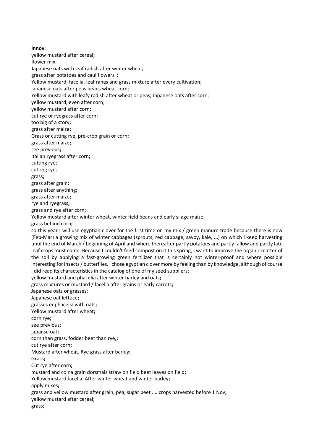**Innov**; yellow mustard after cereal**;** flower mix; Japanese oats with leaf radish after winter wheat**;** grass after potatoes and cauliflowers"**;** Yellow mustard, facelia, leaf ranas and grass mixture after every cultivation; japanese oats after peas beans wheat corn; Yellow mustard with leafy radish after wheat or peas, Japanese oats after corn; yellow mustard, even after corn; yellow mustard after corn**;** cut rye or ryegrass after corn; too big of a story**;** grass after maize**;** Grass or cutting rye, pre-crop grain or corn**;** grass after maize**;** see previous**;** Italian ryegrass after corn**;** cutting rye; cutting rye; grass**;** grass after grain**;** grass after anything**;** grass after maize**;** rye and ryegrass**;** grass and rye after corn; Yellow mustard after winter wheat, winter field beans and early silage maize; grass behind corn**;** so this year I will use egyptian clover for the first time on my mix / green manure trade because there is now (Feb-Mar) a growing mix of winter cabbages (sprouts, red cabbage, savoy, kale, ...) on which I keep harvesting until the end of March / beginning of April and where thereafter partly potatoes and partly fallow and partly late leaf crops must come. Because I couldn't feed compost on it this spring, I want to improve the organic matter of the soil by applying a fast-growing green fertilizer that is certainly not winter-proof and where possible interesting for insects / butterflies. I chose egyptian clover more by feeling than by knowledge, although of course I did read its characteristics in the catalog of one of my seed suppliers; yellow mustard and phacelia after winter barley and oats**;** grass mixtures or mustard / facelia after grains or early carrots**;** Japanese oats or grasses; Japanese oat lettuce**;** grasses enphacelia with oats**;** Yellow mustard after wheat**;** corn rye**;** see previous; japanse oat**;** corn than grass, fodder beet than rye,**;** cut rye after corn**;** Mustard after wheat. Rye grass after barley**;** Grass**;** Cut rye after corn**;** mustard and co na grain dorsmais straw on field beet leaves on field**;** Yellow mustard facelia. After winter wheat and winter barley**;** apply mixes**;** grass and yellow mustard after grain, pea, sugar beet .... crops harvested before 1 Nov**;** yellow mustard after cereal**;** grass;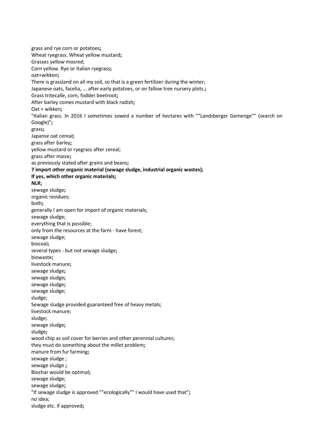grass and rye corn or potatoes**;** Wheat ryegrass. Wheat yellow mustard**;** Grasses yellow mosred; Corn yellow. Rye or Italian ryegrass**;** oat+wikken**;** There is grassland on all my soil, so that is a green fertilizer during the winter; Japanese oats, facelia, ... after early potatoes, or on fallow tree nursery plots.**;** Grass tritecalle, corn, fodder beetroot**;** After barley comes mustard with black radish**;** Oat + wikken**;** "Italian grass. In 2016 I sometimes sowed a number of hectares with ""Landsberger Gemenge"" (search on Google)"**;** grass**;** Japanse oat cereal**;** grass after barley**;** yellow mustard or ryegrass after cereal; grass after maize**;** as previously stated after grains and beans**; 7 import other organic material (sewage sludge, industrial organic wastes); If yes, which other organic materials; NLR;** sewage sludge**;** organic residues; both**;** generally I am open for import of organic materials; sewage sludge; everything that is possible; only from the resources at the farm - have forest; sewage sludge; biocoal**;** several types - but not sewage sludge**;** biowaste**;** livestock manure**;** sewage sludge**;** sewage sludge**;** sewage sludge**;** sewage sludge; sludge; Sewage sludge provided guaranteed free of heavy metals; livestock manure; sludge; sewage sludge**;** sludge**;** wood chip as soil cover for berries and other perennial cultures; they must do something about the millet problem**;** manure from fur farming**;** sewage sludge ; sewage sludge **;** Biochar would be optimal**;** sewage sludge; sewage sludge**;** "If sewage sludge is approved ""ecologically"" I would have used that"**;** no idea; sludge etc. if approved**;**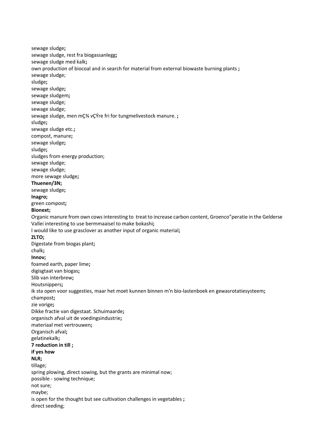sewage sludge**;** sewage sludge, rest fra biogassanlegg**;** sewage sludge med kalk**;** own production of biocoal and in search for material from external biowaste burning plants **;** sewage sludge; sludge**;** sewage sludge**;** sewage sludgem**;** sewage sludge; sewage sludge; sewage sludge, men mÇ<sup>3</sup>4 vÇÝre fri for tungmelivestock manure.; sludge**;** sewage sludge etc.**;** compost, manure**;** sewage sludge**;** sludge**;** sludges from energy production; sewage sludge; sewage sludge; more sewage sludge**; Thuenen/3N;** sewage sludge**; Inagro;** green compost**; Bionext;** Organic manure from own cows interesting to treat to increase carbon content, Groenco"peratie in the Gelderse Vallei interesting to use bermmaaisel to make bokashi**;** I would like to use grasclover as another input of organic material**; ZLTO;** Digestate from biogas plant**;** chalk**; Innov;** foamed earth, paper lime**;** digisgtaat van biogas**;** Slib van interbrew**;** Houtsnippers**;** ik sta open voor suggesties, maar het moet kunnen binnen m'n bio-lastenboek en gewasrotatiesysteem**;** champost**;** zie vorige**;** Dikke fractie van digestaat. Schuimaarde**;** organisch afval uit de voedingsindustrie**;** materiaal met vertrouwen**;** Organisch afval**;** gelatinekalk**; 7 reduction in till ; if yes how NLR;** tillage; spring plowing, direct sowing, but the grants are minimal now; possible - sowing technique; not sure; maybe; is open for the thought but see cultivation challenges in vegetables **;** direct seeding;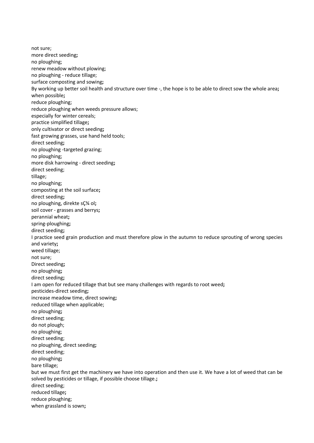not sure; more direct seeding**;** no ploughing; renew meadow without plowing; no ploughing - reduce tillage; surface composting and sowing**;** By working up better soil health and structure over time -, the hope is to be able to direct sow the whole area**;** when possible**;** reduce ploughing; reduce ploughing when weeds pressure allows; especially for winter cereals; practice simplified tillage**;** only cultivator or direct seeding**;** fast growing grasses, use hand held tools; direct seeding**;** no ploughing -targeted grazing; no ploughing; more disk harrowing - direct seeding**;** direct seeding; tillage; no ploughing; composting at the soil surface**;** direct seeding**;** no ploughing, direkte sǾ ol**;** soil cover - grasses and berrys**;** perannial wheat**;** spring-ploughing**;** direct seeding**;** I practice seed grain production and must therefore plow in the autumn to reduce sprouting of wrong species and variety**;** weed tillage; not sure; Direct seeding**;** no ploughing**;** direct seeding**;** I am open for reduced tillage that but see many challenges with regards to root weed**;** pesticides-direct seeding**;** increase meadow time, direct sowing**;** reduced tillage when applicable; no ploughing**;** direct seeding; do not plough; no ploughing; direct seeding; no ploughing, direct seeding**;** direct seeding; no ploughing**;** bare tillage; but we must first get the machinery we have into operation and then use it. We have a lot of weed that can be solved by pesticides or tillage, if possible choose tillage.**;** direct seeding; reduced tillage**;** reduce ploughing; when grassland is sown**;**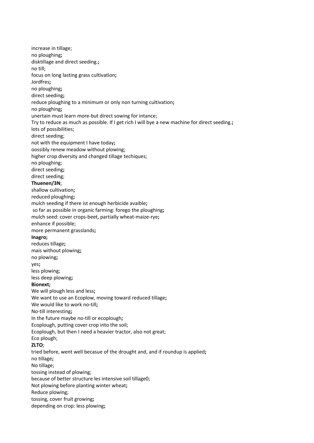increase in tillage; no ploughing**;** disktillage and direct seeding.**;** no till; focus on long lasting grass cultivation**;** Jordfres**;** no ploughing**;** direct seeding**;** reduce ploughing to a minimum or only non turning cultivation**;** no ploughing**;** unertain must learn more-but direct sowing for intance; Try to reduce as much as possible. If I get rich I will bye a new machine for direct seeding.**;** lots of possibilities; direct seeding; not with the equipment I have today**;** oossibly renew meadow without plowing; higher crop diversity and changed tillage techiques; no ploughing; direct seeding**;** direct seeding; **Thuenen/3N**; shallow cultivation**;** reduced ploughing**;** mulch seeding if there ist enough herbicide avaible**;** so far as possible in organic farming: forego the ploughing**;** mulch seed: cover crops-beet, partially wheat-maize-rye**;** enhance if possible; more permanent grasslands**; Inagro;** reduces tillage**;** mais without plowing**;** no plowing**;** yes**;** less plowing; less deep plowing**; Bionext;** We will plough less and less**;** We want to use an Ecoplow, moving toward reduced tillage**;** We would like to work no-till**;** No-till interesting**;** In the future maybe no-till or ecoplough**;** Ecoplough, putting cover crop into the soil; Ecoplough, but then I need a heavier tractor, also not great; Eco plough; **ZLTO**; tried before, went well becasue of the drought and, and if roundup is applied**;** no tillage**;** No tillage; tossing instead of plowing; because of better structure les intensive soil tillage0; Not plowing before planting winter wheat**;** Reduce plowing; tossing, cover fruit growing**;** depending on crop: less plowing**;**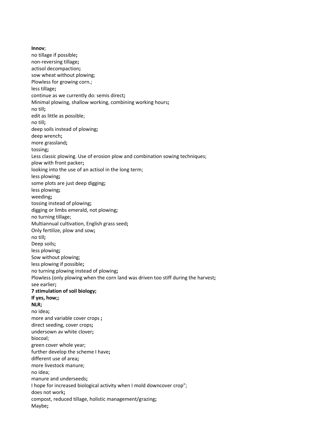**Innov**; no tillage if possible**;** non-reversing tillage**;** actisol decompaction**;** sow wheat without plowing: Plowless for growing corn.; less tillage**;** continue as we currently do: semis direct**;** Minimal plowing, shallow working, combining working hours**;** no till**;** edit as little as possible; no till**;** deep soils instead of plowing**;** deep wrench**;** more grassland**;** tossing**;** Less classic plowing. Use of erosion plow and combination sowing techniques; plow with front packer**;** looking into the use of an actisol in the long term; less plowing**;** some plots are just deep digging**;** less plowing**;** weeding**;** tossing instead of plowing**;** digging or limbs emerald, not plowing**;** no turning tillage; Multiannual cultivation, English grass seed**;** Only fertilize, plow and sow**;** no till**;** Deep soils**;** less plowing**;** Sow without plowing; less plowing if possible**;** no turning plowing instead of plowing**;** Plowless (only plowing when the corn land was driven too stiff during the harvest**;** see earlier**; 7 stimulation of soil biology; If yes, how;; NLR;** no idea**;** more and variable cover crops **;** direct seeding, cover crops**;** undersown av white clover**;** biocoal; green cover whole year; further develop the scheme I have**;** different use of area**;** more livestock manure; no idea; manure and underseeds**;** I hope for increased biological activity when I mold downcover crop"; does not work**;** compost, reduced tillage, holistic management/grazing**;** Maybe**;**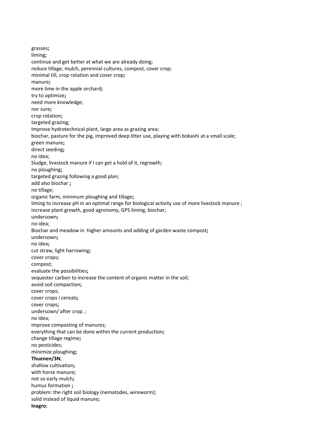grasses**;** liming**;** continue and get better at what we are already doing; reduce tillage, mulch, perennial cultures, compost, cover crop; minimal till, crop rotation and cover crop**;** manure**;** more lime in the apple orchard**;** try to optimize**;** need more knowledge; nor sure**;** crop rotation**;** targeted grazing; Improve hydrotechnical plant, large area as grazing area; biochar, pasture for the pig, improved deep litter use, playing with bokashi at a small scale; green manure**;** direct seeding**;** no idea; Sludge, livestock manure if I can get a hold of it, regrowth; no ploughing**;** targeted grazing following a good plan; add also biochar **;** no tillage; organic farm, minimum ploughing and tillage**;** liming to increase pH in an optimal range for biological activity use of more livestock manure ; increase plant growth, good agronomy, GPS liming, biochar; undersown**;** no idea; Biochar and meadow in higher amounts and adding of garden waste compost**;** undersown**;** no idea**;** cut straw, light harrowing**;** cover crops**;** compost; evaluate the possibilities**;** sequester carbon to increase the content of organic matter in the soil; avoid soil compaction**;** cover crops; cover crops i cereals**;** cover crops**;** undersown/ after crop. ; no idea; improve composting of manures; everything that can be done within the current production**;** change tillage regime**;** no pesticides; minimize ploughing**; Thuenen/3N**; shallow cultivation**;** with horse manure**;** not so early mulch**;** humus formation **;** problem: the right soil biology (nematodes, wireworm); solid instead of liquid manure**; Inagro**;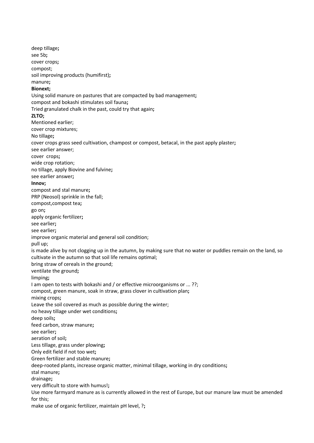deep tillage**;** see 5b**;** cover crops**;** compost; soil improving products (humifirst)**;** manure**; Bionext;** Using solid manure on pastures that are compacted by bad management**;** compost and bokashi stimulates soil fauna**;** Tried granulated chalk in the past, could try that again**; ZLTO;** Mentioned earlier; cover crop mixtures; No tillage**;** cover crops grass seed cultivation, champost or compost, betacal, in the past apply plaster**;** see earlier answer; cover crops**;** wide crop rotation; no tillage, apply Biovine and fulvine**;** see earlier answer**; Innov;** compost and stal manure**;** PRP (Neosol) sprinkle in the fall; compost,compost tea**;** go on**;** apply organic fertilizer**;** see earlier**;** see earlier**;** improve organic material and general soil condition; pull up; is made alive by not clogging up in the autumn, by making sure that no water or puddles remain on the land, so cultivate in the autumn so that soil life remains optimal; bring straw of cereals in the ground; ventilate the ground**;** limping**;** I am open to tests with bokashi and / or effective microorganisms or ... ??; compost, green manure, soak in straw, grass clover in cultivation plan**;** mixing crops**;** Leave the soil covered as much as possible during the winter; no heavy tillage under wet conditions**;** deep soils**;** feed carbon, straw manure**;** see earlier**;** aeration of soil**;** Less tillage, grass under plowing**;** Only edit field if not too wet**;** Green fertilizer and stable manure**;** deep-rooted plants, increase organic matter, minimal tillage, working in dry conditions**;** stal manure**;** drainage**;** very difficult to store with humus!**;** Use more farmyard manure as is currently allowed in the rest of Europe, but our manure law must be amended for this; make use of organic fertilizer, maintain pH level, ?**;**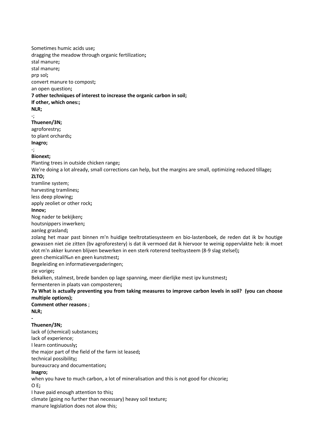Sometimes humic acids use**;** dragging the meadow through organic fertilization**;** stal manure**;** stal manure**;** prp sol**;** convert manure to compost**;** an open question**; 7 other techniques of interest to increase the organic carbon in soil; If other, which ones:; NLR;** -; **Thuenen/3N;** agroforestry**;** to plant orchards**; Inagro;** -; **Bionext;** Planting trees in outside chicken range**;** We're doing a lot already, small corrections can help, but the margins are small, optimizing reduced tillage**; ZLTO;** tramline system; harvesting tramlines**;** less deep plowing**;** apply zeoliet or other rock**; Innov;** Nog nader te bekijken**;** houtsnippers inwerken**;** aanleg grasland**;** zolang het maar past binnen m'n huidige teeltrotatiesysteem en bio-lastenboek, de reden dat ik bv houtige gewassen niet zie zitten (bv agroforestery) is dat ik vermoed dat ik hiervoor te weinig oppervlakte heb: ik moet vlot m'n akker kunnen blijven bewerken in een sterk roterend teeltsysteem (8-9 slag stelsel)**;** geen chemicali‰n en geen kunstmest**;** Begeleiding en informatievergaderingen; zie vorige**;** Bekalken, stalmest, brede banden op lage spanning, meer dierlijke mest ipv kunstmest**;** fermenteren in plaats van composteren**; 7a What is actually preventing you from taking measures to improve carbon levels in soil? (you can choose multiple options); Comment other reasons** ; **NLR; - Thuenen/3N;** lack of (chemical) substances**;** lack of experience; I learn continuously**;** the major part of the field of the farm ist leased**;** technical possibility**;** bureaucracy and documentation**; Inagro;** when you have to much carbon, a lot of mineralisation and this is not good for chicorie**;** O E**;** I have paid enough attention to this**;** climate (going no further than necessary) heavy soil texture**;** manure legislation does not alow this;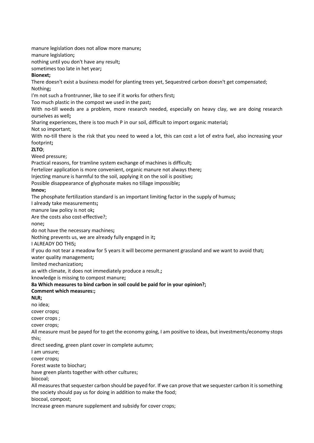manure legislation does not allow more manure**;**

manure legislation**;**

nothing until you don't have any result**;**

sometimes too late in het year**;**

### **Bionext;**

There doesn't exist a business model for planting trees yet, Sequestred carbon doesn't get compensated; Nothing**;**

I'm not such a frontrunner, like to see if it works for others first**;**

Too much plastic in the compost we used in the past**;**

With no-till weeds are a problem, more research needed, especially on heavy clay, we are doing research ourselves as well**;**

Sharing experiences, there is too much P in our soil, difficult to import organic material**;**

Not so important;

With no-till there is the risk that you need to weed a lot, this can cost a lot of extra fuel, also increasing your footprint**;**

### **ZLTO**;

Weed pressure;

Practical reasons, for tramline system exchange of machines is difficult**;**

Fertelizer application is more convenient, organic manure not always there**;**

Injecting manure is harmful to the soil, applying it on the soil is positive**;**

Possible disappearance of glyphosate makes no tillage impossible**;**

# **Innov;**

The phosphate fertilization standard is an important limiting factor in the supply of humus**;**

I already take measurements**;**

manure law policy is not ok**;**

Are the costs also cost-effective?;

none**;**

do not have the necessary machines**;**

Nothing prevents us, we are already fully engaged in it**;**

I ALREADY DO THIS**;**

If you do not tear a meadow for 5 years it will become permanent grassland and we want to avoid that**;**

water quality management**;**

limited mechanization**;**

as with climate, it does not immediately produce a result.**;**

knowledge is missing to compost manure**;**

# **8a Which measures to bind carbon in soil could be paid for in your opinion?;**

### **Comment which measures:;**

**NLR;**

no idea;

cover crops**;**

cover crops ;

cover crops;

All measure must be payed for to get the economy going, I am positive to ideas, but investments/economy stops this;

direct seeding, green plant cover in complete autumn;

I am unsure;

cover crops**;**

Forest waste to biochar**;**

have green plants together with other cultures;

biocoal;

All measures that sequester carbon should be payed for. If we can prove that we sequester carbon it is something the society should pay us for doing in addition to make the food;

biocoal, compost;

Increase green manure supplement and subsidy for cover crops;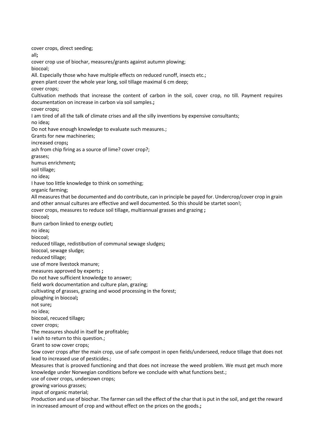cover crops, direct seeding; all**;** cover crop use of biochar, measures/grants against autumn plowing; biocoal; All. Especially those who have multiple effects on reduced runoff, insects etc.; green plant cover the whole year long, soil tillage maximal 6 cm deep; cover crops; Cultivation methods that increase the content of carbon in the soil, cover crop, no till. Payment requires documentation on increase in carbon via soil samples.**;** cover crops**;** I am tired of all the talk of climate crises and all the silly inventions by expensive consultants; no idea**;** Do not have enough knowledge to evaluate such measures.; Grants for new machineries; increased crops**;** ash from chip firing as a source of lime? cover crop?; grasses; humus enrichment**;** soil tillage; no idea**;** I have too little knowledge to think on something; organic farming; All measures that be documented and do contribute, can in principle be payed for. Undercrop/cover crop in grain and other annual cultures are effective and well documented. So this should be startet soon!; cover crops, measures to reduce soil tillage, multiannual grasses and grazing **;** biocoal**;** Burn carbon linked to energy outlet**;** no idea**;** biocoal; reduced tillage, redistibution of communal sewage sludges**;** biocoal, sewage sludge; reduced tillage; use of more livestock manure; measures approved by experts **;** Do not have sufficient knowledge to answer; field work documentation and culture plan, grazing; cultivating of grasses, grazing and wood processing in the forest; ploughing in biocoal**;** not sure**;** no idea; biocoal, recuced tillage**;** cover crops; The measures should in itself be profitable**;** I wish to return to this question.; Grant to sow cover crops; Sow cover crops after the main crop, use of safe compost in open fields/underseed, reduce tillage that does not lead to increased use of pesticides.; Measures that is prooved functioning and that does not increase the weed problem. We must get much more knowledge under Norwegian conditions before we conclude with what functions best.; use of cover crops, undersown crops; growing various grasses; input of organic material; Production and use of biochar. The farmer can sell the effect of the char that is put in the soil, and get the reward in increased amount of crop and without effect on the prices on the goods.**;**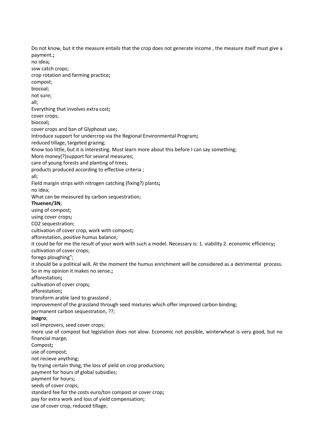Do not know, but it the measure entails that the crop does not generate income , the measure itself must give a payment.**;** no idea**;** sow catch crops; crop rotation and farming practice**;** compost; biocoal; not sure; all; Everything that involves extra cost**;** cover crops; biocoal**;** cover crops and ban of Glyphosat use**;** Introduce support for undercrop via the Regional Environmental Program**;** reduced tillage, targeted grazing; Know too little, but it is interesting. Must learn more about this before I can say something; More money(?)support for several measures; care of young forests and planting of trees; products produced according to effective criteria ; all; Field margin strips with nitrogen catching (fixing?) plants**;** no idea; What can be measured by carbon sequestration; **Thuenen/3N**; using of compost; using cover crops**;** CO2 sequestration; cultivation of cover crop, work with compost**;** afforestation, positive humus balance; it could be for me the result of your work with such a model. Necessary is: 1. viability 2. economic efficiency**;** cultivation of cover crops; forego ploughing"; it should be a political will. At the moment the humus enrichment will be considered as a detrimental process. So in my opinion it makes no sense.**;** afforestation**;** cultivation of cover crops**;** afforestation**;** transform arable land to grassland ; improvement of the grassland through seed mixtures which offer improved carbon binding; permanent carbon sequestration, ??; **Inagro**; soil improvers, seed cover crops; more use of compost but legislation does not alow. Economic not possible, winterwheat is very good, but no financial marge; Compost**;** use of compost; not recieve anything; by trying certain thing, the loss of yield on crop production**;** payment for hours of global subsidies; payment for hours**;** seeds of cover crops; standard fee for the costs euro/ton compost or cover crop**;** pay for extra work and loss of yield compensation**;** use of cover crop, reduced tillage;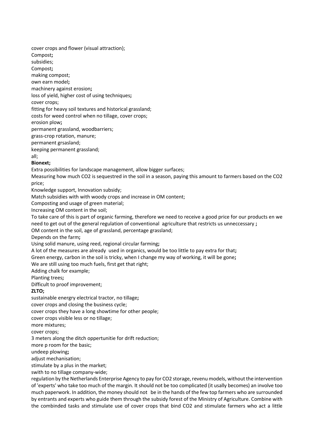cover crops and flower (visual attraction); Compost**;** subsidies; Compost**;** making compost; own earn model**;** machinery against erosion**;** loss of yield, higher cost of using techniques**;** cover crops; fitting for heavy soil textures and historical grassland; costs for weed control when no tillage, cover crops; erosion plow**;** permanent grassland, woodbarriers; grass-crop rotation, manure; permanent grsasland;

keeping permanent grassland;

all;

### **Bionext;**

Extra possibilities for landscape management, allow bigger surfaces;

Measuring how much CO2 is sequestred in the soil in a season, paying this amount to farmers based on the CO2 price;

Knowledge support, Innovation subsidy;

Match subsidies with with woody crops and increase in OM content;

Composting and usage of green material;

Increasing OM content in the soil;

To take care of this is part of organic farming, therefore we need to receive a good price for our products en we need to get out of the general regulation of conventional agriculture that restricts us unneccessary **;**

OM content in the soil, age of grassland, percentage grassland;

Depends on the farm**;**

Using solid manure, using reed, regional circular farming**;**

A lot of the measures are already used in organics, would be too little to pay extra for that**;**

Green energy, carbon in the soil is tricky, when I change my way of working, it will be gone**;**

We are still using too much fuels, first get that right;

Adding chalk for example;

Planting trees**;**

Difficult to proof improvement;

### **ZLTO;**

sustainable energry electrical tractor, no tillage**;**

cover crops and closing the business cycle;

cover crops they have a long showtime for other people;

cover crops visible less or no tillage;

more mixtures;

cover crops;

3 meters along the ditch oppertunitie for drift reduction;

more p room for the basic;

undeep plowing**;**

adjust mechanisation;

stimulate by a plus in the market;

swith to no tillage company-wide;

regulation by the Netherlands Enterprise Agency to pay for CO2 storage, revenu models, without the intervention of 'experts' who take too much of the margin. It should not be too complicated (it usally becomes) an involve too much paperwork. In addition, the money should not be in the hands of the few top farmers who are surrounded by entrants and experts who guide them through the subsidy forest of the Ministry of Agriculture. Combine with the combinded tasks and stimulate use of cover crops that bind CO2 and stimulate farmers who act a little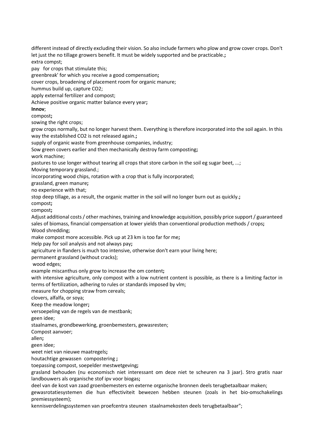different instead of directly excluding their vision. So also include farmers who plow and grow cover crops. Don't let just the no tillage growers benefit. It must be widely supported and be practicable.**;** extra compst;

pay for crops that stimulate this;

greenbreak' for which you receive a good compensation**;**

cover crops, broadening of placement room for organic manure;

hummus build up, capture CO2;

apply external fertilizer and compost;

Achieve positive organic matter balance every year**;**

**Innov**;

compost**;**

sowing the right crops;

grow crops normally, but no longer harvest them. Everything is therefore incorporated into the soil again. In this way the established CO2 is not released again.**;**

supply of organic waste from greenhouse companies, industry;

Sow green covers earlier and then mechanically destroy farm composting**;**

work machine;

pastures to use longer without tearing all crops that store carbon in the soil eg sugar beet, ...;

Moving temporary grassland.;

incorporating wood chips, rotation with a crop that is fully incorporated;

grassland, green manure**;**

no experience with that;

stop deep tillage, as a result, the organic matter in the soil will no longer burn out as quickly.**;**

compost**;**

compost**;**

Adjust additional costs / other machines, training and knowledge acquisition, possibly price support / guaranteed sales of biomass, financial compensation at lower yields than conventional production methods / crops**;** Wood shredding;

make compost more accessible. Pick up at 23 km is too far for me**;**

Help pay for soil analysis and not always pay**;**

agriculture in flanders is much too intensive, otherwise don't earn your living here;

permanent grassland (without cracks);

wood edges;

example miscanthus only grow to increase the om content**;**

with intensive agriculture, only compost with a low nutrient content is possible, as there is a limiting factor in terms of fertilization, adhering to rules or standards imposed by vlm;

measure for chopping straw from cereals;

clovers, alfalfa, or soya;

Keep the meadow longer**;**

versoepeling van de regels van de mestbank;

geen idee;

staalnames, grondbewerking, groenbemesters, gewasresten;

Compost aanvoer;

allen**;**

geen idee;

weet niet van nieuwe maatregels**;**

houtachtige gewassen compostering **;**

toepassing compost, soepelder mestwetgeving**;**

grasland behouden (nu economisch niet interessant om deze niet te scheuren na 3 jaar). Stro gratis naar landbouwers als organische stof ipv voor biogas**;**

deel van de kost van zaad groenbemesters en externe organische bronnen deels terugbetaalbaar maken;

gewasrotatiesystemen die hun effectiviteit bewezen hebben steunen (zoals in het bio-omschakelings premiessysteem);

kennisverdelingssystemen van proefcentra steunen staalnamekosten deels terugbetaalbaar";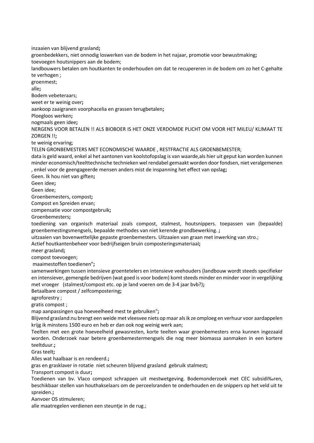inzaaien van blijvend grasland**;**

groenbedekkers, niet onnodig loswerken van de bodem in het najaar, promotie voor bewustmaking**;** toevoegen houtsnippers aan de bodem;

landbouwers betalen om houtkanten te onderhouden om dat te recupereren in de bodem om zo het C-gehalte te verhogen ;

groenmest;

alle**;**

Bodem vebeteraars;

weet er te weinig over**;**

aankoop zaaigranen voorphacelia en grassen terugbetalen**;**

Ploegloos werken**;**

nogmaals geen idee**;**

NERGENS VOOR BETALEN !! ALS BIOBOER IS HET ONZE VERDOMDE PLICHT OM VOOR HET MILEU/ KLIMAAT TE ZORGEN !!**;**

te weinig ervaring;

TELEN GRONBEMESTERS MET ECONOMISCHE WAARDE , RESTFRACTIE ALS GROENBEMESTER;

data is geld waard, enkel al het aantonen van koolstofopslag is van waarde,als hier uit geput kan worden kunnen minder economisch/teelttechnische technieken wel rendabel gemaakt worden door fondsen, niet veralgemenen , enkel voor de geengageerde mensen anders mist de inspanning het effect van opslag**;**

Geen. Ik hou niet van giften**;**

Geen idee**;**

Geen idee;

Groenbemesters, compost**;**

Compost en Spreiden ervan;

compensatie voor compostgebruik**;**

Groenbemesters**;**

toediening van organisch materiaal zoals compost, stalmest, houtsnippers. toepassen van (bepaalde) groenbemestingsmengsels, bepaalde methodes van niet kerende grondbewerking. **;**

uitzaaien van bovenwettelijke gepaste groenbemesters. Uitzaaien van graan met inwerking van stro.;

Actief houtkantenbeheer voor bedrijfseigen bruin composteringsmateriaal**;**

meer grasland**;**

compost toevoegen;

maaimestoffen toedienen"**;**

samenwerkingen tussen intensieve groentetelers en intensieve veehouders (landbouw wordt steeds specifieker en intensiever, gemengde bedrijven (wat goed is voor bodem) komt steeds minder en minder voor in vergelijking met vroeger (stalmest/compost etc. op je land voeren om de 3-4 jaar bvb?)**;**

Betaalbare compost / zelfcompostering**;**

agroforestry ;

gratis compost ;

map aanpassingen qua hoeveelheed mest te gebruiken"**;**

Blijvend grasland:nu brengt een weide met vleesvee niets op maar als ik ze omploeg en verhuur voor aardappelen krijg ik minstens 1500 euro en heb er dan ook nog weinig werk aan;

Teelten met een grote hoeveelheid gewasresten, korte teelten waar groenbemesters erna kunnen ingezaaid worden. Onderzoek naar betere groenbemestermengsels die nog meer biomassa aanmaken in een kortere teeltduur.**;**

Gras teelt**;**

Alles wat haalbaar is en rendeerd.**;**

gras en grasklaver in rotatie niet scheuren blijvend grasland gebruik stalmest**;**

Transport compost is duur**;**

Toedienen van bv. Vlaco compost schrappen uit mestwetgeving. Bodemonderzoek met CEC subsidi‰ren, beschikbaar stellen van houthakselaars om de perceelsranden te onderhouden en de snippers op het veld uit te spreiden.**;**

Aanvoer OS stimuleren;

alle maatregelen verdienen een steuntje in de rug.;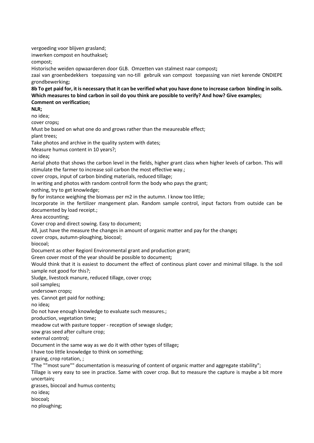vergoeding voor blijven grasland; inwerken compost en houthaksel**;**

compost;

Historische weiden opwaarderen door GLB. Omzetten van stalmest naar compost**;**

zaai van groenbedekkers toepassing van no-till gebruik van compost toepassing van niet kerende ONDIEPE grondbewerking**;**

**8b To get paid for, it is necessary that it can be verified what you have done to increase carbon binding in soils. Which measures to bind carbon in soil do you think are possible to verify? And how? Give examples; Comment on verification;**

**NLR;**

no idea;

cover crops**;**

Must be based on what one do and grows rather than the meaureable effect;

plant trees;

Take photos and archive in the quality system with dates;

Measure humus content in 10 years?;

no idea**;**

Aerial photo that shows the carbon level in the fields, higher grant class when higher levels of carbon. This will stimulate the farmer to increase soil carbon the most effective way.;

cover crops, input of carbon binding materials, reduced tillage;

In writing and photos with random controll form the body who pays the grant;

nothing, try to get knowledge;

By for instance weighing the biomass per m2 in the autumn. I know too little;

Incorporate in the fertilizer mangement plan. Random sample control, input factors from outside can be documented by load receipt.;

Area accounting;

Cover crop and direct sowing. Easy to document;

All, just have the measure the changes in amount of organic matter and pay for the change**;**

cover crops, autumn-ploughing, biocoal;

biocoal;

Document as other Regionl Environmental grant and production grant;

Green cover most of the year should be possible to document**;**

Would think that it is easiest to document the effect of continous plant cover and minimal tillage. Is the soil sample not good for this?;

Sludge, livestock manure, reduced tillage, cover crop**;**

soil samples**;**

undersown crops**;**

yes. Cannot get paid for nothing;

no idea**;**

Do not have enough knowledge to evaluate such measures.;

production, vegetation time**;**

meadow cut with pasture topper - reception of sewage sludge;

sow gras seed after culture crop;

external control**;**

Document in the same way as we do it with other types of tillage**;**

I have too little knowledge to think on something;

grazing, crop rotation, ;

"The ""most sure"" documentation is measuring of content of organic matter and aggregate stability";

Tillage is very easy to see in practice. Same with cover crop. But to measure the capture is maybe a bit more uncertain**;**

grasses, biocoal and humus contents**;**

no idea**;**

biocoal**;**

no ploughing;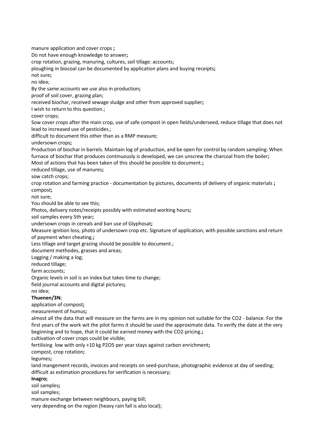manure application and cover crops **;** Do not have enough knowledge to answer**;** crop rotation, grazing, manuring, cultures, soil tillage: accounts; ploughing in biocoal can be documented by application plans and buying receipts**;** not sure**;** no idea; By the same accounts we use also in production**;** proof of soil cover, grazing plan; received biochar, received sewage sludge and other from approved supplier**;** I wish to return to this question.; cover crops; Sow cover crops after the main crop, use of safe compost in open fields/underseed, reduce tillage that does not lead to increased use of pesticides.; difficult to document this other than as a RMP measure; undersown crops**;** Production of biochar in barrels. Maintain log of production, and be open for control by random sampling. When furnace of biochar that produces continuously is developed, we can unscrew the charcoal from the boiler**;** Most of actions that has been taken of this should be possible to document.**;** reduced tillage, use of manures**;** sow catch crops; crop rotation and farming practice - documentation by pictures, documents of delivery of organic materials **;** compost**;** not sure; You should be able to see this; Photos, delivery notes/receipts possibly with estimated working hours**;** soil samples every 5th year**;** undersown crops in cereals and ban use of Glyphosat**;** Measure ignition loss, photo of undersown crop etc. Signature of application, with possible sanctions and return of payment when cheating.**;** Less tillage and target grazing should be possible to document.; document methodes, grasses and areas; Logging / making a log; reduced tillage; farm accounts; Organic levels in soil is an index but takes time to change; field journal accounts and digital pictures**;** no idea; **Thuenen/3N**; application of compost**;** measurement of humus**;** almost all the data that will measure on the farms are in my opinion not suitable for the CO2 - balance. For the first years of the work wit the pilot farms it should be used the approximate data. To verify the date at the very beginning and to hope, that it could be earned money with the CO2-pricing.**;** cultivation of cover crops could be visible; fertilising low with only +10 kg P2O5 per year stays against carbon enrichment**;** compost, crop rotation**;** legumes**;** land mangement records, invoices and receipts on seed-purchase, photographic evidence at day of seeding; difficult as estimation procedures for verification is necessary; **Inagro;** soil samples**;**

soil samples;

manure exchange between neighbours, paying bill;

very depending on the region (heavy rain fall is also local);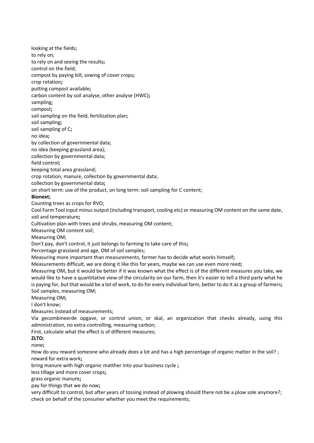looking at the fields; to rely on; to rely on and seeing the results**;** control on the field; compost by paying bill, sowing of cover crops**;** crop rotation**;** putting compost available**;** carbon content by soil analyse, other analyse (HWC)**;** sampling; compost**;** soil sampling on the field, fertilization plan; soil sampling**;** soil sampling of C**;** no idea**;** by collection of governmental data; no idea (keeping grassland area); collection by governmental data; field control**;** keeping total area grassland; crop rotation, manure, collection by governmental data; collection by governmental data**;** on short term: use of the product, on long term: soil sampling for C content; **Bionext;** Counting trees as crops for RVO; Cool Farm Tool input minus output (including transport, cooling etc) or measuring OM content on the same date, soil and temperature**;** Cultivation plan with trees and shrubs, measuring OM content; Measuring OM content soil; Measuring OM; Don't pay, don't control, it just belongs to farming to take care of this**;** Percentage grassland and age, OM of soil samples; Measuring more important than measurements, farmer has to decide what works himself**;** Measurements difficult, we are doing it like this for years, maybe we can use even more reed**;** Measuring OM, but it would be better if it was known what the effect is of the different measures you take, we would like to have a quantitative view of the circularity on our farm, then it's easier to tell a third party what he is paying for, but that would be a lot of work, to do for every individual farm, better to do it as a group of farmers**;** Soil samples, measuring OM; Measuring OM**;** I don't know; Measures instead of measurements; Via gecombineerde opgave, or control union, or skal, an organization that checks already, using this administration, no extra controlling, measuring carbon; First, calculate what the effect is of different measures; **ZLTO**; none**;** How do you reward someone who already does a lot and has a high percentage of organic matter in the soil? ; reward for extra work**;** bring manure with high organic matther into your business cycle **;** less tillage and more cover crops**;** grass organic manure**;** pay for things that we do now**;** very difficult to control, but after years of tossing instead of plowing should there not be a plow sole anymore?; check on behalf of the consumer whether you meet the requirements;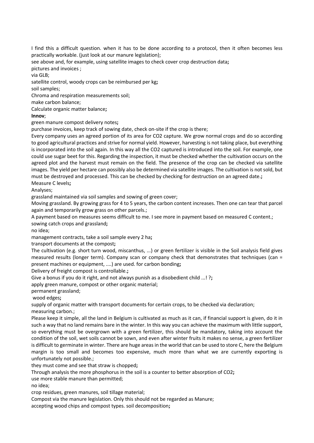I find this a difficult question. when it has to be done according to a protocol, then it often becomes less practically workable. (just look at our manure legislation);

see above and, for example, using satellite images to check cover crop destruction data**;**

pictures and invoices ;

via GLB;

satellite control, woody crops can be reimbursed per kg**;**

soil samples;

Chroma and respiration measurements soil;

make carbon balance;

Calculate organic matter balance**;**

**Innov**;

green manure compost delivery notes**;**

purchase invoices, keep track of sowing date, check on-site if the crop is there;

Every company uses an agreed portion of its area for CO2 capture. We grow normal crops and do so according to good agricultural practices and strive for normal yield. However, harvesting is not taking place, but everything is incorporated into the soil again. In this way all the CO2 captured is introduced into the soil. For example, one could use sugar beet for this. Regarding the inspection, it must be checked whether the cultivation occurs on the agreed plot and the harvest must remain on the field. The presence of the crop can be checked via satellite images. The yield per hectare can possibly also be determined via satellite images. The cultivation is not sold, but must be destroyed and processed. This can be checked by checking for destruction on an agreed date.**;** Measure C levels**;**

Analyses;

grassland maintained via soil samples and sowing of green cover;

Moving grassland. By growing grass for 4 to 5 years, the carbon content increases. Then one can tear that parcel again and temporarily grow grass on other parcels.;

A payment based on measures seems difficult to me. I see more in payment based on measured C content.; sowing catch crops and grassland**;**

no idea;

management contracts, take a soil sample every 2 ha**;**

transport documents at the compost**;**

The cultivation (e.g. short turn wood, miscanthus, ...) or green fertilizer is visible in the Soil analysis field gives measured results (longer term). Company scan or company check that demonstrates that techniques (can = present machines or equipment, ....) are used. for carbon bonding**;**

Delivery of freight compost is controllable.**;**

Give a bonus if you do it right, and not always punish as a disobedient child ...! ?**;**

apply green manure, compost or other organic material;

permanent grassland;

wood edges**;**

supply of organic matter with transport documents for certain crops, to be checked via declaration; measuring carbon.;

Please keep it simple, all the land in Belgium is cultivated as much as it can, if financial support is given, do it in such a way that no land remains bare in the winter. In this way you can achieve the maximum with little support, so everything must be overgrown with a green fertilizer, this should be mandatory, taking into account the condition of the soil, wet soils cannot be sown, and even after winter fruits it makes no sense, a green fertilizer is difficult to germinate in winter. There are huge areas in the world that can be used to store C, here the Belgium margin is too small and becomes too expensive, much more than what we are currently exporting is unfortunately not possible.;

they must come and see that straw is chopped**;**

Through analysis the more phosphorus in the soil is a counter to better absorption of CO2**;**

use more stable manure than permitted;

no idea;

crop residues, green manures, soil tillage material;

Compost via the manure legislation. Only this should not be regarded as Manure;

accepting wood chips and compost types. soil decomposition**;**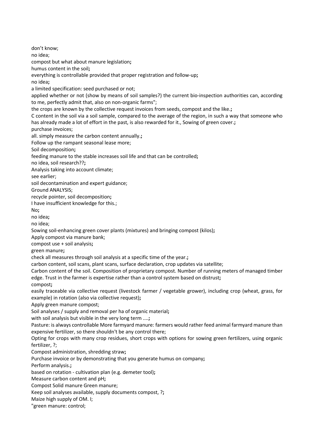don't know; no idea; compost but what about manure legislation**;** humus content in the soil**;** everything is controllable provided that proper registration and follow-up**;** no idea**;** a limited specification: seed purchased or not; applied whether or not (show by means of soil samples?) the current bio-inspection authorities can, according to me, perfectly admit that, also on non-organic farms"; the crops are known by the collective request invoices from seeds, compost and the like.**;** C content in the soil via a soil sample, compared to the average of the region, in such a way that someone who has already made a lot of effort in the past, is also rewarded for it., Sowing of green cover.**;** purchase invoices; all. simply measure the carbon content annually.**;** Follow up the rampant seasonal lease more; Soil decomposition**;** feeding manure to the stable increases soil life and that can be controlled**;** no idea, soil research??**;** Analysis taking into account climate; see earlier; soil decontamination and expert guidance; Ground ANALYSIS; recycle pointer, soil decomposition**;** I have insufficient knowledge for this.; No**;** no idea**;** no idea; Sowing soil-enhancing green cover plants (mixtures) and bringing compost (kilos)**;** Apply compost via manure bank; compost use + soil analysis**;** green manure**;** check all measures through soil analysis at a specific time of the year.**;** carbon content, soil scans, plant scans, surface declaration, crop updates via satellite; Carbon content of the soil. Composition of proprietary compost. Number of running meters of managed timber edge. Trust in the farmer is expertise rather than a control system based on distrust**;** compost**;** easily traceable via collective request (livestock farmer / vegetable grower), including crop (wheat, grass, for example) in rotation (also via collective request)**;** Apply green manure compost; Soil analyses / supply and removal per ha of organic material**;** with soil analysis but visible in the very long term ....**;** Pasture: is always controllable More farmyard manure: farmers would rather feed animal farmyard manure than expensive fertilizer, so there shouldn't be any control there; Opting for crops with many crop residues, short crops with options for sowing green fertilizers, using organic fertilizer, ?; Compost administration, shredding straw**;** Purchase invoice or by demonstrating that you generate humus on company**;** Perform analysis.**;** based on rotation - cultivation plan (e.g. demeter tool)**;** Measure carbon content and pH**;** Compost Solid manure Green manure; Keep soil analyses available, supply documents compost, ?**;** Maize high supply of OM. I; "green manure: control;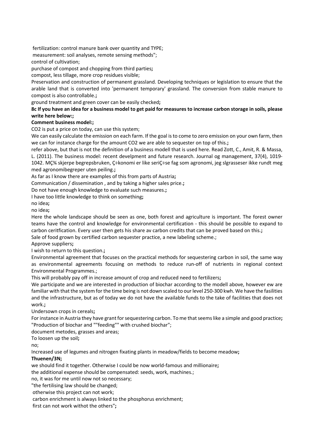fertilization: control manure bank over quantity and TYPE;

measurement: soil analyses, remote sensing methods";

control of cultivation;

purchase of compost and chopping from third parties**;**

compost, less tillage, more crop residues visible;

Preservation and construction of permanent grassland. Developing techniques or legislation to ensure that the arable land that is converted into 'permanent temporary' grassland. The conversion from stable manure to compost is also controllable.**;**

ground treatment and green cover can be easily checked**;**

#### **8c If you have an idea for a business model to get paid for measures to increase carbon storage in soils, please write here below:;**

## **Comment business model:;**

CO2 is put a price on today, can use this system;

We can easily calculate the emission on each farm. If the goal is to come to zero emission on your own farm, then we can for instance charge for the amount CO2 we are able to sequester on top of this.**;**

refer above, but that is not the definition of a business modell that is used here. Read Zott, C., Amit, R. & Massa, L. (2011). The business model: recent develpment and future research. Journal og management, 37(4), 1019- 1042. MǾ skjerpe begrepsbruken, Ç÷konomi er like seriÇ÷se fag som agronomi, jeg slgrasseser ikke rundt meg med agronomibegreper uten peiling.**;**

As far as I know there are examples of this from parts of Austria**;**

Communication / dissemination , and by taking a higher sales price.**;**

Do not have enough knowledge to evaluate such measures.**;**

I have too little knowledge to think on something**;**

no idea**;**

no idea**;**

Here the whole landscape should be seen as one, both forest and agriculture is important. The forest owner teams have the control and knowledge for environmental certification - this should be possible to expand to carbon ceritfication. Every user then gets his share av carbon credits that can be proved based on this.**;**

Sale of food grown by certified carbon sequester practice, a new labeling scheme.;

Approve suppliers**;**

I wish to return to this question.**;**

Environmental agreement that focuses on the practical methods for sequestering carbon in soil, the same way as environmental agreements focusing on methods to reduce run-off of nutrients in regional context Environmental Programmes.;

This will probably pay off in increase amount of crop and reduced need to fertilizers**;**

We participate and we are interested in production of biochar according to the modell above, however ew are familiar with that the system for the time being is not down scaled to our level 250-300 kwh. We have the fasilities and the infrastructure, but as of today we do not have the available funds to the take of facilities that does not work.**;**

Undersown crops in cereals**;**

For instance in Austria they have grant for sequestering carbon. To me that seems like a simple and good practice**;** "Production of biochar and ""feeding"" with crushed biochar";

document metodes, grasses and areas;

To loosen up the soil**;**

no;

Increased use of legumes and nitrogen fixating plants in meadow/fields to become meadow**;**

#### **Thuenen/3N;**

we should find it together. Otherwise I could be now world-famous and millionaire**;**

the additional expense should be compensated: seeds, work, machines.;

no, it was for me until now not so necessary;

"the fertilising law should be changed;

otherwise this project can not work;

carbon enrichment is always linked to the phosphorus enrichment;

first can not work withot the others"**;**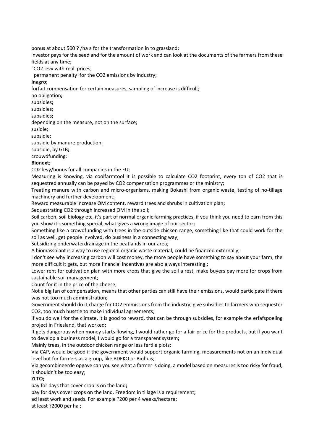bonus at about 500 ? /ha a for the transformation in to grassland;

investor pays for the seed and for the amount of work and can look at the documents of the farmers from these fields at any time;

"CO2 levy with real prices;

permanent penalty for the CO2 emissions by industry;

#### **Inagro;**

forfait compensation for certain measures, sampling of increase is difficult**;**

no obligation**;**

subsidies**;**

subsidies;

subsidies**;**

depending on the measure, not on the surface;

susidie;

subsidie;

subsidie by manure production;

subsidie, by GLB**;**

crouwdfunding;

## **Bionext;**

CO2 levy/bonus for all companies in the EU;

Measuring is knowing, via coolfarmtool it is possible to calculate CO2 footprint, every ton of CO2 that is sequestred annually can be payed by CO2 compensation programmes or the ministry;

Treating manure with carbon and micro-organisms, making Bokashi from organic waste, testing of no-tillage machinery and further development;

Reward measurable increase OM content, reward trees and shrubs in cultivation plan**;**

Sequestrating CO2 through increased OM in the soil;

Soil carbon, soil biology etc, it's part of normal organic farming practices, if you think you need to earn from this you show it's something special, what gives a wrong image of our sector**;**

Something like a crowdfunding with trees in the outside chicken range, something like that could work for the soil as well, get people involved, do business in a connecting way;

Subsidizing onderwaterdrainage in the peatlands in our area;

A biomassplant is a way to use regional organic waste material, could be financed externally;

I don't see why increasing carbon will cost money, the more people have something to say about your farm, the more difficult it gets, but more financial incentives are also always interesting **;**

Lower rent for cultivation plan with more crops that give the soil a rest, make buyers pay more for crops from sustainable soil management;

Count for it in the price of the cheese;

Not a big fan of compensation, means that other parties can still have their emissions, would participate if there was not too much administration;

Government should do it,charge for CO2 emmissions from the industry, give subsidies to farmers who sequester CO2, too much husstle to make individual agreements;

If you do well for the climate, it is good to reward, that can be through subsidies, for example the erfafspoeling project in Friesland, that worked**;**

It gets dangerous when money starts flowing, I would rather go for a fair price for the products, but if you want to develop a business model, I would go for a transparent system**;**

Mainly trees, in the outdoor chicken range or less fertile plots;

Via CAP, would be good if the government would support organic farming, measurements not on an individual level but for farmers as a group, like BDEKO or Biohuis;

Via gecombineerde opgave can you see what a farmer is doing, a model based on measures is too risky for fraud, it shouldn't be too easy;

## **ZLTO;**

pay for days that cover crop is on the land**;**

pay for days cover crops on the land. Freedom in tillage is a requirement**;**

ad least work and seeds. For example ?200 per 4 weeks/hectare**;**

at least ?2000 per ha ;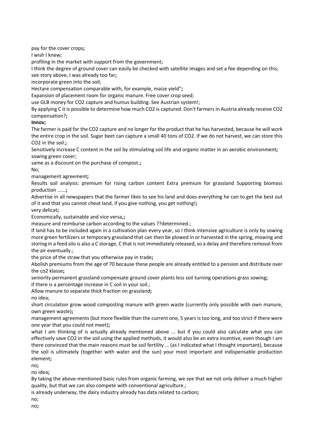pay for the cover crops**;**

I wish I knew;

profiling in the market with support from the government;

I think the degree of ground cover can easily be checked with satellite images and set a fee depending on this; see story above, I was already too far**;**

incorporate green into the soil;

Hectare compensation comparable with, for example, maize yield"**;**

Expansion of placement room for organic manure. Free cover crop seed;

use GLB money for CO2 capture and humus building. See Austrian system!;

By applying C it is possible to determine how much CO2 is captured. Don't farmers in Austria already receive CO2 compensation?**;**

**Innov;**

The farmer is paid for the CO2 capture and no longer for the product that he has harvested, because he will work the entire crop in the soil. Sugar beet can capture a small 40 tons of CO2. If we do not harvest, we can store this CO2 in the soil.**;**

Sensitively increase C content in the soil by stimulating soil life and organic matter in an aerobic environment**;** sowing green cover;

same as a discount on the purchase of compost.**;**

No;

management agreement**;**

Results soil analysis: premium for rising carbon content Extra premium for grassland Supporting biomass production ......**;**

Advertise in all newspapers that the farmer likes to see his land and does everything he can to get the best out of it and that you cannot cheat land, if you give nothing, you get nothing!**;**

very delicat**;**

Economically, sustainable and vice versa,**;**

measure and reimburse carbon according to the values ??determined.;

If land has to be included again in a cultivation plan every year, so I think intensive agriculture is only by sowing more green fertilizers or temporary grassland that can then be plowed in or harvested in the spring, mowing and storing in a feed silo is also a C storage, C that is not immediately released, so a delay and therefore removal from the air eventually.;

the price of the straw that you otherwise pay in trade**;**

Abolish premiums from the age of 70 because these people are already entitled to a pension and distribute over the co2 klasse**;**

seniority permanent grassland compensate ground cover plants less soil turning operations grass sowing**;**

if there is a percentage increase in C soil in your soil.;

Allow manure to separate thick fraction on grassland**;**

no idea;

short circulation grow wood composting manure with green waste (currently only possible with own manure, own green waste)**;**

management agreements (but more flexible than the current one, 5 years is too long, and too strict if there were one year that you could not meet)**;**

what I am thinking of is actually already mentioned above ... but if you could also calculate what you can effectively save CO2 in the soil using the applied methods, it would also be an extra incentive, even though I am there convinced that the main reasons must be soil fertility ... (as I indicated what I thought important), because the soil is ultimately (together with water and the sun) your most important and indispensable production element**;**

no**;**

no idea**;**

By taking the above-mentioned basic rules from organic farming, we see that we not only deliver a much higher quality, but that we can also compete with conventional agriculture.;

is already underway, the dairy industry already has data related to carbon**;**

no;

no**;**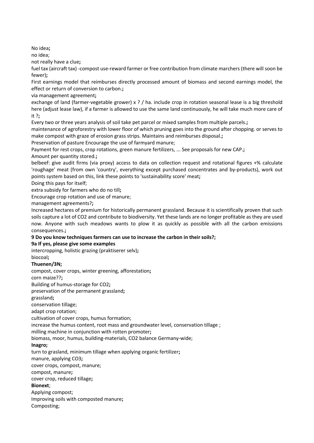No idea**;**

no idea;

not really have a clue**;**

fuel tax (aircraft tax) -compost use-reward farmer or free contribution from climate marchers (there will soon be fewer)**;**

First earnings model that reimburses directly processed amount of biomass and second earnings model, the effect or return of conversion to carbon.**;**

via management agreement**;**

exchange of land (farmer-vegetable grower) x ? / ha. include crop in rotation seasonal lease is a big threshold here (adjust lease law), if a farmer is allowed to use the same land continuously, he will take much more care of it ?**;**

Every two or three years analysis of soil take pet parcel or mixed samples from multiple parcels.**;**

maintenance of agroforestry with lower floor of which pruning goes into the ground after chopping. or serves to make compost with graze of erosion grass strips. Maintains and reimburses disposal.**;**

Preservation of pasture Encourage the use of farmyard manure;

Payment for rest crops, crop rotations, green manure fertilizers, ... See proposals for new CAP.**;**

#### Amount per quantity stored.**;**

belbeef: give audit firms (via proxy) access to data on collection request and rotational figures +% calculate 'roughage' meat (from own 'country', everything except purchased concentrates and by-products), work out points system based on this, link these points to 'sustainability score' meat**;**

Doing this pays for itself;

extra subsidy for farmers who do no till**;**

Encourage crop rotation and use of manure;

management agreements?**;**

Increased hectares of premium for historically permanent grassland. Because it is scientifically proven that such soils capture a lot of CO2 and contribute to biodiversity. Yet these lands are no longer profitable as they are used now. Anyone with such meadows wants to plow it as quickly as possible with all the carbon emissions consequences.**;**

## **9 Do you know techniques farmers can use to increase the carbon in their soils?;**

#### **9a If yes, please give some examples**

intercropping, holistic grazing (praktiserer selv)**;**

biocoal**;**

#### **Thuenen/3N;**

compost, cover crops, winter greening, afforestation**;**

corn maize??**;**

Building of humus-storage for CO2**;**

preservation of the permanent grassland**;**

grassland**;**

conservation tillage;

adapt crop rotation;

cultivation of cover crops, humus formation;

increase the humus content, root mass and groundwater level, conservation tillage ;

milling machine in conjunction with rotten promoter**;**

biomass, moor, humus, building-materials, CO2 balance Germany-wide;

#### **Inagro;**

turn to grasland, minimum tillage when applying organic fertilizer**;**

manure, applying CO3**;**

cover crops, compost, manure;

compost, manure**;**

cover crop, reduced tillage**;**

**Bionext**;

Applying compost;

Improving soils with composted manure**;**

Composting;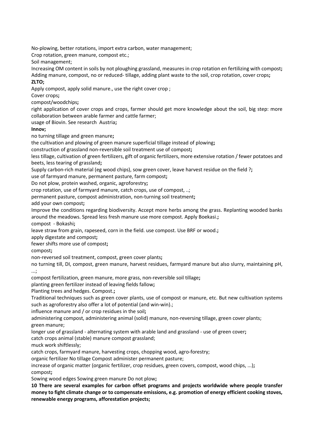No-plowing, better rotations, import extra carbon, water management;

Crop rotation, green manure, compost etc.;

Soil management;

Increasing OM content in soils by not ploughing grassland, measures in crop rotation en fertilizing with compost**;** Adding manure, compost, no or reduced- tillage, adding plant waste to the soil, crop rotation, cover crops**; ZLTO;**

Apply compost, apply solid manure., use the right cover crop ;

Cover crops**;**

compost/woodchips**;**

right application of cover crops and crops, farmer should get more knowledge about the soil, big step: more collaboration between arable farmer and cattle farmer;

usage of Biovin. See research Austria**;**

**Innov;**

no turning tillage and green manure**;**

the cultivation and plowing of green manure superficial tillage instead of plowing**;**

construction of grassland non-reversible soil treatment use of compost**;**

less tillage, cultivation of green fertilizers, gift of organic fertilizers, more extensive rotation / fewer potatoes and beets, less tearing of grassland**;**

Supply carbon-rich material (eg wood chips), sow green cover, leave harvest residue on the field ?**;**

use of farmyard manure, permanent pasture, farm compost**;**

Do not plow, protein washed, organic, agroforestry**;**

crop rotation, use of farmyard manure, catch crops, use of compost, ..;

permanent pasture, compost administration, non-turning soil treatment**;**

add your own compost**;**

Improve the conditions regarding biodiversity. Accept more herbs among the grass. Replanting wooded banks around the meadows. Spread less fresh manure use more compost. Apply Boekasi.**;**

compost - Bokashi**;**

leave straw from grain, rapeseed, corn in the field. use compost. Use BRF or wood.**;**

apply digestate and compost**;**

fewer shifts more use of compost**;**

compost**;**

non-reversed soil treatment, compost, green cover plants**;**

no turning till, DI, compost, green manure, harvest residues, farmyard manure but also slurry, maintaining pH,

...;

compost fertilization, green manure, more grass, non-reversible soil tillage**;**

planting green fertilizer instead of leaving fields fallow**;**

Planting trees and hedges. Compost.**;**

Traditional techniques such as green cover plants, use of compost or manure, etc. But new cultivation systems such as agroforestry also offer a lot of potential (and win-win).;

influence manure and / or crop residues in the soil**;**

administering compost, administering animal (solid) manure, non-reversing tillage, green cover plants; green manure;

longer use of grassland - alternating system with arable land and grassland - use of green cover**;**

catch crops animal (stable) manure compost grassland;

muck work shiftlessly;

catch crops, farmyard manure, harvesting crops, chopping wood, agro-forestry;

organic fertilizer No tillage Compost administer permanent pasture;

increase of organic matter (organic fertilizer, crop residues, green covers, compost, wood chips, ...)**;** compost**;**

Sowing wood edges Sowing green manure Do not plow**;**

**10 There are several examples for carbon offset programs and projects worldwide where people transfer money to fight climate change or to compensate emissions, e.g. promotion of energy efficient cooking stoves, renewable energy programs, afforestation projects;**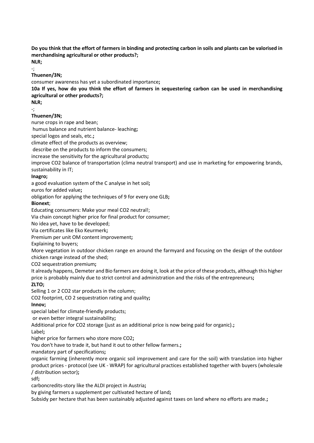**Do you think that the effort of farmers in binding and protecting carbon in soils and plants can be valorised in merchandising agricultural or other products?;**

**NLR;**

-; **Thuenen/3N;**

consumer awareness has yet a subordinated importance**;**

**10a If yes, how do you think the effort of farmers in sequestering carbon can be used in merchandising agricultural or other products?;**

**NLR;**

#### -; **Thuenen/3N;**

nurse crops in rape and bean;

humus balance and nutrient balance- leaching**;**

special logos and seals, etc.**;**

climate effect of the products as overview;

describe on the products to inform the consumers;

increase the sensitivity for the agricultural products**;**

improve CO2 balance of transportation (clima neutral transport) and use in marketing for empowering brands, sustainability in IT;

## **Inagro;**

a good evaluation system of the C analyse in het soil**;**

euros for added value**;**

obligation for applying the techniques of 9 for every one GLB**;**

## **Bionext**;

Educating consumers: Make your meal CO2 neutral!;

Via chain concept higher price for final product for consumer;

No idea yet, have to be developed;

Via certificates like Eko Keurmerk**;**

Premium per unit OM content improvement**;**

Explaining to buyers;

More vegetation in outdoor chicken range en around the farmyard and focusing on the design of the outdoor chicken range instead of the shed;

CO2 sequestration premium**;**

It already happens, Demeter and Bio farmers are doing it, look at the price of these products, although this higher price is probably mainly due to strict control and administration and the risks of the entrepreneurs**;**

## **ZLTO;**

Selling 1 or 2 CO2 star products in the column;

CO2 footprint, CO 2 sequestration rating and quality**;**

## **Innov;**

special label for climate-friendly products;

or even better integral sustainability**;**

Additional price for CO2 storage (just as an additional price is now being paid for organic).**;**

Label**;**

higher price for farmers who store more CO2**;**

You don't have to trade it, but hand it out to other fellow farmers.**;**

mandatory part of specifications**;**

organic farming (inherently more organic soil improvement and care for the soil) with translation into higher product prices - protocol (see UK - WRAP) for agricultural practices established together with buyers (wholesale / distribution sector)**;**

sdf**;**

carboncredits-story like the ALDI project in Austria**;**

by giving farmers a supplement per cultivated hectare of land**;**

Subsidy per hectare that has been sustainably adjusted against taxes on land where no efforts are made.**;**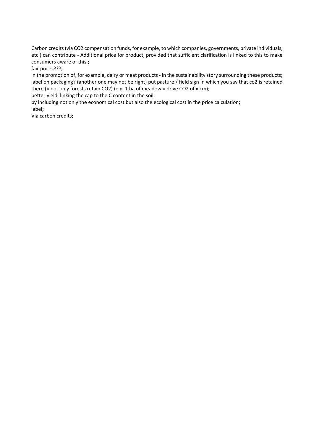Carbon credits (via CO2 compensation funds, for example, to which companies, governments, private individuals, etc.) can contribute - Additional price for product, provided that sufficient clarification is linked to this to make consumers aware of this.**;**

fair prices???**;**

in the promotion of, for example, dairy or meat products - in the sustainability story surrounding these products**;** label on packaging? (another one may not be right) put pasture / field sign in which you say that co2 is retained there (= not only forests retain CO2) (e.g. 1 ha of meadow = drive CO2 of x km);

better yield, linking the cap to the C content in the soil;

by including not only the economical cost but also the ecological cost in the price calculation**;** label**;**

Via carbon credits**;**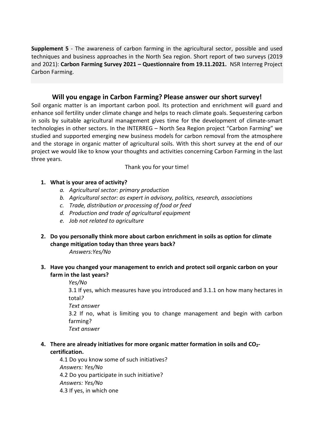**Supplement 5** - The awareness of carbon farming in the agricultural sector, possible and used techniques and business approaches in the North Sea region. Short report of two surveys (2019 and 2021): **Carbon Farming Survey 2021 – Questionnaire from 19.11.2021.** NSR Interreg Project Carbon Farming.

# **Will you engage in Carbon Farming? Please answer our short survey!**

Soil organic matter is an important carbon pool. Its protection and enrichment will guard and enhance soil fertility under climate change and helps to reach climate goals. Sequestering carbon in soils by suitable agricultural management gives time for the development of climate-smart technologies in other sectors. In the INTERREG – North Sea Region project "Carbon Farming" we studied and supported emerging new business models for carbon removal from the atmosphere and the storage in organic matter of agricultural soils. With this short survey at the end of our project we would like to know your thoughts and activities concerning Carbon Farming in the last three years.

Thank you for your time!

## **1. What is your area of activity?**

- *a. Agricultural sector: primary production*
- *b. Agricultural sector: as expert in advisory, politics, research, associations*
- *c. Trade, distribution or processing of food or feed*
- *d. Production and trade of agricultural equipment*
- *e. Job not related to agriculture*
- **2. Do you personally think more about carbon enrichment in soils as option for climate change mitigation today than three years back?**

*Answers:Yes/No*

**3. Have you changed your management to enrich and protect soil organic carbon on your farm in the last years?**

*Yes/No*

3.1 If yes, which measures have you introduced and 3.1.1 on how many hectares in total*?*

*Text answer*

3.2 If no, what is limiting you to change management and begin with carbon farming?

*Text answer*

**4. There are already initiatives for more organic matter formation in soils and CO2 certification.**

4.1 Do you know some of such initiatives? *Answers: Yes/No* 4.2 Do you participate in such initiative? *Answers: Yes/No* 4.3 If yes, in which one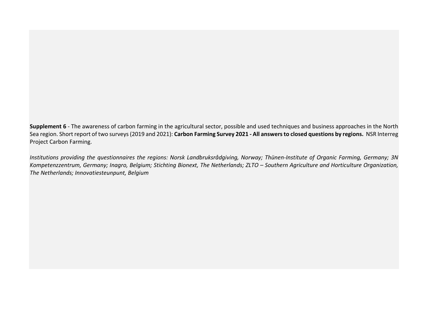**Supplement 6** - The awareness of carbon farming in the agricultural sector, possible and used techniques and business approaches in the North Sea region. Short report of two surveys (2019 and 2021): **Carbon Farming Survey 2021 - All answers to closed questions by regions.** NSR Interreg Project Carbon Farming.

*Institutions providing the questionnaires the regions: Norsk Landbruksrådgiving, Norway; Thünen-Institute of Organic Farming, Germany; 3N Kompetenzzentrum, Germany; Inagro, Belgium; Stichting Bionext, The Netherlands; ZLTO – Southern Agriculture and Horticulture Organization, The Netherlands; Innovatiesteunpunt, Belgium*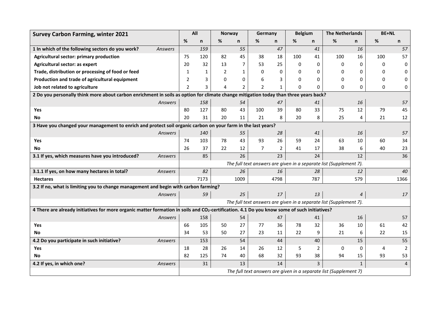| <b>Survey Carbon Farming, winter 2021</b>                                                                                                   |                | All                                                                |              | <b>Norway</b>  |              | Germany        |                | <b>Belgium</b> |                | <b>The Netherlands</b> |                | <b>BE+NL</b> |                |
|---------------------------------------------------------------------------------------------------------------------------------------------|----------------|--------------------------------------------------------------------|--------------|----------------|--------------|----------------|----------------|----------------|----------------|------------------------|----------------|--------------|----------------|
|                                                                                                                                             |                | %                                                                  | n            | %              | n            | %              | n              | %              | n              | %                      | n              | %            | n.             |
| 1 In which of the following sectors do you work?                                                                                            | Answers        |                                                                    | 159          |                | 55           |                | 47             |                | 41             |                        | 16             |              | 57             |
| Agricultural sector: primary production                                                                                                     |                | 75                                                                 | 120          | 82             | 45           | 38             | 18             | 100            | 41             | 100                    | 16             | 100          | 57             |
| Agricultural sector: as expert                                                                                                              |                | 20                                                                 | 32           | 13             | 7            | 53             | 25             | $\Omega$       | 0              | $\Omega$               | 0              | 0            | 0              |
| Trade, distribution or processing of food or feed                                                                                           |                | 1                                                                  | $\mathbf{1}$ | $\overline{2}$ | $\mathbf{1}$ | $\mathbf{0}$   | 0              | $\Omega$       | $\mathbf{0}$   | $\Omega$               | 0              | $\Omega$     | 0              |
| Production and trade of agricultural equipment                                                                                              |                | 2                                                                  | 3            | 0              | $\Omega$     | 6              | 3              | $\Omega$       | $\mathbf{0}$   | 0                      | 0              | $\Omega$     | 0              |
| Job not related to agriculture                                                                                                              |                | $\mathcal{P}$                                                      | 3            | 4              | 2            | $\mathcal{P}$  | $\mathbf{1}$   | $\Omega$       | $\Omega$       | $\Omega$               | $\Omega$       | 0            | 0              |
| 2 Do you personally think more about carbon enrichment in soils as option for climate change mitigation today than three years back?        |                |                                                                    |              |                |              |                |                |                |                |                        |                |              |                |
|                                                                                                                                             | Answers        |                                                                    | 158          |                | 54           |                | 47             |                | 41             |                        | 16             |              | 57             |
| Yes                                                                                                                                         |                | 80                                                                 | 127          | 80             | 43           | 100            | 39             | 80             | 33             | 75                     | 12             | 79           | 45             |
| <b>No</b>                                                                                                                                   |                | 20                                                                 | 31           | 20             | 11           | 21             | 8              | 20             | 8              | 25                     | 4              | 21           | 12             |
| 3 Have you changed your management to enrich and protect soil organic carbon on your farm in the last years?                                |                |                                                                    |              |                |              |                |                |                |                |                        |                |              |                |
|                                                                                                                                             | Answers        |                                                                    | 140          |                | 55           |                | 28             |                | 41             |                        | 16             |              | 57             |
| Yes                                                                                                                                         |                | 74                                                                 | 103          | 78             | 43           | 93             | 26             | 59             | 24             | 63                     | 10             | 60           | 34             |
| No                                                                                                                                          |                | 26                                                                 | 37           | 22             | 12           | $\overline{7}$ | $\overline{2}$ | 41             | 17             | 38                     | 6              | 40           | 23             |
| 3.1 If yes, which measures have you introduced?                                                                                             | Answers        |                                                                    | 85           |                | 26           |                | 23             |                | 24             |                        | 12             |              | 36             |
|                                                                                                                                             |                | The full text answers are given in a separate list (Supplement 7). |              |                |              |                |                |                |                |                        |                |              |                |
| 3.1.1 If yes, on how many hectares in total?                                                                                                | Answers        |                                                                    | 82           |                | 26           |                | 16             |                | 28             |                        | 12             |              | 40             |
| <b>Hectares</b>                                                                                                                             |                |                                                                    | 7173         |                | 1009         |                | 4798           |                | 787            |                        | 579            |              | 1366           |
| 3.2 If no, what is limiting you to change management and begin with carbon farming?                                                         |                |                                                                    |              |                |              |                |                |                |                |                        |                |              |                |
|                                                                                                                                             | Answers        |                                                                    | 59           |                | 25           |                | 17             |                | 13             |                        | $\overline{4}$ |              | 17             |
|                                                                                                                                             |                | The full text answers are given in a separate list (Supplement 7). |              |                |              |                |                |                |                |                        |                |              |                |
| 4 There are already initiatives for more organic matter formation in soils and CO2-certification. 4.1 Do you know some of such initiatives? |                |                                                                    |              |                |              |                |                |                |                |                        |                |              |                |
|                                                                                                                                             | Answers        |                                                                    | 158          |                | 54           |                | 47             |                | 41             |                        | 16             |              | 57             |
| <b>Yes</b>                                                                                                                                  |                | 66                                                                 | 105          | 50             | 27           | 77             | 36             | 78             | 32             | 36                     | 10             | 61           | 42             |
| No                                                                                                                                          |                | 34                                                                 | 53           | 50             | 27           | 23             | 11             | 22             | 9              | 21                     | 6              | 22           | 15             |
| 4.2 Do you participate in such initiative?                                                                                                  | Answers        |                                                                    | 153          |                | 54           |                | 44             |                | 40             |                        | 15             |              | 55             |
| Yes                                                                                                                                         |                | 18                                                                 | 28           | 26             | 14           | 26             | 12             | 5              | $\overline{2}$ | 0                      | 0              | 4            | $\overline{2}$ |
| No                                                                                                                                          |                | 82                                                                 | 125          | 74             | 40           | 68             | 32             | 93             | 38             | 94                     | 15             | 93           | 53             |
| 4.2 If yes, in which one?                                                                                                                   | <b>Answers</b> |                                                                    | 31           |                | 13           |                | 14             |                | $\overline{3}$ |                        | $\mathbf{1}$   |              | $\overline{4}$ |
|                                                                                                                                             |                | The full text answers are given in a separate list (Supplement 7)  |              |                |              |                |                |                |                |                        |                |              |                |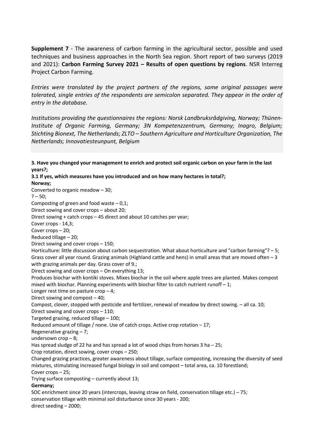**Supplement 7** - The awareness of carbon farming in the agricultural sector, possible and used techniques and business approaches in the North Sea region. Short report of two surveys (2019 and 2021): **Carbon Farming Survey 2021 – Results of open questions by regions**. NSR Interreg Project Carbon Farming.

*Entries were translated by the project partners of the regions, some original passages were tolerated, single entries of the respondents are semicolon separated. They appear in the order of entry in the database.* 

*Institutions providing the questionnaires the regions: Norsk Landbruksrådgiving, Norway; Thünen-Institute of Organic Farming, Germany; 3N Kompetenzzentrum, Germany; Inagro, Belgium; Stichting Bionext, The Netherlands; ZLTO – Southern Agriculture and Horticulture Organization, The Netherlands; Innovatiesteunpunt, Belgium*

**3. Have you changed your management to enrich and protect soil organic carbon on your farm in the last years?; 3.1 If yes, which measures have you introduced and on how many hectares in total?; Norway;** Converted to organic meadow – 30;  $? - 50;$ Composting of green and food waste  $-0.1$ ; Direct sowing and cover crops – about 20; Direct sowing + catch crops – 45 direct and about 10 catches per year; Cover crops - 14,3; Cover crops – 20; Reduced tillage – 20; Direct sowing and cover crops – 150; Horticulture: little discussion about carbon sequestration. What about horticulture and "carbon farming"? – 5; Grass cover all year round. Grazing animals (Highland cattle and hens) in small areas that are moved often – 3 with grazing animals per day. Grass cover of 9.; Direct sowing and cover crops – On everything 13; Produces biochar with kontiki stoves. Mixes biochar in the soil where apple trees are planted. Makes compost mixed with biochar. Planning experiments with biochar filter to catch nutrient runoff  $-1$ ; Longer rest time on pasture  $\text{crop} - 4$ ; Direct sowing and compost – 40; Compost, clover, stopped with pesticide and fertilizer, renewal of meadow by direct sowing. – all ca. 10; Direct sowing and cover crops – 110; Targeted grazing, reduced tillage – 100; Reduced amount of tillage / none. Use of catch crops. Active crop rotation – 17; Regenerative grazing  $-7$ ; undersown crop – 8; Has spread sludge of 22 ha and has spread a lot of wood chips from horses 3 ha – 25; Crop rotation, direct sowing, cover crops – 250; Changed grazing practices, greater awareness about tillage, surface composting, increasing the diversity of seed mixtures, stimulating increased fungal biology in soil and compost – total area, ca. 10 forestland; Cover crops – 25; Trying surface composting – currently about 13; **Germany;** SOC enrichment since 20 years (intercrops, leaving straw on field, conservation tillage etc.) – 75; conservation tillage with minimal soil disturbance since 30 years - 200; direct seeding – 2000;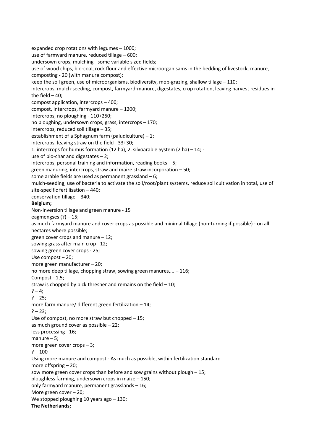expanded crop rotations with legumes – 1000; use of farmyard manure, reduced tillage – 600; undersown crops, mulching - some variable sized fields; use of wood chips, bio-coal, rock flour and effective microorganisams in the bedding of livestock, manure, composting - 20 (with manure compost); keep the soil green, use of microorganisms, biodiversity, mob-grazing, shallow tillage – 110; intercrops, mulch-seeding, compost, farmyard-manure, digestates, crop rotation, leaving harvest residues in the field  $-40$ : compost application, intercrops – 400; compost, intercrops, farmyard manure – 1200; intercrops, no ploughing - 110+250; no ploughing, undersown crops, grass, intercrops – 170; intercrops, reduced soil tillage – 35; establishment of a Sphagnum farm (paludiculture)  $-1$ ; intercrops, leaving straw on the field - 33+30; 1. intercrops for humus formation (12 ha), 2. silvoarable System (2 ha) – 14; use of bio-char and digestates  $-2$ ; intercrops, personal training and information, reading books – 5; green manuring, intercrops, straw and maize straw incorporation – 50; some arable fields are used as permanent grassland – 6; mulch-seeding, use of bacteria to activate the soil/root/plant systems, reduce soil cultivation in total, use of site-specific fertilisation – 440; conservation tillage – 340; **Belgium;** Non-inversion tillage and green manure - 15 eagmengses (?) – 15; as much farmyard manure and cover crops as possible and minimal tillage (non-turning if possible) - on all hectares where possible; green cover crops and manure – 12; sowing grass after main crop - 12; sowing green cover crops - 25; Use compost – 20; more green manufacturer – 20; no more deep tillage, chopping straw, sowing green manures,... – 116; Compost - 1,5; straw is chopped by pick thresher and remains on the field  $-10$ ;  $? - 4:$  $? - 25;$ more farm manure/ different green fertilization – 14;  $? - 23$ : Use of compost, no more straw but chopped – 15; as much ground cover as possible – 22; less processing - 16; manure – 5; more green cover crops – 3;  $? - 100$ Using more manure and compost - As much as possible, within fertilization standard more offspring – 20; sow more green cover crops than before and sow grains without plough – 15; ploughless farming, undersown crops in maize – 150; only farmyard manure, permanent grasslands – 16; More green cover – 20; We stopped ploughing 10 years ago - 130; **The Netherlands;**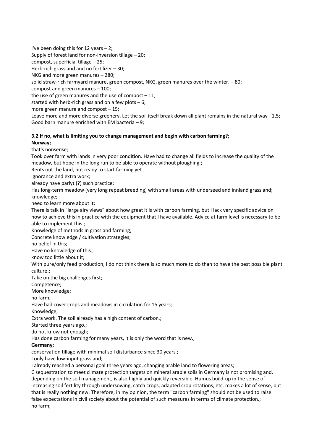I've been doing this for 12 years – 2; Supply of forest land for non-inversion tillage – 20; compost, superficial tillage – 25; Herb-rich grassland and no fertilizer – 30; NKG and more green manures – 280; solid straw-rich farmyard manure, green compost, NKG, green manures over the winter. – 80; compost and green manures – 100; the use of green manures and the use of compost  $-11$ ; started with herb-rich grassland on a few plots  $-6$ ; more green manure and compost – 15; Leave more and more diverse greenery. Let the soil itself break down all plant remains in the natural way - 1,5; Good barn manure enriched with EM bacteria – 9;

## **3.2 If no, what is limiting you to change management and begin with carbon farming?; Norway;**

that's nonsense;

Took over farm with lands in very poor condition. Have had to change all fields to increase the quality of the meadow, but hope in the long run to be able to operate without ploughing.;

Rents out the land, not ready to start farming yet.;

ignorance and extra work;

already have parlyt (?) such practice;

Has long-term meadow (very long repeat breeding) with small areas with underseed and innland grassland; knowledge;

need to learn more about it;

There is talk in "large airy views" about how great it is with carbon farming, but I lack very specific advice on how to achieve this in practice with the equipment that I have available. Advice at farm level is necessary to be able to implement this.;

Knowledge of methods in grassland farming;

Concrete knowledge / cultivation strategies;

no belief in this;

Have no knowledge of this.;

know too little about it;

With pure/only feed production, I do not think there is so much more to do than to have the best possible plant culture.;

Take on the big challenges first;

Competence;

More knowledge;

no farm;

Have had cover crops and meadows in circulation for 15 years;

Knowledge;

Extra work. The soil already has a high content of carbon.;

Started three years ago.;

do not know not enough;

Has done carbon farming for many years, it is only the word that is new.;

**Germany;**

conservation tillage with minimal soil disturbance since 30 years ;

I only have low-input grassland;

I already reached a personal goal three years ago, changing arable land to flowering areas;

C sequestration to meet climate protection targets on mineral arable soils in Germany is not promising and, depending on the soil management, is also highly and quickly reversible. Humus build-up in the sense of increasing soil fertility through undersowing, catch crops, adapted crop rotations, etc. makes a lot of sense, but that is really nothing new. Therefore, in my opinion, the term "carbon farming" should not be used to raise false expectations in civil society about the potential of such measures in terms of climate protection.; no farm;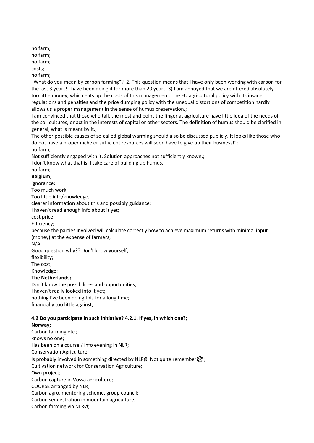no farm;

no farm;

no farm;

costs;

no farm;

"What do you mean by carbon farming"? 2. This question means that I have only been working with carbon for the last 3 years! I have been doing it for more than 20 years. 3) I am annoyed that we are offered absolutely too little money, which eats up the costs of this management. The EU agricultural policy with its insane regulations and penalties and the price dumping policy with the unequal distortions of competition hardly allows us a proper management in the sense of humus preservation.;

I am convinced that those who talk the most and point the finger at agriculture have little idea of the needs of the soil cultures, or act in the interests of capital or other sectors. The definition of humus should be clarified in general, what is meant by it.;

The other possible causes of so-called global warming should also be discussed publicly. It looks like those who do not have a proper niche or sufficient resources will soon have to give up their business!"; no farm;

Not sufficiently engaged with it. Solution approaches not sufficiently known.;

I don't know what that is. I take care of building up humus.;

# no farm;

**Belgium;**

ignorance;

Too much work;

Too little info/knowledge;

clearer information about this and possibly guidance;

I haven't read enough info about it yet;

cost price;

Efficiency;

because the parties involved will calculate correctly how to achieve maximum returns with minimal input (money) at the expense of farmers;

N/A;

Good question why?? Don't know yourself;

flexibility;

The cost;

Knowledge;

## **The Netherlands;**

Don't know the possibilities and opportunities; I haven't really looked into it yet; nothing I've been doing this for a long time; financially too little against;

## **4.2 Do you participate in such initiative? 4.2.1. If yes, in which one?;**

#### **Norway;**

Carbon farming etc.; knows no one; Has been on a course / info evening in NLR; Conservation Agriculture; Is probably involved in something directed by NLRØ. Not quite remember $\mathbb{C}^3$ ; Cultivation network for Conservation Agriculture; Own project; Carbon capture in Vossa agriculture; COURSE arranged by NLR; Carbon agro, mentoring scheme, group council; Carbon sequestration in mountain agriculture; Carbon farming via NLRØ;